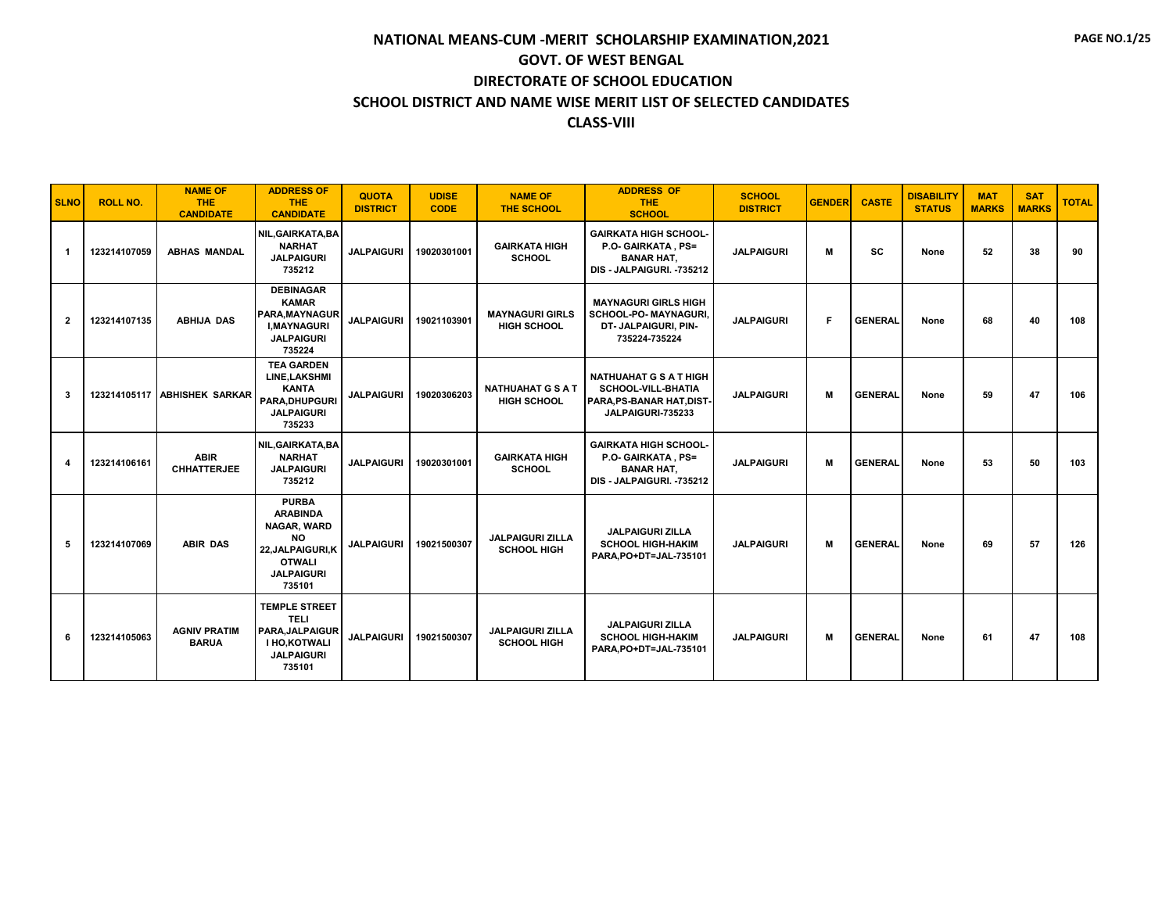| <b>SLNO</b>    | <b>ROLL NO.</b> | <b>NAME OF</b><br><b>THE</b><br><b>CANDIDATE</b> | <b>ADDRESS OF</b><br><b>THE</b><br><b>CANDIDATE</b>                                                                                     | <b>QUOTA</b><br><b>DISTRICT</b> | <b>UDISE</b><br><b>CODE</b> | <b>NAME OF</b><br><b>THE SCHOOL</b>            | <b>ADDRESS OF</b><br><b>THE</b><br><b>SCHOOL</b>                                                           | <b>SCHOOL</b><br><b>DISTRICT</b> | <b>GENDER</b> | <b>CASTE</b>   | <b>DISABILITY</b><br><b>STATUS</b> | <b>MAT</b><br><b>MARKS</b> | <b>SAT</b><br><b>MARKS</b> | <b>TOTAL</b> |
|----------------|-----------------|--------------------------------------------------|-----------------------------------------------------------------------------------------------------------------------------------------|---------------------------------|-----------------------------|------------------------------------------------|------------------------------------------------------------------------------------------------------------|----------------------------------|---------------|----------------|------------------------------------|----------------------------|----------------------------|--------------|
| -1             | 123214107059    | <b>ABHAS MANDAL</b>                              | NIL, GAIRKATA, BA<br><b>NARHAT</b><br><b>JALPAIGURI</b><br>735212                                                                       | <b>JALPAIGURI</b>               | 19020301001                 | <b>GAIRKATA HIGH</b><br><b>SCHOOL</b>          | <b>GAIRKATA HIGH SCHOOL-</b><br>P.O- GAIRKATA, PS=<br><b>BANAR HAT,</b><br>DIS - JALPAIGURI. -735212       | <b>JALPAIGURI</b>                | М             | <b>SC</b>      | None                               | 52                         | 38                         | 90           |
| $\overline{2}$ | 123214107135    | <b>ABHIJA DAS</b>                                | <b>DEBINAGAR</b><br><b>KAMAR</b><br><b>PARA.MAYNAGUR</b><br><b>I.MAYNAGURI</b><br><b>JALPAIGURI</b><br>735224                           | <b>JALPAIGURI</b>               | 19021103901                 | <b>MAYNAGURI GIRLS</b><br><b>HIGH SCHOOL</b>   | <b>MAYNAGURI GIRLS HIGH</b><br><b>SCHOOL-PO- MAYNAGURI.</b><br>DT- JALPAIGURI, PIN-<br>735224-735224       | <b>JALPAIGURI</b>                | F             | <b>GENERAL</b> | None                               | 68                         | 40                         | 108          |
| 3              |                 | 123214105117 ABHISHEK SARKAR                     | <b>TEA GARDEN</b><br>LINE, LAKSHMI<br><b>KANTA</b><br><b>PARA.DHUPGURI</b><br><b>JALPAIGURI</b><br>735233                               | <b>JALPAIGURI</b>               | 19020306203                 | <b>NATHUAHAT G S A T</b><br><b>HIGH SCHOOL</b> | <b>NATHUAHAT G S A T HIGH</b><br><b>SCHOOL-VILL-BHATIA</b><br>PARA.PS-BANAR HAT.DIST-<br>JALPAIGURI-735233 | <b>JALPAIGURI</b>                | м             | <b>GENERAL</b> | None                               | 59                         | 47                         | 106          |
| 4              | 123214106161    | <b>ABIR</b><br><b>CHHATTERJEE</b>                | NIL, GAIRKATA, BA<br><b>NARHAT</b><br><b>JALPAIGURI</b><br>735212                                                                       | <b>JALPAIGURI</b>               | 19020301001                 | <b>GAIRKATA HIGH</b><br><b>SCHOOL</b>          | <b>GAIRKATA HIGH SCHOOL-</b><br>P.O- GAIRKATA, PS=<br><b>BANAR HAT.</b><br>DIS - JALPAIGURI. -735212       | <b>JALPAIGURI</b>                | м             | <b>GENERAL</b> | None                               | 53                         | 50                         | 103          |
| 5              | 123214107069    | <b>ABIR DAS</b>                                  | <b>PURBA</b><br><b>ARABINDA</b><br><b>NAGAR, WARD</b><br><b>NO</b><br>22, JALPAIGURI, K<br><b>OTWALI</b><br><b>JALPAIGURI</b><br>735101 | <b>JALPAIGURI</b>               | 19021500307                 | <b>JALPAIGURI ZILLA</b><br><b>SCHOOL HIGH</b>  | <b>JALPAIGURI ZILLA</b><br><b>SCHOOL HIGH-HAKIM</b><br>PARA, PO+DT=JAL-735101                              | <b>JALPAIGURI</b>                | М             | <b>GENERAL</b> | None                               | 69                         | 57                         | 126          |
| 6              | 123214105063    | <b>AGNIV PRATIM</b><br><b>BARUA</b>              | <b>TEMPLE STREET</b><br><b>TELI</b><br>PARA, JALPAIGUR<br>I HO, KOTWALI<br><b>JALPAIGURI</b><br>735101                                  | <b>JALPAIGURI</b>               | 19021500307                 | <b>JALPAIGURI ZILLA</b><br><b>SCHOOL HIGH</b>  | <b>JALPAIGURI ZILLA</b><br><b>SCHOOL HIGH-HAKIM</b><br>PARA, PO+DT=JAL-735101                              | <b>JALPAIGURI</b>                | М             | <b>GENERAL</b> | None                               | 61                         | 47                         | 108          |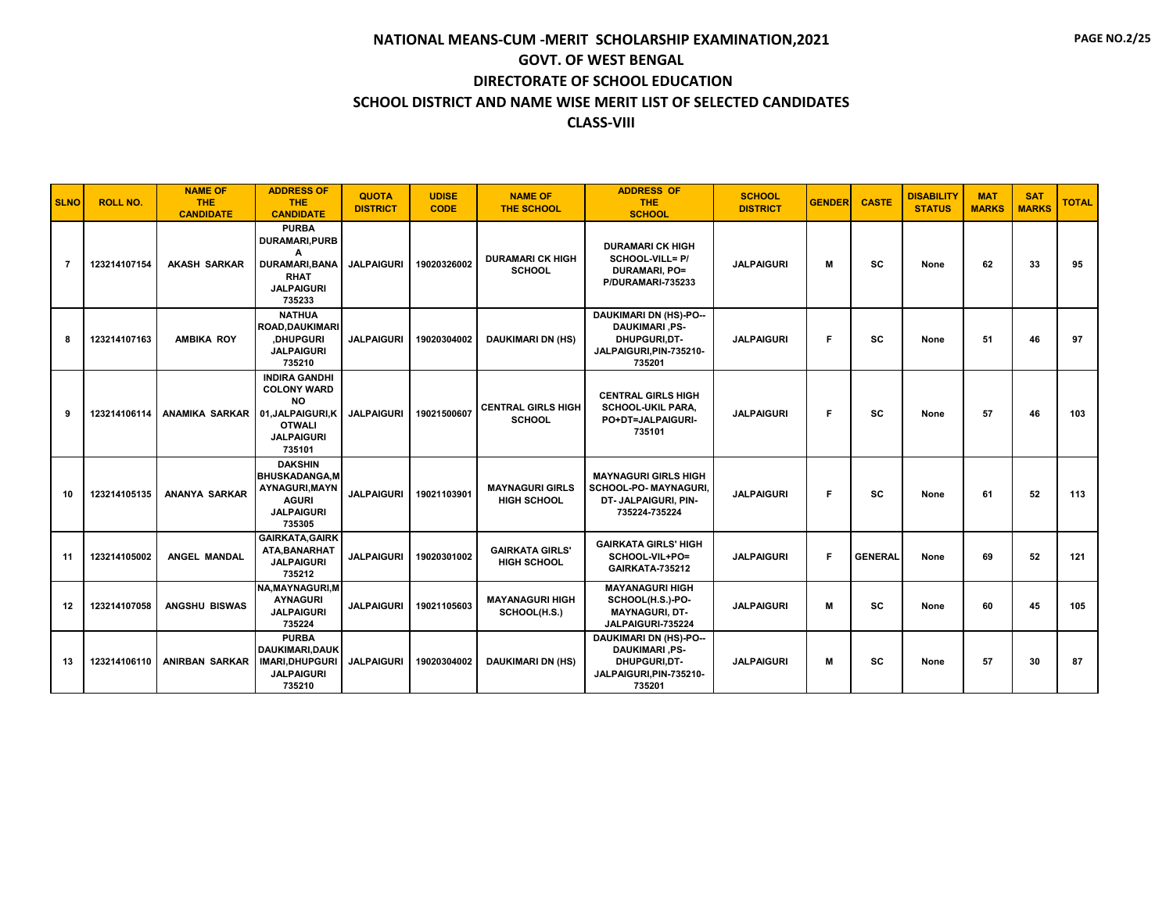| <b>SLNO</b>    | <b>ROLL NO.</b> | <b>NAME OF</b><br><b>THE</b><br><b>CANDIDATE</b> | <b>ADDRESS OF</b><br><b>THE</b><br><b>CANDIDATE</b>                                                                          | <b>QUOTA</b><br><b>DISTRICT</b> | <b>UDISE</b><br><b>CODE</b> | <b>NAME OF</b><br><b>THE SCHOOL</b>          | <b>ADDRESS OF</b><br><b>THE</b><br><b>SCHOOL</b>                                                            | <b>SCHOOL</b><br><b>DISTRICT</b> | <b>GENDER</b> | <b>CASTE</b>   | <b>DISABILITY</b><br><b>STATUS</b> | <b>MAT</b><br><b>MARKS</b> | <b>SAT</b><br><b>MARKS</b> | <b>TOTAL</b> |
|----------------|-----------------|--------------------------------------------------|------------------------------------------------------------------------------------------------------------------------------|---------------------------------|-----------------------------|----------------------------------------------|-------------------------------------------------------------------------------------------------------------|----------------------------------|---------------|----------------|------------------------------------|----------------------------|----------------------------|--------------|
| $\overline{7}$ | 123214107154    | <b>AKASH SARKAR</b>                              | <b>PURBA</b><br><b>DURAMARI,PURB</b><br>A<br><b>DURAMARI, BANA</b><br><b>RHAT</b><br><b>JALPAIGURI</b><br>735233             | <b>JALPAIGURI</b>               | 19020326002                 | <b>DURAMARI CK HIGH</b><br><b>SCHOOL</b>     | <b>DURAMARI CK HIGH</b><br>SCHOOL-VILL= P/<br><b>DURAMARI, PO=</b><br>P/DURAMARI-735233                     | <b>JALPAIGURI</b>                | M             | <b>SC</b>      | None                               | 62                         | 33                         | 95           |
| 8              | 123214107163    | <b>AMBIKA ROY</b>                                | <b>NATHUA</b><br><b>ROAD, DAUKIMARI</b><br>,DHUPGURI<br><b>JALPAIGURI</b><br>735210                                          | <b>JALPAIGURI</b>               | 19020304002                 | <b>DAUKIMARI DN (HS)</b>                     | <b>DAUKIMARI DN (HS)-PO--</b><br><b>DAUKIMARI, PS-</b><br>DHUPGURI,DT-<br>JALPAIGURI, PIN-735210-<br>735201 | <b>JALPAIGURI</b>                | F             | <b>SC</b>      | None                               | 51                         | 46                         | 97           |
| 9              | 123214106114    | <b>ANAMIKA SARKAR</b>                            | <b>INDIRA GANDHI</b><br><b>COLONY WARD</b><br><b>NO</b><br>01, JALPAIGURI, K<br><b>OTWALI</b><br><b>JALPAIGURI</b><br>735101 | <b>JALPAIGURI</b>               | 19021500607                 | <b>CENTRAL GIRLS HIGH</b><br><b>SCHOOL</b>   | <b>CENTRAL GIRLS HIGH</b><br><b>SCHOOL-UKIL PARA.</b><br>PO+DT=JALPAIGURI-<br>735101                        | <b>JALPAIGURI</b>                | F             | SC             | None                               | 57                         | 46                         | 103          |
| 10             | 123214105135    | <b>ANANYA SARKAR</b>                             | <b>DAKSHIN</b><br><b>BHUSKADANGA.M</b><br><b>AYNAGURI.MAYN</b><br><b>AGURI</b><br><b>JALPAIGURI</b><br>735305                | <b>JALPAIGURI</b>               | 19021103901                 | <b>MAYNAGURI GIRLS</b><br><b>HIGH SCHOOL</b> | <b>MAYNAGURI GIRLS HIGH</b><br>SCHOOL-PO- MAYNAGURI,<br>DT- JALPAIGURI, PIN-<br>735224-735224               | <b>JALPAIGURI</b>                | F             | <b>SC</b>      | None                               | 61                         | 52                         | 113          |
| 11             | 123214105002    | ANGEL MANDAL                                     | <b>GAIRKATA, GAIRK</b><br>ATA, BANARHAT<br><b>JALPAIGURI</b><br>735212                                                       | <b>JALPAIGURI</b>               | 19020301002                 | <b>GAIRKATA GIRLS'</b><br>HIGH SCHOOL        | <b>GAIRKATA GIRLS' HIGH</b><br>SCHOOL-VIL+PO=<br>GAIRKATA-735212                                            | <b>JALPAIGURI</b>                | F             | <b>GENERAL</b> | None                               | 69                         | 52                         | 121          |
| 12             | 123214107058    | <b>ANGSHU BISWAS</b>                             | <b>NA, MAYNAGURI, M</b><br><b>AYNAGURI</b><br><b>JALPAIGURI</b><br>735224                                                    | <b>JALPAIGURI</b>               | 19021105603                 | <b>MAYANAGURI HIGH</b><br>SCHOOL(H.S.)       | <b>MAYANAGURI HIGH</b><br>SCHOOL(H.S.)-PO-<br><b>MAYNAGURI, DT-</b><br>JALPAIGURI-735224                    | <b>JALPAIGURI</b>                | М             | SC             | None                               | 60                         | 45                         | 105          |
| 13             | 123214106110    | <b>ANIRBAN SARKAR</b>                            | <b>PURBA</b><br><b>DAUKIMARI.DAUK</b><br><b>IMARI, DHUPGURI</b><br><b>JALPAIGURI</b><br>735210                               | <b>JALPAIGURI</b>               | 19020304002                 | <b>DAUKIMARI DN (HS)</b>                     | <b>DAUKIMARI DN (HS)-PO--</b><br><b>DAUKIMARI .PS-</b><br>DHUPGURI,DT-<br>JALPAIGURI, PIN-735210-<br>735201 | <b>JALPAIGURI</b>                | м             | <b>SC</b>      | None                               | 57                         | 30                         | 87           |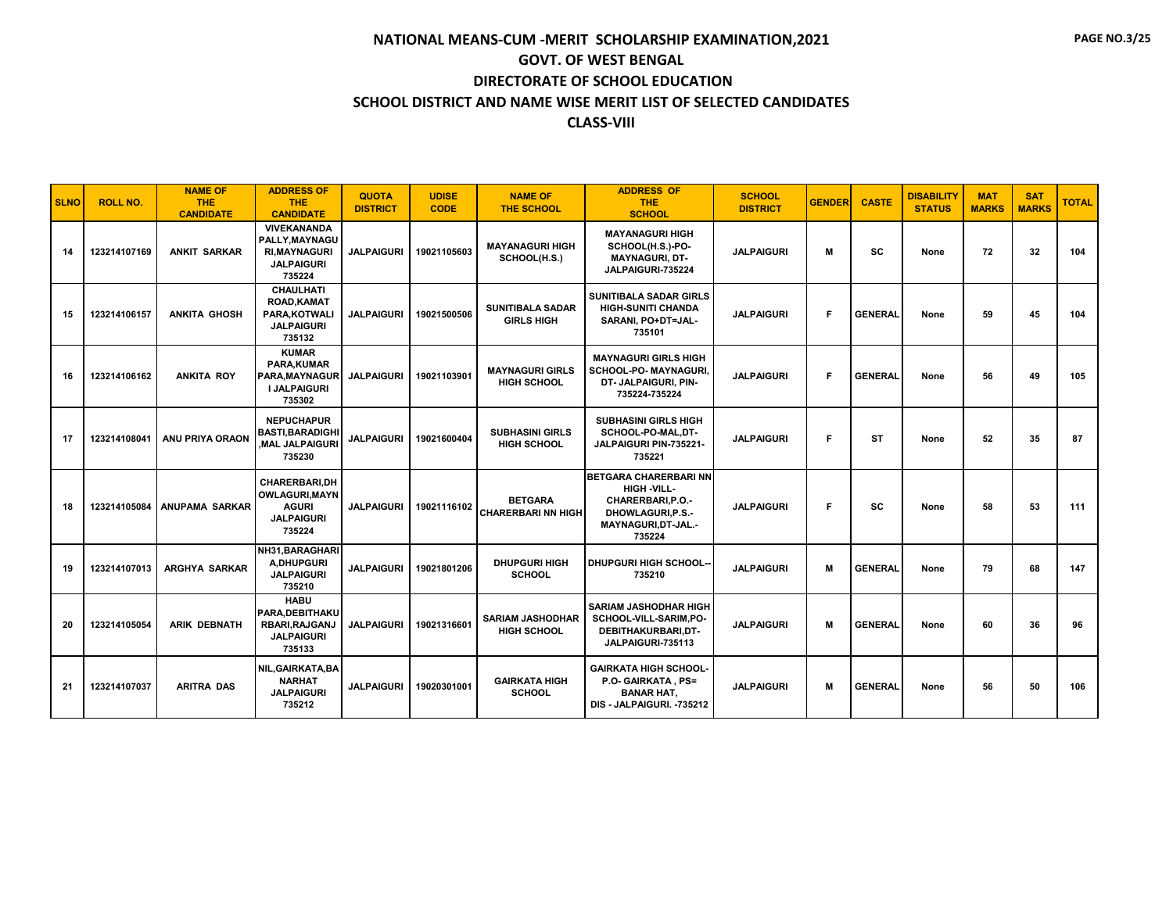| <b>SLNO</b> | <b>ROLL NO.</b> | <b>NAME OF</b><br><b>THE</b><br><b>CANDIDATE</b> | <b>ADDRESS OF</b><br><b>THE</b><br><b>CANDIDATE</b>                                          | <b>QUOTA</b><br><b>DISTRICT</b> | <b>UDISE</b><br><b>CODE</b> | <b>NAME OF</b><br><b>THE SCHOOL</b>           | <b>ADDRESS OF</b><br><b>THE</b><br><b>SCHOOL</b>                                                                             | <b>SCHOOL</b><br><b>DISTRICT</b> | <b>GENDER</b> | <b>CASTE</b>   | <b>DISABILITY</b><br><b>STATUS</b> | <b>MAT</b><br><b>MARKS</b> | <b>SAT</b><br><b>MARKS</b> | <b>TOTAL</b> |
|-------------|-----------------|--------------------------------------------------|----------------------------------------------------------------------------------------------|---------------------------------|-----------------------------|-----------------------------------------------|------------------------------------------------------------------------------------------------------------------------------|----------------------------------|---------------|----------------|------------------------------------|----------------------------|----------------------------|--------------|
| 14          | 123214107169    | <b>ANKIT SARKAR</b>                              | <b>VIVEKANANDA</b><br>PALLY.MAYNAGU<br><b>RI, MAYNAGURI</b><br><b>JALPAIGURI</b><br>735224   | <b>JALPAIGURI</b>               | 19021105603                 | <b>MAYANAGURI HIGH</b><br>SCHOOL(H.S.)        | <b>MAYANAGURI HIGH</b><br>SCHOOL(H.S.)-PO-<br><b>MAYNAGURI, DT-</b><br>JALPAIGURI-735224                                     | <b>JALPAIGURI</b>                | М             | SC             | None                               | 72                         | 32                         | 104          |
| 15          | 123214106157    | <b>ANKITA GHOSH</b>                              | <b>CHAULHATI</b><br><b>ROAD, KAMAT</b><br>PARA.KOTWALI<br><b>JALPAIGURI</b><br>735132        | <b>JALPAIGURI</b>               | 19021500506                 | <b>SUNITIBALA SADAR</b><br><b>GIRLS HIGH</b>  | <b>SUNITIBALA SADAR GIRLS</b><br><b>HIGH-SUNITI CHANDA</b><br>SARANI, PO+DT=JAL-<br>735101                                   | <b>JALPAIGURI</b>                | F             | <b>GENERAL</b> | None                               | 59                         | 45                         | 104          |
| 16          | 123214106162    | <b>ANKITA ROY</b>                                | <b>KUMAR</b><br>PARA, KUMAR<br><b>PARA.MAYNAGUR</b><br><b>I JALPAIGURI</b><br>735302         | <b>JALPAIGURI</b>               | 19021103901                 | <b>MAYNAGURI GIRLS</b><br><b>HIGH SCHOOL</b>  | <b>MAYNAGURI GIRLS HIGH</b><br>SCHOOL-PO- MAYNAGURI.<br>DT- JALPAIGURI, PIN-<br>735224-735224                                | <b>JALPAIGURI</b>                | F             | <b>GENERAL</b> | None                               | 56                         | 49                         | 105          |
| 17          | 123214108041    | <b>ANU PRIYA ORAON</b>                           | <b>NEPUCHAPUR</b><br><b>BASTI, BARADIGHI</b><br><b>MAL JALPAIGURI</b><br>735230              | <b>JALPAIGURI</b>               | 19021600404                 | <b>SUBHASINI GIRLS</b><br>HIGH SCHOOL         | <b>SUBHASINI GIRLS HIGH</b><br>SCHOOL-PO-MAL,DT-<br>JALPAIGURI PIN-735221-<br>735221                                         | <b>JALPAIGURI</b>                | F             | ST             | None                               | 52                         | 35                         | 87           |
| 18          | 123214105084    | <b>ANUPAMA SARKAR</b>                            | <b>CHARERBARI,DH</b><br><b>OWLAGURI, MAYN</b><br><b>AGURI</b><br><b>JALPAIGURI</b><br>735224 | <b>JALPAIGURI</b>               | 19021116102                 | <b>BETGARA</b><br><b>CHARERBARI NN HIGH</b>   | <b>BETGARA CHARERBARI NN</b><br>HIGH -VILL-<br>CHARERBARI, P.O.-<br><b>DHOWLAGURI.P.S.-</b><br>MAYNAGURI, DT-JAL.-<br>735224 | <b>JALPAIGURI</b>                | F             | SC             | None                               | 58                         | 53                         | 111          |
| 19          | 123214107013    | ARGHYA SARKAR                                    | NH31, BARAGHARI<br>A.DHUPGURI<br><b>JALPAIGURI</b><br>735210                                 | <b>JALPAIGURI</b>               | 19021801206                 | <b>DHUPGURI HIGH</b><br><b>SCHOOL</b>         | <b>DHUPGURI HIGH SCHOOL-</b><br>735210                                                                                       | <b>JALPAIGURI</b>                | M             | <b>GENERAL</b> | None                               | 79                         | 68                         | 147          |
| 20          | 123214105054    | <b>ARIK DEBNATH</b>                              | <b>HABU</b><br>PARA, DEBITHAKU<br>RBARI, RAJGANJ<br><b>JALPAIGURI</b><br>735133              | <b>JALPAIGURI</b>               | 19021316601                 | <b>SARIAM JASHODHAR</b><br><b>HIGH SCHOOL</b> | SARIAM JASHODHAR HIGH<br>SCHOOL-VILL-SARIM,PO-<br>DEBITHAKURBARI.DT-<br>JALPAIGURI-735113                                    | <b>JALPAIGURI</b>                | M             | <b>GENERAL</b> | None                               | 60                         | 36                         | 96           |
| 21          | 123214107037    | <b>ARITRA DAS</b>                                | NIL, GAIRKATA, BA<br><b>NARHAT</b><br><b>JALPAIGURI</b><br>735212                            | <b>JALPAIGURI</b>               | 19020301001                 | <b>GAIRKATA HIGH</b><br><b>SCHOOL</b>         | <b>GAIRKATA HIGH SCHOOL-</b><br>P.O- GAIRKATA, PS=<br><b>BANAR HAT,</b><br>DIS - JALPAIGURI. -735212                         | <b>JALPAIGURI</b>                | M             | <b>GENERAL</b> | None                               | 56                         | 50                         | 106          |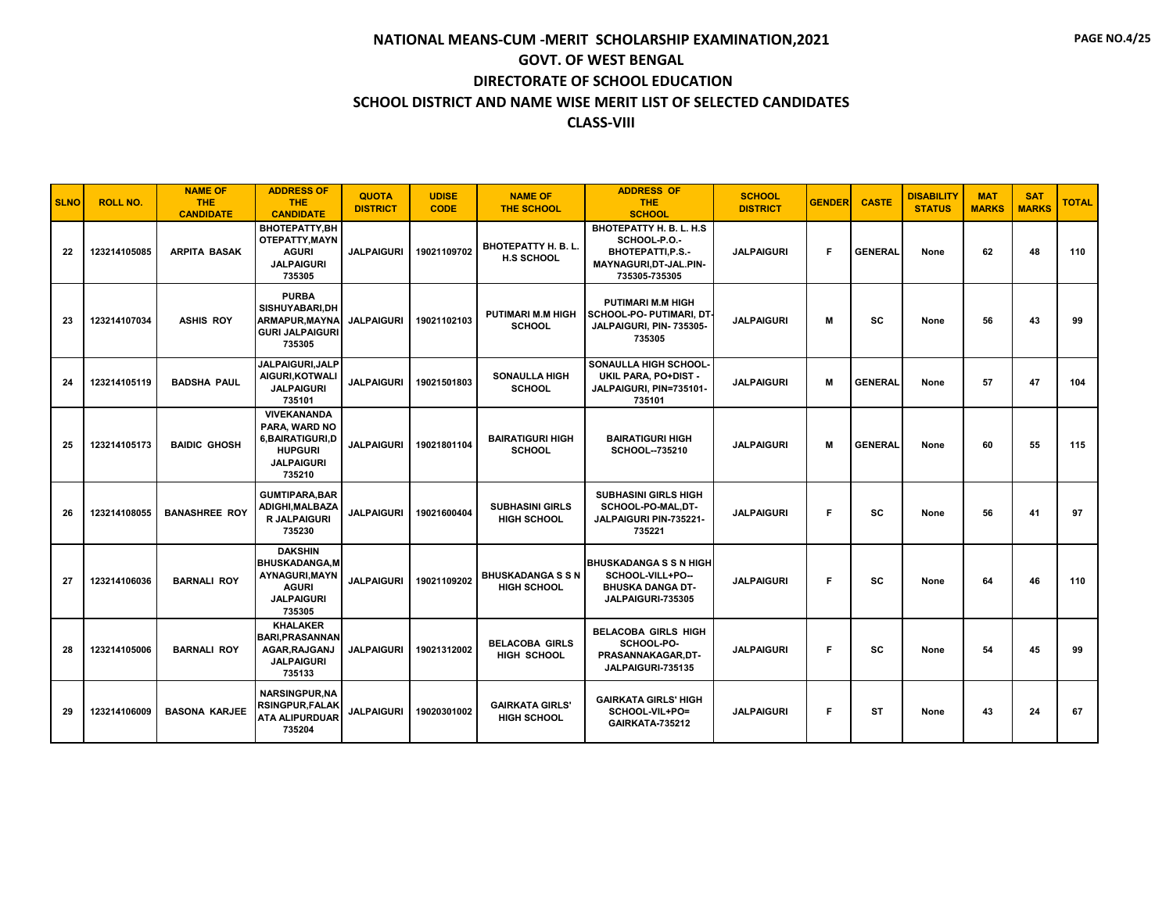| <b>SLNO</b> | <b>ROLL NO.</b> | <b>NAME OF</b><br><b>THE</b><br><b>CANDIDATE</b> | <b>ADDRESS OF</b><br>THE.<br><b>CANDIDATE</b>                                                           | <b>QUOTA</b><br><b>DISTRICT</b> | <b>UDISE</b><br><b>CODE</b> | <b>NAME OF</b><br><b>THE SCHOOL</b>             | <b>ADDRESS OF</b><br><b>THE</b><br><b>SCHOOL</b>                                                        | <b>SCHOOL</b><br><b>DISTRICT</b> | <b>GENDER</b> | <b>CASTE</b>   | <b>DISABILITY</b><br><b>STATUS</b> | <b>MAT</b><br><b>MARKS</b> | <b>SAT</b><br><b>MARKS</b> | <b>TOTAL</b> |
|-------------|-----------------|--------------------------------------------------|---------------------------------------------------------------------------------------------------------|---------------------------------|-----------------------------|-------------------------------------------------|---------------------------------------------------------------------------------------------------------|----------------------------------|---------------|----------------|------------------------------------|----------------------------|----------------------------|--------------|
| 22          | 123214105085    | <b>ARPITA BASAK</b>                              | BHOTEPATTY,BH<br><b>OTEPATTY.MAYN</b><br><b>AGURI</b><br><b>JALPAIGURI</b><br>735305                    | <b>JALPAIGURI</b>               | 19021109702                 | <b>BHOTEPATTY H. B. L.</b><br><b>H.S SCHOOL</b> | BHOTEPATTY H. B. L. H.S<br>SCHOOL-P.O.-<br>BHOTEPATTI, P.S.-<br>MAYNAGURI, DT-JAL.PIN-<br>735305-735305 | <b>JALPAIGURI</b>                | F             | <b>GENERAL</b> | None                               | 62                         | 48                         | 110          |
| 23          | 123214107034    | <b>ASHIS ROY</b>                                 | <b>PURBA</b><br>SISHUYABARI.DH<br><b>ARMAPUR.MAYNA</b><br><b>GURI JALPAIGURI</b><br>735305              | <b>JALPAIGURI</b>               | 19021102103                 | <b>PUTIMARI M.M HIGH</b><br><b>SCHOOL</b>       | <b>PUTIMARI M.M HIGH</b><br><b>SCHOOL-PO- PUTIMARI, DT-</b><br>JALPAIGURI, PIN-735305-<br>735305        | <b>JALPAIGURI</b>                | М             | SC             | None                               | 56                         | 43                         | 99           |
| 24          | 123214105119    | <b>BADSHA PAUL</b>                               | <b>JALPAIGURI.JALP</b><br>AIGURI, KOTWALI<br><b>JALPAIGURI</b><br>735101                                | <b>JALPAIGURI</b>               | 19021501803                 | <b>SONAULLA HIGH</b><br><b>SCHOOL</b>           | SONAULLA HIGH SCHOOL-<br>UKIL PARA, PO+DIST -<br>JALPAIGURI, PIN=735101-<br>735101                      | <b>JALPAIGURI</b>                | М             | <b>GENERAL</b> | None                               | 57                         | 47                         | 104          |
| 25          | 123214105173    | <b>BAIDIC GHOSH</b>                              | VIVEKANANDA<br>PARA. WARD NO<br>6.BAIRATIGURI.D<br><b>HUPGURI</b><br><b>JALPAIGURI</b><br>735210        | <b>JALPAIGURI</b>               | 19021801104                 | <b>BAIRATIGURI HIGH</b><br><b>SCHOOL</b>        | <b>BAIRATIGURI HIGH</b><br>SCHOOL--735210                                                               | <b>JALPAIGURI</b>                | M             | <b>GENERAL</b> | None                               | 60                         | 55                         | 115          |
| 26          | 123214108055    | <b>BANASHREE ROY</b>                             | <b>GUMTIPARA, BAR</b><br>ADIGHI, MALBAZA<br><b>R JALPAIGURI</b><br>735230                               | <b>JALPAIGURI</b>               | 19021600404                 | <b>SUBHASINI GIRLS</b><br><b>HIGH SCHOOL</b>    | <b>SUBHASINI GIRLS HIGH</b><br>SCHOOL-PO-MAL,DT-<br>JALPAIGURI PIN-735221-<br>735221                    | <b>JALPAIGURI</b>                | Е             | <b>SC</b>      | None                               | 56                         | 41                         | 97           |
| 27          | 123214106036    | <b>BARNALI ROY</b>                               | <b>DAKSHIN</b><br><b>BHUSKADANGA.M</b><br>AYNAGURI, MAYN<br><b>AGURI</b><br><b>JALPAIGURI</b><br>735305 | <b>JALPAIGURI</b>               | 19021109202                 | <b>BHUSKADANGASSN</b><br><b>HIGH SCHOOL</b>     | <b>BHUSKADANGA S S N HIGH</b><br>SCHOOL-VILL+PO--<br><b>BHUSKA DANGA DT-</b><br>JALPAIGURI-735305       | <b>JALPAIGURI</b>                | F             | SC             | None                               | 64                         | 46                         | 110          |
| 28          | 123214105006    | <b>BARNALI ROY</b>                               | <b>KHALAKER</b><br><b>BARI, PRASANNAN</b><br>AGAR, RAJGANJ<br><b>JALPAIGURI</b><br>735133               | <b>JALPAIGURI</b>               | 19021312002                 | <b>BELACOBA GIRLS</b><br><b>HIGH SCHOOL</b>     | <b>BELACOBA GIRLS HIGH</b><br>SCHOOL-PO-<br>PRASANNAKAGAR.DT-<br>JALPAIGURI-735135                      | <b>JALPAIGURI</b>                | F             | <b>SC</b>      | None                               | 54                         | 45                         | 99           |
| 29          | 123214106009    | <b>BASONA KARJEE</b>                             | <b>NARSINGPUR.NA</b><br><b>RSINGPUR, FALAK</b><br>ATA ALIPURDUAR<br>735204                              | <b>JALPAIGURI</b>               | 19020301002                 | <b>GAIRKATA GIRLS'</b><br><b>HIGH SCHOOL</b>    | <b>GAIRKATA GIRLS' HIGH</b><br>SCHOOL-VIL+PO=<br>GAIRKATA-735212                                        | <b>JALPAIGURI</b>                | F             | ST             | None                               | 43                         | 24                         | 67           |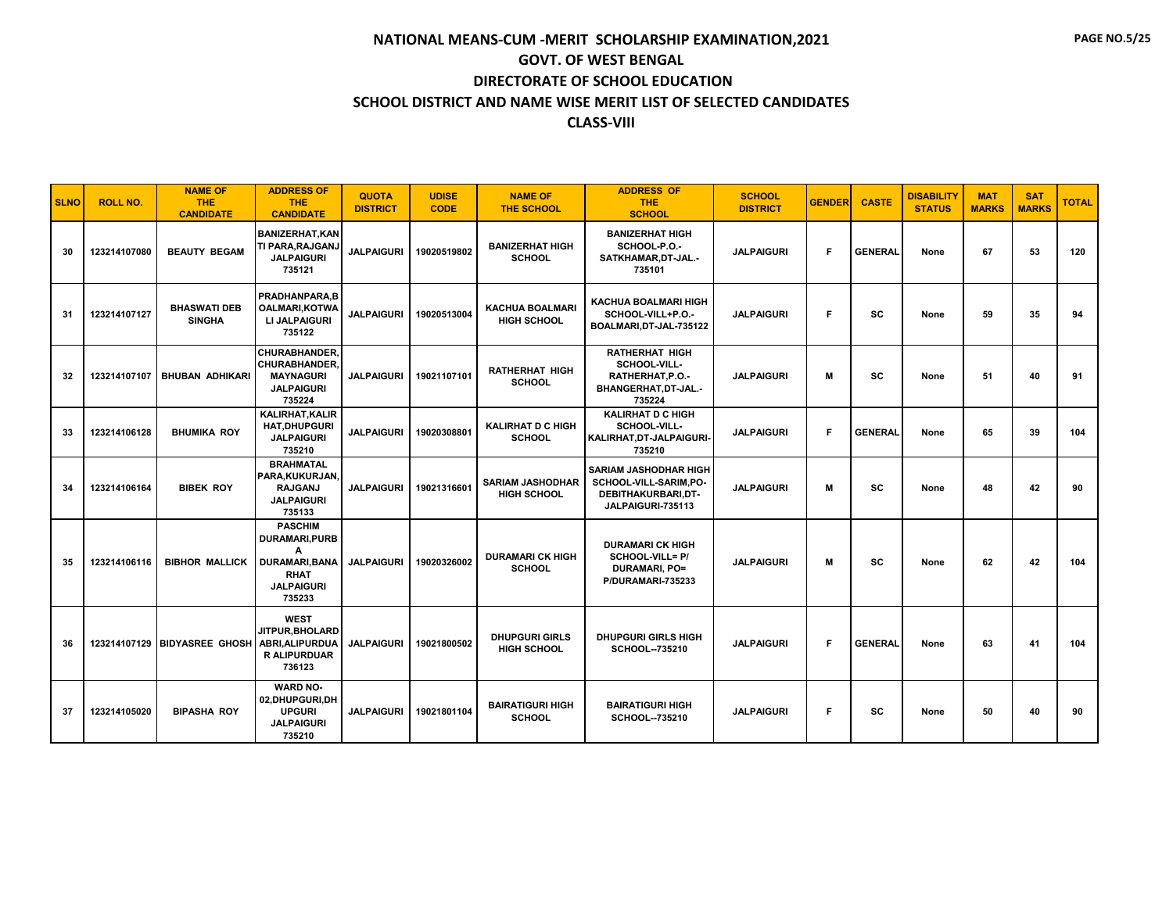| <b>SLNO</b> | <b>ROLL NO.</b> | <b>NAME OF</b><br><b>THE</b><br><b>CANDIDATE</b> | <b>ADDRESS OF</b><br><b>THE</b><br><b>CANDIDATE</b>                                                                | <b>QUOTA</b><br><b>DISTRICT</b> | <b>UDISE</b><br><b>CODE</b> | <b>NAME OF</b><br><b>THE SCHOOL</b>           | <b>ADDRESS OF</b><br><b>THE</b><br><b>SCHOOL</b>                                                 | <b>SCHOOL</b><br><b>DISTRICT</b> | <b>GENDER</b> | <b>CASTE</b>   | <b>DISABILITY</b><br><b>STATUS</b> | <b>MAT</b><br><b>MARKS</b> | <b>SAT</b><br><b>MARKS</b> | <b>TOTAL</b> |
|-------------|-----------------|--------------------------------------------------|--------------------------------------------------------------------------------------------------------------------|---------------------------------|-----------------------------|-----------------------------------------------|--------------------------------------------------------------------------------------------------|----------------------------------|---------------|----------------|------------------------------------|----------------------------|----------------------------|--------------|
| 30          | 123214107080    | <b>BEAUTY BEGAM</b>                              | <b>BANIZERHAT, KAN</b><br>TI PARA, RAJGANJ<br><b>JALPAIGURI</b><br>735121                                          | <b>JALPAIGURI</b>               | 19020519802                 | <b>BANIZERHAT HIGH</b><br><b>SCHOOL</b>       | <b>BANIZERHAT HIGH</b><br>SCHOOL-P.O.-<br>SATKHAMAR, DT-JAL.-<br>735101                          | <b>JALPAIGURI</b>                | F             | <b>GENERAL</b> | None                               | 67                         | 53                         | 120          |
| 31          | 123214107127    | <b>BHASWATI DEB</b><br><b>SINGHA</b>             | PRADHANPARA,B<br><b>OALMARI, KOTWA</b><br><b>LI JALPAIGURI</b><br>735122                                           | <b>JALPAIGURI</b>               | 19020513004                 | <b>KACHUA BOALMARI</b><br><b>HIGH SCHOOL</b>  | <b>KACHUA BOALMARI HIGH</b><br>SCHOOL-VILL+P.O.-<br>BOALMARI, DT-JAL-735122                      | <b>JALPAIGURI</b>                | F             | <b>SC</b>      | None                               | 59                         | 35                         | 94           |
| 32          |                 | 123214107107   BHUBAN ADHIKARI                   | <b>CHURABHANDER.</b><br><b>CHURABHANDER.</b><br><b>MAYNAGURI</b><br><b>JALPAIGURI</b><br>735224                    | <b>JALPAIGURI</b>               | 19021107101                 | <b>RATHERHAT HIGH</b><br><b>SCHOOL</b>        | <b>RATHERHAT HIGH</b><br>SCHOOL-VILL-<br>RATHERHAT.P.O.-<br>BHANGERHAT, DT-JAL.-<br>735224       | <b>JALPAIGURI</b>                | м             | <b>SC</b>      | None                               | 51                         | 40                         | 91           |
| 33          | 123214106128    | <b>BHUMIKA ROY</b>                               | <b>KALIRHAT, KALIR</b><br><b>HAT, DHUPGURI</b><br><b>JALPAIGURI</b><br>735210                                      | <b>JALPAIGURI</b>               | 19020308801                 | <b>KALIRHAT D C HIGH</b><br><b>SCHOOL</b>     | <b>KALIRHAT D C HIGH</b><br>SCHOOL-VILL-<br>KALIRHAT, DT-JALPAIGURI-<br>735210                   | <b>JALPAIGURI</b>                | F             | <b>GENERAL</b> | None                               | 65                         | 39                         | 104          |
| 34          | 123214106164    | <b>BIBEK ROY</b>                                 | <b>BRAHMATAL</b><br>PARA, KUKURJAN,<br><b>RAJGANJ</b><br><b>JALPAIGURI</b><br>735133                               | <b>JALPAIGURI</b>               | 19021316601                 | <b>SARIAM JASHODHAR</b><br><b>HIGH SCHOOL</b> | <b>SARIAM JASHODHAR HIGH</b><br>SCHOOL-VILL-SARIM,PO-<br>DEBITHAKURBARI.DT-<br>JALPAIGURI-735113 | <b>JALPAIGURI</b>                | м             | <b>SC</b>      | None                               | 48                         | 42                         | 90           |
| 35          | 123214106116    | <b>BIBHOR MALLICK</b>                            | <b>PASCHIM</b><br><b>DURAMARI.PURB</b><br>A<br><b>DURAMARI, BANA</b><br><b>RHAT</b><br><b>JALPAIGURI</b><br>735233 | <b>JALPAIGURI</b>               | 19020326002                 | <b>DURAMARI CK HIGH</b><br><b>SCHOOL</b>      | <b>DURAMARI CK HIGH</b><br>SCHOOL-VILL= P/<br><b>DURAMARI, PO=</b><br>P/DURAMARI-735233          | <b>JALPAIGURI</b>                | м             | <b>SC</b>      | None                               | 62                         | 42                         | 104          |
| 36          |                 | 123214107129 BIDYASREE GHOSH                     | <b>WEST</b><br>JITPUR.BHOLARD<br><b>ABRI.ALIPURDUA</b><br><b>R ALIPURDUAR</b><br>736123                            | <b>JALPAIGURI</b>               | 19021800502                 | <b>DHUPGURI GIRLS</b><br><b>HIGH SCHOOL</b>   | <b>DHUPGURI GIRLS HIGH</b><br>SCHOOL--735210                                                     | <b>JALPAIGURI</b>                | F             | <b>GENERAL</b> | None                               | 63                         | 41                         | 104          |
| 37          | 123214105020    | <b>BIPASHA ROY</b>                               | <b>WARD NO-</b><br>02,DHUPGURI,DH<br><b>UPGURI</b><br><b>JALPAIGURI</b><br>735210                                  | <b>JALPAIGURI</b>               | 19021801104                 | <b>BAIRATIGURI HIGH</b><br><b>SCHOOL</b>      | <b>BAIRATIGURI HIGH</b><br><b>SCHOOL--735210</b>                                                 | <b>JALPAIGURI</b>                | Е             | <b>SC</b>      | None                               | 50                         | 40                         | 90           |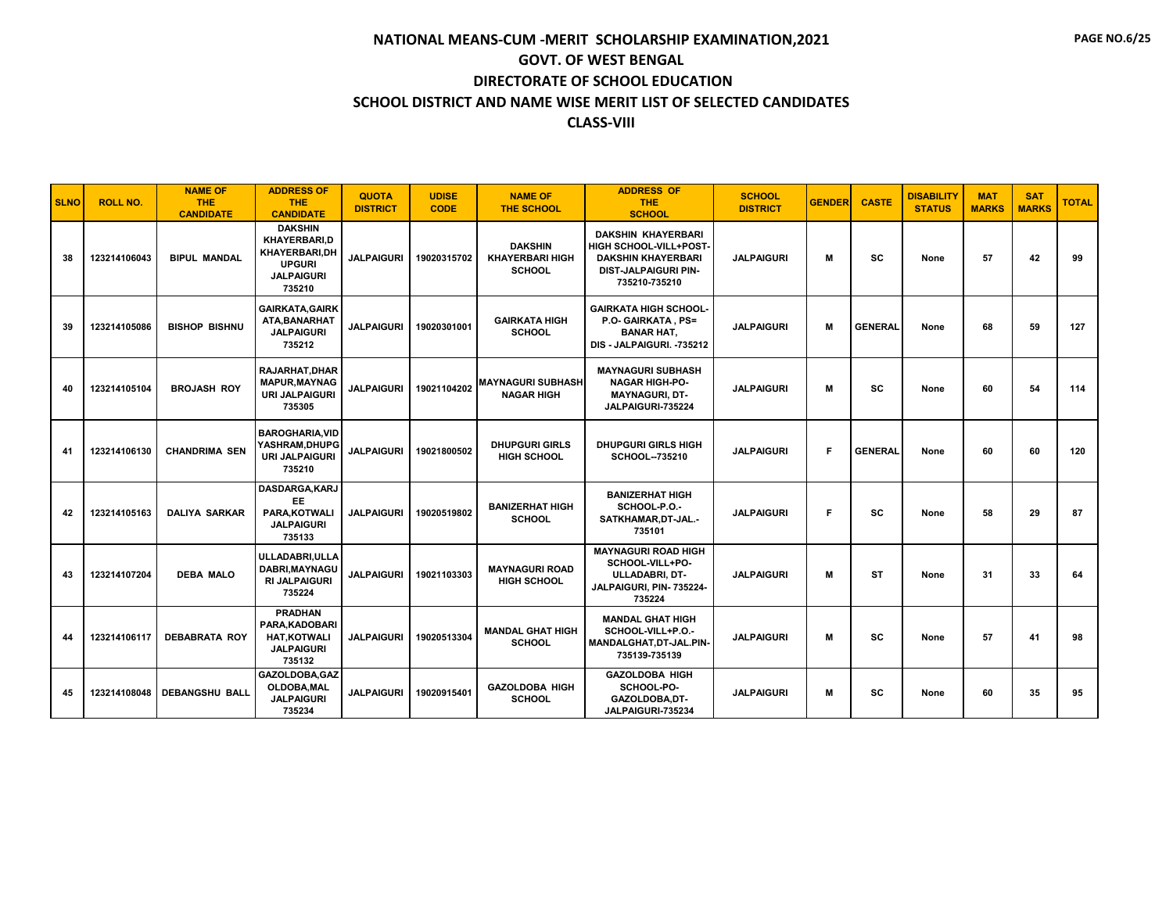| <b>SLNO</b> | <b>ROLL NO.</b> | <b>NAME OF</b><br><b>THE</b><br><b>CANDIDATE</b> | <b>ADDRESS OF</b><br><b>THE</b><br><b>CANDIDATE</b>                                                    | <b>QUOTA</b><br><b>DISTRICT</b> | <b>UDISE</b><br><b>CODE</b> | <b>NAME OF</b><br><b>THE SCHOOL</b>                       | <b>ADDRESS OF</b><br><b>THE</b><br><b>SCHOOL</b>                                                                          | <b>SCHOOL</b><br><b>DISTRICT</b> | <b>GENDER</b> | <b>CASTE</b>   | <b>DISABILITY</b><br><b>STATUS</b> | <b>MAT</b><br><b>MARKS</b> | <b>SAT</b><br><b>MARKS</b> | <b>TOTAL</b> |
|-------------|-----------------|--------------------------------------------------|--------------------------------------------------------------------------------------------------------|---------------------------------|-----------------------------|-----------------------------------------------------------|---------------------------------------------------------------------------------------------------------------------------|----------------------------------|---------------|----------------|------------------------------------|----------------------------|----------------------------|--------------|
| 38          | 123214106043    | <b>BIPUL MANDAL</b>                              | <b>DAKSHIN</b><br><b>KHAYERBARI.D</b><br>KHAYERBARI,DH<br><b>UPGURI</b><br><b>JALPAIGURI</b><br>735210 | <b>JALPAIGURI</b>               | 19020315702                 | <b>DAKSHIN</b><br><b>KHAYERBARI HIGH</b><br><b>SCHOOL</b> | <b>DAKSHIN KHAYERBARI</b><br>HIGH SCHOOL-VILL+POST-<br><b>DAKSHIN KHAYERBARI</b><br>DIST-JALPAIGURI PIN-<br>735210-735210 | <b>JALPAIGURI</b>                | м             | SC             | None                               | 57                         | 42                         | 99           |
| 39          | 123214105086    | <b>BISHOP BISHNU</b>                             | <b>GAIRKATA, GAIRK</b><br>ATA, BANARHAT<br><b>JALPAIGURI</b><br>735212                                 | <b>JALPAIGURI</b>               | 19020301001                 | <b>GAIRKATA HIGH</b><br><b>SCHOOL</b>                     | <b>GAIRKATA HIGH SCHOOL-</b><br>P.O. GAIRKATA, PS=<br><b>BANAR HAT,</b><br>DIS - JALPAIGURI. - 735212                     | <b>JALPAIGURI</b>                | M             | <b>GENERAL</b> | None                               | 68                         | 59                         | 127          |
| 40          | 123214105104    | <b>BROJASH ROY</b>                               | <b>RAJARHAT, DHAR</b><br><b>MAPUR, MAYNAG</b><br><b>URI JALPAIGURI</b><br>735305                       | <b>JALPAIGURI</b>               | 19021104202                 | <b>MAYNAGURI SUBHASH</b><br><b>NAGAR HIGH</b>             | <b>MAYNAGURI SUBHASH</b><br><b>NAGAR HIGH-PO-</b><br><b>MAYNAGURI, DT-</b><br>JALPAIGURI-735224                           | <b>JALPAIGURI</b>                | M             | <b>SC</b>      | None                               | 60                         | 54                         | 114          |
| 41          | 123214106130    | <b>CHANDRIMA SEN</b>                             | <b>BAROGHARIA.VID</b><br>YASHRAM, DHUPG<br><b>URI JALPAIGURI</b><br>735210                             | <b>JALPAIGURI</b>               | 19021800502                 | <b>DHUPGURI GIRLS</b><br><b>HIGH SCHOOL</b>               | <b>DHUPGURI GIRLS HIGH</b><br>SCHOOL--735210                                                                              | <b>JALPAIGURI</b>                | F             | <b>GENERAL</b> | None                               | 60                         | 60                         | 120          |
| 42          | 123214105163    | <b>DALIYA SARKAR</b>                             | DASDARGA, KARJ<br><b>EE</b><br>PARA.KOTWALI<br><b>JALPAIGURI</b><br>735133                             | <b>JALPAIGURI</b>               | 19020519802                 | <b>BANIZERHAT HIGH</b><br><b>SCHOOL</b>                   | <b>BANIZERHAT HIGH</b><br>SCHOOL-P.O.-<br>SATKHAMAR, DT-JAL.-<br>735101                                                   | <b>JALPAIGURI</b>                | F             | <b>SC</b>      | None                               | 58                         | 29                         | 87           |
| 43          | 123214107204    | <b>DEBA MALO</b>                                 | ULLADABRI.ULLA<br>DABRI, MAYNAGU<br><b>RI JALPAIGURI</b><br>735224                                     | <b>JALPAIGURI</b>               | 19021103303                 | <b>MAYNAGURI ROAD</b><br><b>HIGH SCHOOL</b>               | <b>MAYNAGURI ROAD HIGH</b><br>SCHOOL-VILL+PO-<br><b>ULLADABRI. DT-</b><br>JALPAIGURI, PIN-735224-<br>735224               | <b>JALPAIGURI</b>                | м             | <b>ST</b>      | None                               | 31                         | 33                         | 64           |
| 44          | 123214106117    | <b>DEBABRATA ROY</b>                             | <b>PRADHAN</b><br>PARA, KADOBARI<br><b>HAT.KOTWALI</b><br><b>JALPAIGURI</b><br>735132                  | <b>JALPAIGURI</b>               | 19020513304                 | <b>MANDAL GHAT HIGH</b><br><b>SCHOOL</b>                  | <b>MANDAL GHAT HIGH</b><br>SCHOOL-VILL+P.O.-<br>MANDALGHAT, DT-JAL.PIN-<br>735139-735139                                  | <b>JALPAIGURI</b>                | М             | <b>SC</b>      | None                               | 57                         | 41                         | 98           |
| 45          | 123214108048    | <b>DEBANGSHU BALL</b>                            | GAZOLDOBA.GAZ<br>OLDOBA, MAL<br><b>JALPAIGURI</b><br>735234                                            | <b>JALPAIGURI</b>               | 19020915401                 | <b>GAZOLDOBA HIGH</b><br>SCHOOL                           | <b>GAZOLDOBA HIGH</b><br>SCHOOL-PO-<br>GAZOLDOBA,DT-<br>JALPAIGURI-735234                                                 | <b>JALPAIGURI</b>                | М             | sc             | None                               | 60                         | 35                         | 95           |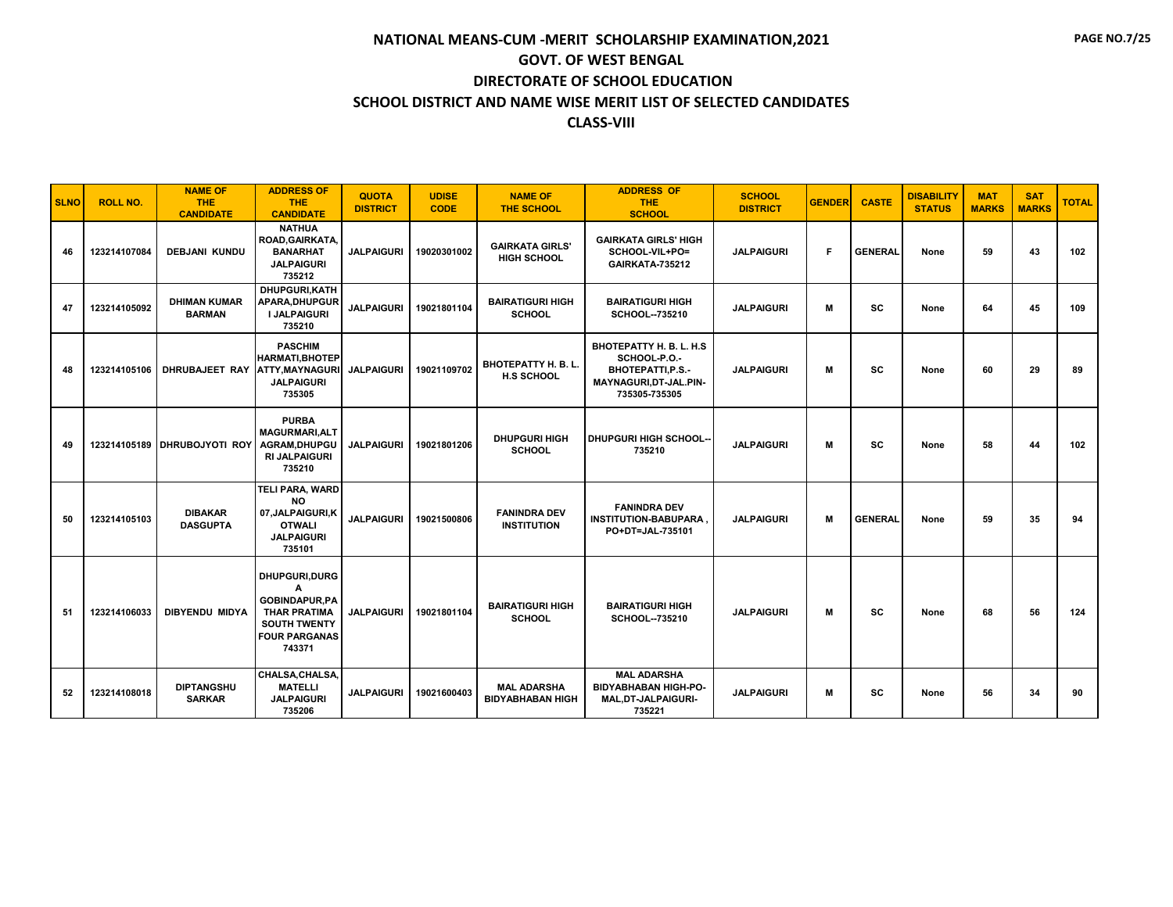| <b>SLNO</b> | <b>ROLL NO.</b> | <b>NAME OF</b><br><b>THE</b><br><b>CANDIDATE</b> | <b>ADDRESS OF</b><br><b>THE</b><br><b>CANDIDATE</b>                                                                         | <b>QUOTA</b><br><b>DISTRICT</b> | <b>UDISE</b><br><b>CODE</b> | <b>NAME OF</b><br><b>THE SCHOOL</b>           | <b>ADDRESS OF</b><br><b>THE</b><br><b>SCHOOL</b>                                                         | <b>SCHOOL</b><br><b>DISTRICT</b> | <b>GENDER</b> | <b>CASTE</b>   | <b>DISABILITY</b><br><b>STATUS</b> | <b>MAT</b><br><b>MARKS</b> | <b>SAT</b><br><b>MARKS</b> | <b>TOTAL</b> |
|-------------|-----------------|--------------------------------------------------|-----------------------------------------------------------------------------------------------------------------------------|---------------------------------|-----------------------------|-----------------------------------------------|----------------------------------------------------------------------------------------------------------|----------------------------------|---------------|----------------|------------------------------------|----------------------------|----------------------------|--------------|
| 46          | 123214107084    | <b>DEBJANI KUNDU</b>                             | <b>NATHUA</b><br>ROAD, GAIRKATA,<br><b>BANARHAT</b><br><b>JALPAIGURI</b><br>735212                                          | <b>JALPAIGURI</b>               | 19020301002                 | <b>GAIRKATA GIRLS'</b><br><b>HIGH SCHOOL</b>  | <b>GAIRKATA GIRLS' HIGH</b><br>SCHOOL-VIL+PO=<br>GAIRKATA-735212                                         | <b>JALPAIGURI</b>                | F             | <b>GENERAL</b> | None                               | 59                         | 43                         | 102          |
| 47          | 123214105092    | <b>DHIMAN KUMAR</b><br><b>BARMAN</b>             | DHUPGURI, KATH<br><b>APARA, DHUPGUR</b><br><b>I JALPAIGURI</b><br>735210                                                    | <b>JALPAIGURI</b>               | 19021801104                 | <b>BAIRATIGURI HIGH</b><br><b>SCHOOL</b>      | <b>BAIRATIGURI HIGH</b><br>SCHOOL--735210                                                                | <b>JALPAIGURI</b>                | M             | <b>SC</b>      | None                               | 64                         | 45                         | 109          |
| 48          | 123214105106    | DHRUBAJEET RAY ATTY, MAYNAGURI                   | <b>PASCHIM</b><br><b>HARMATI, BHOTEP</b><br><b>JALPAIGURI</b><br>735305                                                     | <b>JALPAIGURI</b>               | 19021109702                 | BHOTEPATTY H. B. L.<br><b>H.S SCHOOL</b>      | BHOTEPATTY H. B. L. H.S.<br>SCHOOL-P.O.-<br>BHOTEPATTI, P.S.-<br>MAYNAGURI, DT-JAL.PIN-<br>735305-735305 | <b>JALPAIGURI</b>                | M             | <b>SC</b>      | None                               | 60                         | 29                         | 89           |
| 49          |                 | 123214105189 DHRUBOJYOTI ROY                     | <b>PURBA</b><br><b>MAGURMARI, ALT</b><br>AGRAM, DHUPGU<br><b>RI JALPAIGURI</b><br>735210                                    | <b>JALPAIGURI</b>               | 19021801206                 | <b>DHUPGURI HIGH</b><br><b>SCHOOL</b>         | <b>DHUPGURI HIGH SCHOOL-</b><br>735210                                                                   | <b>JALPAIGURI</b>                | M             | <b>SC</b>      | None                               | 58                         | 44                         | 102          |
| 50          | 123214105103    | <b>DIBAKAR</b><br><b>DASGUPTA</b>                | TELI PARA, WARD<br><b>NO</b><br>07, JALPAIGURI, K<br><b>OTWALI</b><br><b>JALPAIGURI</b><br>735101                           | <b>JALPAIGURI</b>               | 19021500806                 | <b>FANINDRA DEV</b><br><b>INSTITUTION</b>     | <b>FANINDRA DEV</b><br><b>INSTITUTION-BABUPARA</b><br>PO+DT=JAL-735101                                   | <b>JALPAIGURI</b>                | M             | <b>GENERAL</b> | None                               | 59                         | 35                         | 94           |
| 51          | 123214106033    | <b>DIBYENDU MIDYA</b>                            | DHUPGURI, DURG<br>A<br><b>GOBINDAPUR.PA</b><br><b>THAR PRATIMA</b><br><b>SOUTH TWENTY</b><br><b>FOUR PARGANAS</b><br>743371 | <b>JALPAIGURI</b>               | 19021801104                 | <b>BAIRATIGURI HIGH</b><br><b>SCHOOL</b>      | <b>BAIRATIGURI HIGH</b><br>SCHOOL--735210                                                                | <b>JALPAIGURI</b>                | M             | SC             | None                               | 68                         | 56                         | 124          |
| 52          | 123214108018    | <b>DIPTANGSHU</b><br><b>SARKAR</b>               | CHALSA, CHALSA,<br><b>MATELLI</b><br><b>JALPAIGURI</b><br>735206                                                            | <b>JALPAIGURI</b>               | 19021600403                 | <b>MAL ADARSHA</b><br><b>BIDYABHABAN HIGH</b> | <b>MAL ADARSHA</b><br><b>BIDYABHABAN HIGH-PO-</b><br><b>MAL.DT-JALPAIGURI-</b><br>735221                 | <b>JALPAIGURI</b>                | М             | sc             | None                               | 56                         | 34                         | 90           |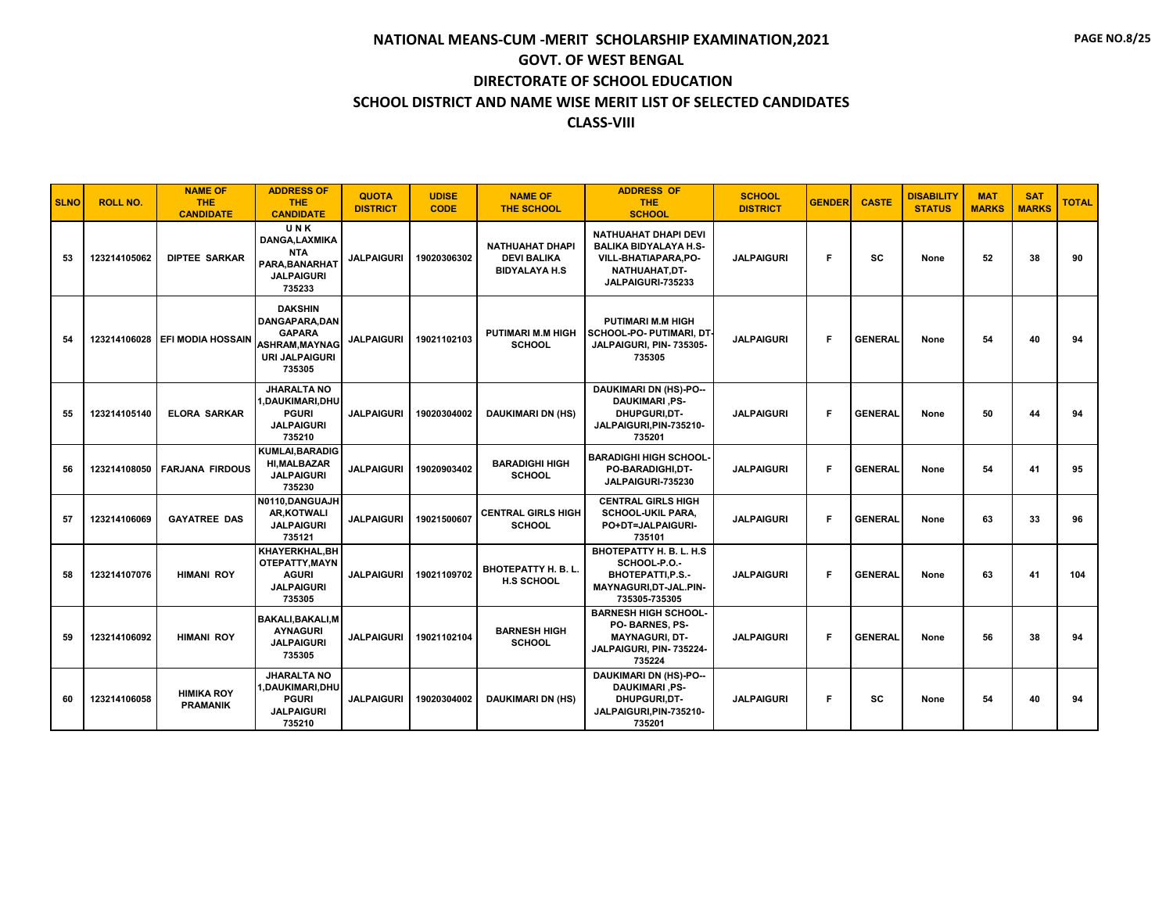| <b>SLNO</b> | <b>ROLL NO.</b> | <b>NAME OF</b><br><b>THE</b><br><b>CANDIDATE</b> | <b>ADDRESS OF</b><br>THE.<br><b>CANDIDATE</b>                                                                      | <b>QUOTA</b><br><b>DISTRICT</b> | <b>UDISE</b><br><b>CODE</b> | <b>NAME OF</b><br><b>THE SCHOOL</b>                                  | <b>ADDRESS OF</b><br><b>THE</b><br><b>SCHOOL</b>                                                                         | <b>SCHOOL</b><br><b>DISTRICT</b> | <b>GENDER</b> | <b>CASTE</b>   | <b>DISABILITY</b><br><b>STATUS</b> | <b>MAT</b><br><b>MARKS</b> | <b>SAT</b><br><b>MARKS</b> | <b>TOTAL</b> |
|-------------|-----------------|--------------------------------------------------|--------------------------------------------------------------------------------------------------------------------|---------------------------------|-----------------------------|----------------------------------------------------------------------|--------------------------------------------------------------------------------------------------------------------------|----------------------------------|---------------|----------------|------------------------------------|----------------------------|----------------------------|--------------|
| 53          | 123214105062    | <b>DIPTEE SARKAR</b>                             | UNK<br>DANGA, LAXMIKA<br><b>NTA</b><br>PARA, BANARHAT<br><b>JALPAIGURI</b><br>735233                               | <b>JALPAIGURI</b>               | 19020306302                 | <b>NATHUAHAT DHAPI</b><br><b>DEVI BALIKA</b><br><b>BIDYALAYA H.S</b> | NATHUAHAT DHAPI DEVI<br><b>BALIKA BIDYALAYA H.S-</b><br><b>VILL-BHATIAPARA,PO-</b><br>NATHUAHAT,DT-<br>JALPAIGURI-735233 | <b>JALPAIGURI</b>                | Е             | SC             | None                               | 52                         | 38                         | 90           |
| 54          |                 | 123214106028 EFI MODIA HOSSAIN                   | <b>DAKSHIN</b><br><b>DANGAPARA.DAN</b><br><b>GAPARA</b><br><b>ASHRAM.MAYNAG</b><br><b>URI JALPAIGURI</b><br>735305 | <b>JALPAIGURI</b>               | 19021102103                 | <b>PUTIMARI M.M HIGH</b><br><b>SCHOOL</b>                            | <b>PUTIMARI M.M HIGH</b><br>SCHOOL-PO- PUTIMARI, DT<br>JALPAIGURI, PIN- 735305-<br>735305                                | <b>JALPAIGURI</b>                | F             | <b>GENERAL</b> | None                               | 54                         | 40                         | 94           |
| 55          | 123214105140    | <b>ELORA SARKAR</b>                              | <b>JHARALTA NO</b><br>,DAUKIMARI,DHU<br><b>PGURI</b><br><b>JALPAIGURI</b><br>735210                                | <b>JALPAIGURI</b>               | 19020304002                 | <b>DAUKIMARI DN (HS)</b>                                             | <b>DAUKIMARI DN (HS)-PO--</b><br><b>DAUKIMARI, PS-</b><br>DHUPGURI, DT-<br>JALPAIGURI, PIN-735210-<br>735201             | <b>JALPAIGURI</b>                | F             | <b>GENERAL</b> | None                               | 50                         | 44                         | 94           |
| 56          |                 | 123214108050 FARJANA FIRDOUS                     | <b>KUMLAI, BARADIG</b><br><b>HI, MALBAZAR</b><br><b>JALPAIGURI</b><br>735230                                       | <b>JALPAIGURI</b>               | 19020903402                 | <b>BARADIGHI HIGH</b><br><b>SCHOOL</b>                               | <b>BARADIGHI HIGH SCHOOL-</b><br>PO-BARADIGHI.DT-<br>JALPAIGURI-735230                                                   | <b>JALPAIGURI</b>                | F             | <b>GENERAL</b> | None                               | 54                         | 41                         | 95           |
| 57          | 123214106069    | <b>GAYATREE DAS</b>                              | N0110, DANGUAJH<br><b>AR.KOTWALI</b><br><b>JALPAIGURI</b><br>735121                                                | <b>JALPAIGURI</b>               | 19021500607                 | <b>CENTRAL GIRLS HIGH</b><br><b>SCHOOL</b>                           | <b>CENTRAL GIRLS HIGH</b><br><b>SCHOOL-UKIL PARA,</b><br>PO+DT=JALPAIGURI-<br>735101                                     | <b>JALPAIGURI</b>                | F             | <b>GENERAL</b> | None                               | 63                         | 33                         | 96           |
| 58          | 123214107076    | <b>HIMANI ROY</b>                                | KHAYERKHAL, BH<br>OTEPATTY, MAYN<br><b>AGURI</b><br><b>JALPAIGURI</b><br>735305                                    | <b>JALPAIGURI</b>               | 19021109702                 | <b>BHOTEPATTY H. B. L.</b><br><b>H.S SCHOOL</b>                      | BHOTEPATTY H. B. L. H.S.<br>SCHOOL-P.O.-<br><b>BHOTEPATTI.P.S.-</b><br>MAYNAGURI, DT-JAL.PIN-<br>735305-735305           | <b>JALPAIGURI</b>                | F             | <b>GENERAL</b> | None                               | 63                         | 41                         | 104          |
| 59          | 123214106092    | <b>HIMANI ROY</b>                                | BAKALI, BAKALI, M<br><b>AYNAGURI</b><br><b>JALPAIGURI</b><br>735305                                                | <b>JALPAIGURI</b>               | 19021102104                 | <b>BARNESH HIGH</b><br><b>SCHOOL</b>                                 | <b>BARNESH HIGH SCHOOL-</b><br>PO-BARNES, PS-<br><b>MAYNAGURI, DT-</b><br>JALPAIGURI, PIN-735224-<br>735224              | <b>JALPAIGURI</b>                | F             | <b>GENERAL</b> | None                               | 56                         | 38                         | 94           |
| 60          | 123214106058    | <b>HIMIKA ROY</b><br><b>PRAMANIK</b>             | <b>JHARALTA NO</b><br><b>.DAUKIMARI.DHU</b><br><b>PGURI</b><br><b>JALPAIGURI</b><br>735210                         | <b>JALPAIGURI</b>               | 19020304002                 | <b>DAUKIMARI DN (HS)</b>                                             | <b>DAUKIMARI DN (HS)-PO--</b><br><b>DAUKIMARI, PS-</b><br>DHUPGURI,DT-<br>JALPAIGURI, PIN-735210-<br>735201              | <b>JALPAIGURI</b>                | F             | <b>SC</b>      | None                               | 54                         | 40                         | 94           |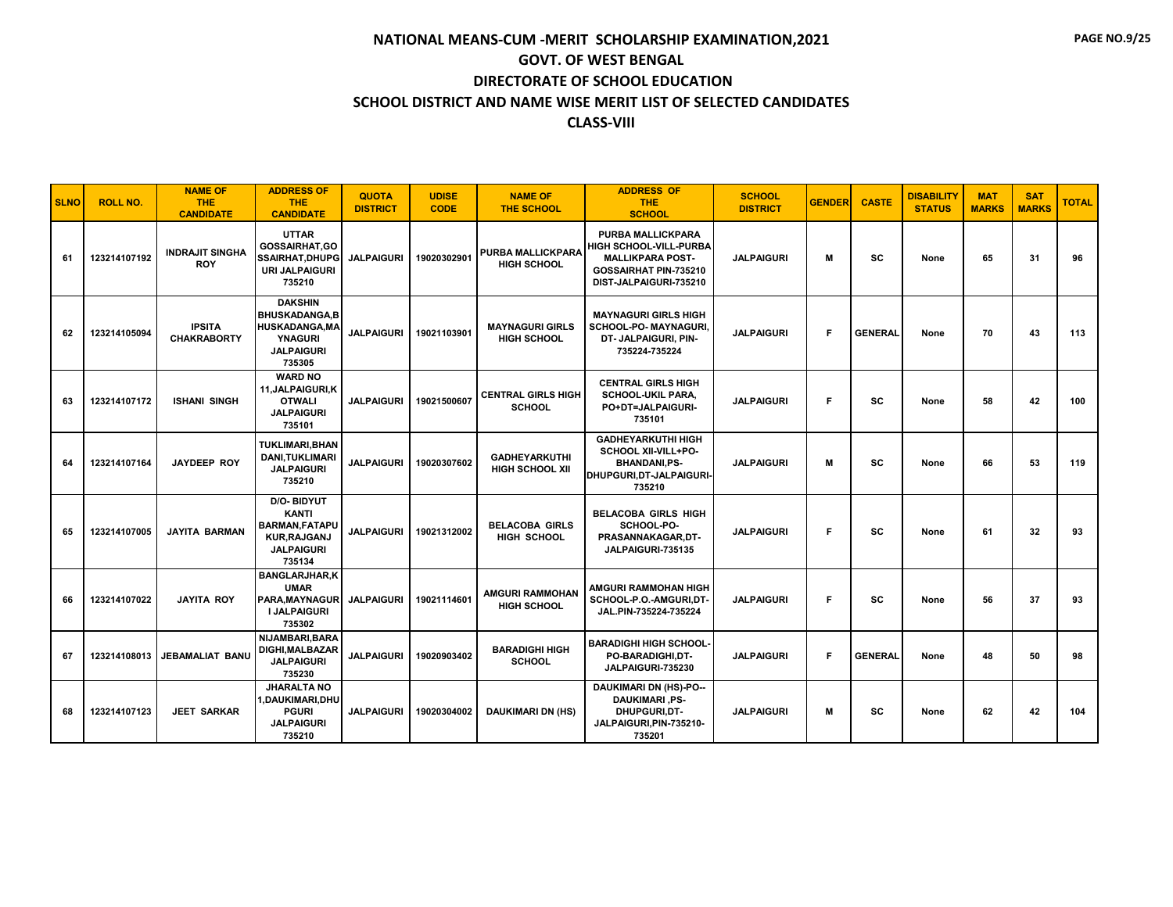| <b>SLNO</b> | <b>ROLL NO.</b> | <b>NAME OF</b><br><b>THE</b><br><b>CANDIDATE</b> | <b>ADDRESS OF</b><br><b>THE</b><br><b>CANDIDATE</b>                                                              | <b>QUOTA</b><br><b>DISTRICT</b> | <b>UDISE</b><br><b>CODE</b> | <b>NAME OF</b><br><b>THE SCHOOL</b>            | <b>ADDRESS OF</b><br><b>THE</b><br><b>SCHOOL</b>                                                                                        | <b>SCHOOL</b><br><b>DISTRICT</b> | <b>GENDER</b> | <b>CASTE</b>   | <b>DISABILITY</b><br><b>STATUS</b> | <b>MAT</b><br><b>MARKS</b> | <b>SAT</b><br><b>MARKS</b> | <b>TOTAL</b> |
|-------------|-----------------|--------------------------------------------------|------------------------------------------------------------------------------------------------------------------|---------------------------------|-----------------------------|------------------------------------------------|-----------------------------------------------------------------------------------------------------------------------------------------|----------------------------------|---------------|----------------|------------------------------------|----------------------------|----------------------------|--------------|
| 61          | 123214107192    | <b>INDRAJIT SINGHA</b><br><b>ROY</b>             | <b>UTTAR</b><br><b>GOSSAIRHAT,GO</b><br><b>SSAIRHAT, DHUPG</b><br><b>URI JALPAIGURI</b><br>735210                | <b>JALPAIGURI</b>               | 19020302901                 | PURBA MALLICKPARA<br><b>HIGH SCHOOL</b>        | <b>PURBA MALLICKPARA</b><br><b>HIGH SCHOOL-VILL-PURBA</b><br><b>MALLIKPARA POST-</b><br>GOSSAIRHAT PIN-735210<br>DIST-JALPAIGURI-735210 | <b>JALPAIGURI</b>                | м             | <b>SC</b>      | None                               | 65                         | 31                         | 96           |
| 62          | 123214105094    | <b>IPSITA</b><br><b>CHAKRABORTY</b>              | <b>DAKSHIN</b><br><b>BHUSKADANGA.B</b><br><b>HUSKADANGA, MA</b><br><b>YNAGURI</b><br><b>JALPAIGURI</b><br>735305 | <b>JALPAIGURI</b>               | 19021103901                 | <b>MAYNAGURI GIRLS</b><br><b>HIGH SCHOOL</b>   | <b>MAYNAGURI GIRLS HIGH</b><br>SCHOOL-PO- MAYNAGURI.<br>DT- JALPAIGURI, PIN-<br>735224-735224                                           | <b>JALPAIGURI</b>                | F             | <b>GENERAL</b> | None                               | 70                         | 43                         | 113          |
| 63          | 123214107172    | <b>ISHANI SINGH</b>                              | <b>WARD NO</b><br>11.JALPAIGURI.K<br><b>OTWALI</b><br><b>JALPAIGURI</b><br>735101                                | <b>JALPAIGURI</b>               | 19021500607                 | <b>CENTRAL GIRLS HIGH</b><br><b>SCHOOL</b>     | <b>CENTRAL GIRLS HIGH</b><br><b>SCHOOL-UKIL PARA.</b><br>PO+DT=JALPAIGURI-<br>735101                                                    | <b>JALPAIGURI</b>                | F             | <b>SC</b>      | None                               | 58                         | 42                         | 100          |
| 64          | 123214107164    | <b>JAYDEEP ROY</b>                               | <b>TUKLIMARI, BHAN</b><br><b>DANI,TUKLIMARI</b><br><b>JALPAIGURI</b><br>735210                                   | <b>JALPAIGURI</b>               | 19020307602                 | <b>GADHEYARKUTHI</b><br><b>HIGH SCHOOL XII</b> | <b>GADHEYARKUTHI HIGH</b><br>SCHOOL XII-VILL+PO-<br><b>BHANDANI,PS-</b><br>DHUPGURI, DT-JALPAIGURI-<br>735210                           | <b>JALPAIGURI</b>                | М             | SC             | None                               | 66                         | 53                         | 119          |
| 65          | 123214107005    | <b>JAYITA BARMAN</b>                             | <b>D/O-BIDYUT</b><br><b>KANTI</b><br><b>BARMAN, FATAPU</b><br><b>KUR, RAJGANJ</b><br><b>JALPAIGURI</b><br>735134 | <b>JALPAIGURI</b>               | 19021312002                 | <b>BELACOBA GIRLS</b><br><b>HIGH SCHOOL</b>    | <b>BELACOBA GIRLS HIGH</b><br>SCHOOL-PO-<br>PRASANNAKAGAR,DT-<br>JALPAIGURI-735135                                                      | <b>JALPAIGURI</b>                | F             | <b>SC</b>      | None                               | 61                         | 32                         | 93           |
| 66          | 123214107022    | <b>JAYITA ROY</b>                                | <b>BANGLARJHAR,K</b><br><b>UMAR</b><br><b>PARA.MAYNAGUR</b><br><b>I JALPAIGURI</b><br>735302                     | <b>JALPAIGURI</b>               | 19021114601                 | <b>AMGURI RAMMOHAN</b><br><b>HIGH SCHOOL</b>   | <b>AMGURI RAMMOHAN HIGH</b><br>SCHOOL-P.O.-AMGURI,DT-<br>JAL.PIN-735224-735224                                                          | <b>JALPAIGURI</b>                | F             | <b>SC</b>      | None                               | 56                         | 37                         | 93           |
| 67          | 123214108013    | <b>JEBAMALIAT BANU</b>                           | <b>NIJAMBARI.BARA</b><br>DIGHI, MALBAZAR<br><b>JALPAIGURI</b><br>735230                                          | <b>JALPAIGURI</b>               | 19020903402                 | <b>BARADIGHI HIGH</b><br><b>SCHOOL</b>         | <b>BARADIGHI HIGH SCHOOL</b><br>PO-BARADIGHI,DT-<br>JALPAIGURI-735230                                                                   | <b>JALPAIGURI</b>                | F             | <b>GENERAL</b> | None                               | 48                         | 50                         | 98           |
| 68          | 123214107123    | <b>JEET SARKAR</b>                               | <b>JHARALTA NO</b><br>1,DAUKIMARI,DHU<br><b>PGURI</b><br><b>JALPAIGURI</b><br>735210                             | <b>JALPAIGURI</b>               | 19020304002                 | <b>DAUKIMARI DN (HS)</b>                       | <b>DAUKIMARI DN (HS)-PO--</b><br><b>DAUKIMARI, PS-</b><br><b>DHUPGURI.DT-</b><br>JALPAIGURI, PIN-735210-<br>735201                      | <b>JALPAIGURI</b>                | м             | <b>SC</b>      | None                               | 62                         | 42                         | 104          |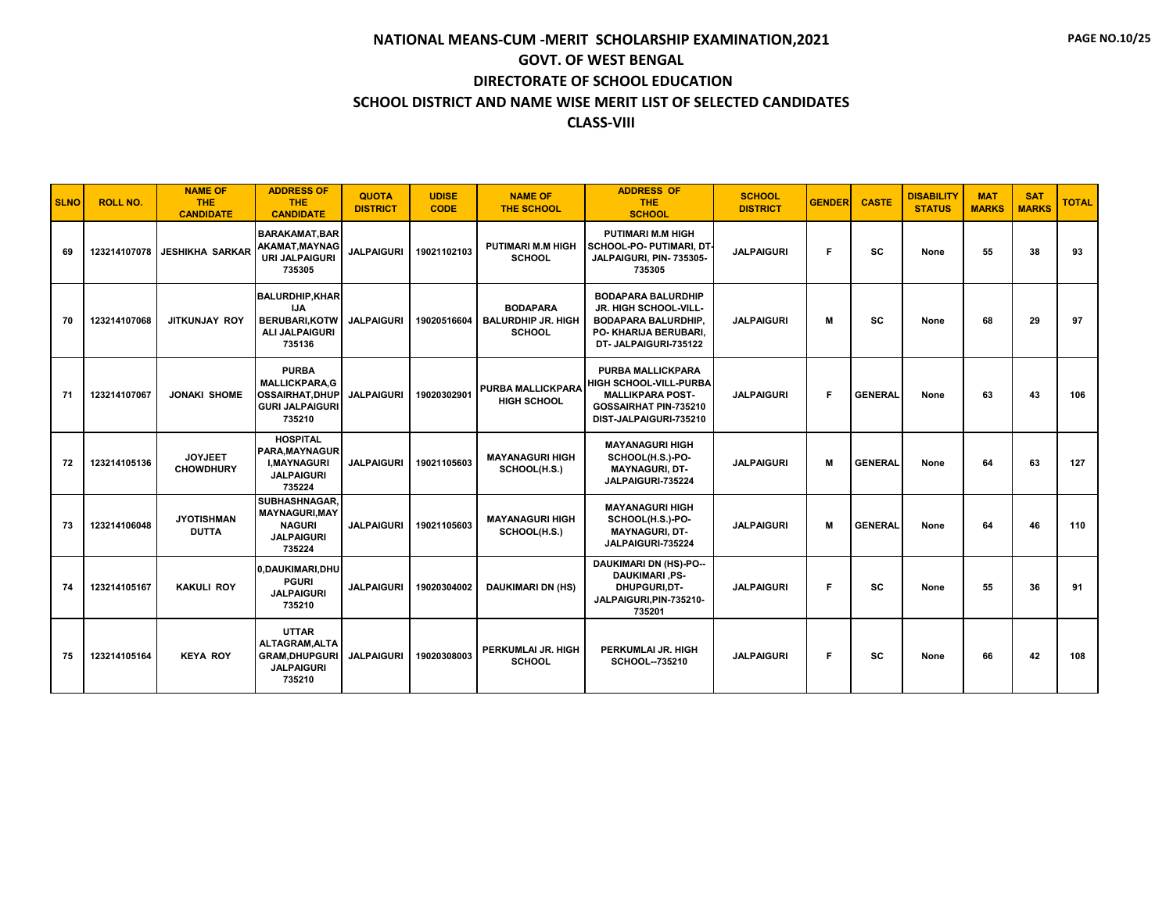**PAGE NO.10/25**

| <b>SLNO</b> | <b>ROLL NO.</b> | <b>NAME OF</b><br><b>THE</b><br><b>CANDIDATE</b> | <b>ADDRESS OF</b><br><b>THE</b><br><b>CANDIDATE</b>                                             | <b>QUOTA</b><br><b>DISTRICT</b> | <b>UDISE</b><br><b>CODE</b> | <b>NAME OF</b><br><b>THE SCHOOL</b>                           | <b>ADDRESS OF</b><br><b>THE</b><br><b>SCHOOL</b>                                                                                        | <b>SCHOOL</b><br><b>DISTRICT</b> | <b>GENDER</b> | <b>CASTE</b>   | <b>DISABILITY</b><br><b>STATUS</b> | <b>MAT</b><br><b>MARKS</b> | <b>SAT</b><br><b>MARKS</b> | <b>TOTAL</b> |
|-------------|-----------------|--------------------------------------------------|-------------------------------------------------------------------------------------------------|---------------------------------|-----------------------------|---------------------------------------------------------------|-----------------------------------------------------------------------------------------------------------------------------------------|----------------------------------|---------------|----------------|------------------------------------|----------------------------|----------------------------|--------------|
| 69          |                 | 123214107078 JESHIKHA SARKAR                     | <b>BARAKAMAT, BAR</b><br>AKAMAT, MAYNAG<br><b>URI JALPAIGURI</b><br>735305                      | <b>JALPAIGURI</b>               | 19021102103                 | <b>PUTIMARI M.M HIGH</b><br><b>SCHOOL</b>                     | <b>PUTIMARI M.M HIGH</b><br>SCHOOL-PO- PUTIMARI, DT<br>JALPAIGURI, PIN- 735305-<br>735305                                               | <b>JALPAIGURI</b>                | F             | <b>SC</b>      | None                               | 55                         | 38                         | 93           |
| 70          | 123214107068    | <b>JITKUNJAY ROY</b>                             | <b>BALURDHIP, KHAR</b><br><b>IJA</b><br><b>BERUBARI,KOTW</b><br><b>ALI JALPAIGURI</b><br>735136 | <b>JALPAIGURI</b>               | 19020516604                 | <b>BODAPARA</b><br><b>BALURDHIP JR. HIGH</b><br><b>SCHOOL</b> | <b>BODAPARA BALURDHIP</b><br>JR. HIGH SCHOOL-VILL-<br><b>BODAPARA BALURDHIP,</b><br>PO- KHARIJA BERUBARI,<br>DT- JALPAIGURI-735122      | <b>JALPAIGURI</b>                | M             | <b>SC</b>      | None                               | 68                         | 29                         | 97           |
| 71          | 123214107067    | <b>JONAKI SHOME</b>                              | <b>PURBA</b><br><b>MALLICKPARA.G</b><br>OSSAIRHAT, DHUP<br><b>GURI JALPAIGURI</b><br>735210     | <b>JALPAIGURI</b>               | 19020302901                 | <b>PURBA MALLICKPARA</b><br><b>HIGH SCHOOL</b>                | <b>PURBA MALLICKPARA</b><br><b>HIGH SCHOOL-VILL-PURBA</b><br><b>MALLIKPARA POST-</b><br>GOSSAIRHAT PIN-735210<br>DIST-JALPAIGURI-735210 | <b>JALPAIGURI</b>                | F             | <b>GENERAL</b> | None                               | 63                         | 43                         | 106          |
| 72          | 123214105136    | <b>JOYJEET</b><br><b>CHOWDHURY</b>               | <b>HOSPITAL</b><br>PARA.MAYNAGUR<br><b>I.MAYNAGURI</b><br><b>JALPAIGURI</b><br>735224           | <b>JALPAIGURI</b>               | 19021105603                 | <b>MAYANAGURI HIGH</b><br>SCHOOL(H.S.)                        | <b>MAYANAGURI HIGH</b><br>SCHOOL(H.S.)-PO-<br><b>MAYNAGURI, DT-</b><br>JALPAIGURI-735224                                                | <b>JALPAIGURI</b>                | M             | <b>GENERAL</b> | None                               | 64                         | 63                         | 127          |
| 73          | 123214106048    | <b>JYOTISHMAN</b><br><b>DUTTA</b>                | SUBHASHNAGAR.<br><b>MAYNAGURI.MAY</b><br><b>NAGURI</b><br><b>JALPAIGURI</b><br>735224           | <b>JALPAIGURI</b>               | 19021105603                 | <b>MAYANAGURI HIGH</b><br>SCHOOL(H.S.)                        | <b>MAYANAGURI HIGH</b><br>SCHOOL(H.S.)-PO-<br><b>MAYNAGURI, DT-</b><br>JALPAIGURI-735224                                                | <b>JALPAIGURI</b>                | M             | <b>GENERAL</b> | None                               | 64                         | 46                         | 110          |
| 74          | 123214105167    | <b>KAKULI ROY</b>                                | 0.DAUKIMARI.DHU<br><b>PGURI</b><br><b>JALPAIGURI</b><br>735210                                  | <b>JALPAIGURI</b>               | 19020304002                 | <b>DAUKIMARI DN (HS)</b>                                      | <b>DAUKIMARI DN (HS)-PO--</b><br><b>DAUKIMARI, PS-</b><br>DHUPGURI.DT-<br>JALPAIGURI, PIN-735210-<br>735201                             | <b>JALPAIGURI</b>                | F             | <b>SC</b>      | None                               | 55                         | 36                         | 91           |
| 75          | 123214105164    | <b>KEYA ROY</b>                                  | <b>UTTAR</b><br>ALTAGRAM.ALTA<br><b>GRAM, DHUPGURI</b><br><b>JALPAIGURI</b><br>735210           | <b>JALPAIGURI</b>               | 19020308003                 | PERKUMLAI JR. HIGH<br><b>SCHOOL</b>                           | PERKUMLAI JR. HIGH<br>SCHOOL--735210                                                                                                    | <b>JALPAIGURI</b>                | F             | SC             | None                               | 66                         | 42                         | 108          |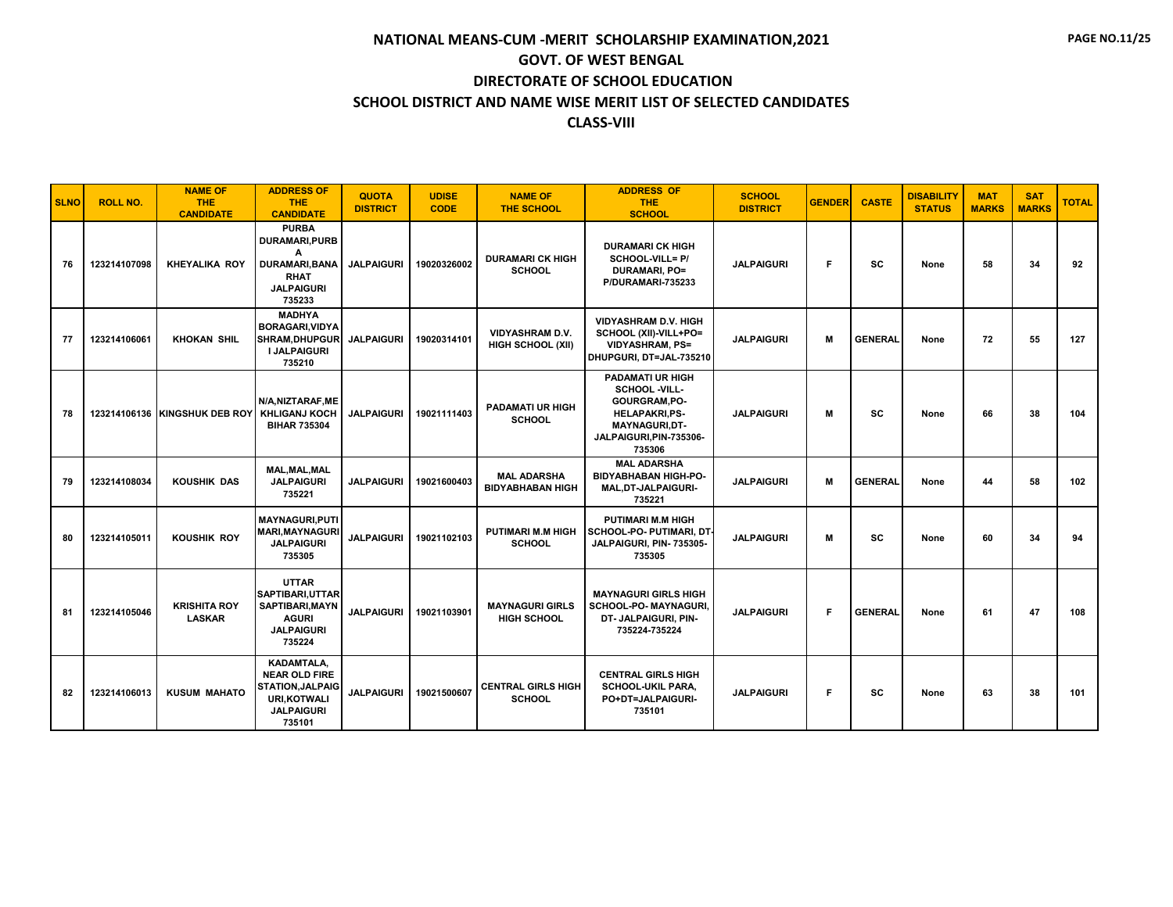| <b>SLNO</b> | <b>ROLL NO.</b> | <b>NAME OF</b><br><b>THE</b><br><b>CANDIDATE</b> | <b>ADDRESS OF</b><br><b>THE</b><br><b>CANDIDATE</b>                                                              | <b>QUOTA</b><br><b>DISTRICT</b> | <b>UDISE</b><br><b>CODE</b> | <b>NAME OF</b><br><b>THE SCHOOL</b>                | <b>ADDRESS OF</b><br>THE.<br><b>SCHOOL</b>                                                                                                     | <b>SCHOOL</b><br><b>DISTRICT</b> | <b>GENDER</b> | <b>CASTE</b>   | <b>DISABILITY</b><br><b>STATUS</b> | <b>MAT</b><br><b>MARKS</b> | <b>SAT</b><br><b>MARKS</b> | <b>TOTAL</b> |
|-------------|-----------------|--------------------------------------------------|------------------------------------------------------------------------------------------------------------------|---------------------------------|-----------------------------|----------------------------------------------------|------------------------------------------------------------------------------------------------------------------------------------------------|----------------------------------|---------------|----------------|------------------------------------|----------------------------|----------------------------|--------------|
| 76          | 123214107098    | <b>KHEYALIKA ROY</b>                             | <b>PURBA</b><br><b>DURAMARI,PURB</b><br>A<br><b>DURAMARI, BANA</b><br><b>RHAT</b><br><b>JALPAIGURI</b><br>735233 | <b>JALPAIGURI</b>               | 19020326002                 | <b>DURAMARI CK HIGH</b><br><b>SCHOOL</b>           | <b>DURAMARI CK HIGH</b><br>SCHOOL-VILL= P/<br><b>DURAMARI, PO=</b><br>P/DURAMARI-735233                                                        | <b>JALPAIGURI</b>                | F             | <b>SC</b>      | None                               | 58                         | 34                         | 92           |
| 77          | 123214106061    | <b>KHOKAN SHIL</b>                               | <b>MADHYA</b><br><b>BORAGARI, VIDYA</b><br><b>SHRAM.DHUPGUR</b><br><b>I JALPAIGURI</b><br>735210                 | <b>JALPAIGURI</b>               | 19020314101                 | <b>VIDYASHRAM D.V.</b><br><b>HIGH SCHOOL (XII)</b> | <b>VIDYASHRAM D.V. HIGH</b><br>SCHOOL (XII)-VILL+PO=<br><b>VIDYASHRAM, PS=</b><br>DHUPGURI, DT=JAL-735210                                      | <b>JALPAIGURI</b>                | M             | <b>GENERAL</b> | None                               | 72                         | 55                         | 127          |
| 78          |                 | 123214106136 KINGSHUK DEB ROY KHLIGANJ KOCH      | N/A, NIZTARAF, ME<br><b>BIHAR 735304</b>                                                                         | <b>JALPAIGURI</b>               | 19021111403                 | <b>PADAMATI UR HIGH</b><br><b>SCHOOL</b>           | <b>PADAMATI UR HIGH</b><br>SCHOOL -VILL-<br>GOURGRAM, PO-<br><b>HELAPAKRI,PS-</b><br><b>MAYNAGURI,DT-</b><br>JALPAIGURI, PIN-735306-<br>735306 | <b>JALPAIGURI</b>                | М             | <b>SC</b>      | None                               | 66                         | 38                         | 104          |
| 79          | 123214108034    | <b>KOUSHIK DAS</b>                               | MAL, MAL, MAL<br><b>JALPAIGURI</b><br>735221                                                                     | <b>JALPAIGURI</b>               | 19021600403                 | <b>MAL ADARSHA</b><br><b>BIDYABHABAN HIGH</b>      | <b>MAL ADARSHA</b><br><b>BIDYABHABAN HIGH-PO-</b><br>MAL, DT-JALPAIGURI-<br>735221                                                             | <b>JALPAIGURI</b>                | м             | <b>GENERAL</b> | None                               | 44                         | 58                         | 102          |
| 80          | 123214105011    | <b>KOUSHIK ROY</b>                               | <b>MAYNAGURI.PUTI</b><br><b>MARI, MAYNAGURI</b><br><b>JALPAIGURI</b><br>735305                                   | <b>JALPAIGURI</b>               | 19021102103                 | <b>PUTIMARI M.M HIGH</b><br><b>SCHOOL</b>          | <b>PUTIMARI M.M HIGH</b><br>SCHOOL-PO- PUTIMARI, DT<br>JALPAIGURI, PIN- 735305-<br>735305                                                      | <b>JALPAIGURI</b>                | м             | <b>SC</b>      | None                               | 60                         | 34                         | 94           |
| 81          | 123214105046    | <b>KRISHITA ROY</b><br><b>LASKAR</b>             | <b>UTTAR</b><br>SAPTIBARI, UTTAR<br>SAPTIBARI, MAYN<br><b>AGURI</b><br><b>JALPAIGURI</b><br>735224               | <b>JALPAIGURI</b>               | 19021103901                 | <b>MAYNAGURI GIRLS</b><br><b>HIGH SCHOOL</b>       | <b>MAYNAGURI GIRLS HIGH</b><br>SCHOOL-PO- MAYNAGURI.<br>DT- JALPAIGURI, PIN-<br>735224-735224                                                  | <b>JALPAIGURI</b>                | F             | <b>GENERAL</b> | None                               | 61                         | 47                         | 108          |
| 82          | 123214106013    | <b>KUSUM MAHATO</b>                              | KADAMTALA,<br><b>NEAR OLD FIRE</b><br><b>STATION, JALPAIG</b><br>URI.KOTWALI<br><b>JALPAIGURI</b><br>735101      | <b>JALPAIGURI</b>               | 19021500607                 | <b>CENTRAL GIRLS HIGH</b><br><b>SCHOOL</b>         | <b>CENTRAL GIRLS HIGH</b><br><b>SCHOOL-UKIL PARA,</b><br>PO+DT=JALPAIGURI-<br>735101                                                           | <b>JALPAIGURI</b>                | F             | <b>SC</b>      | None                               | 63                         | 38                         | 101          |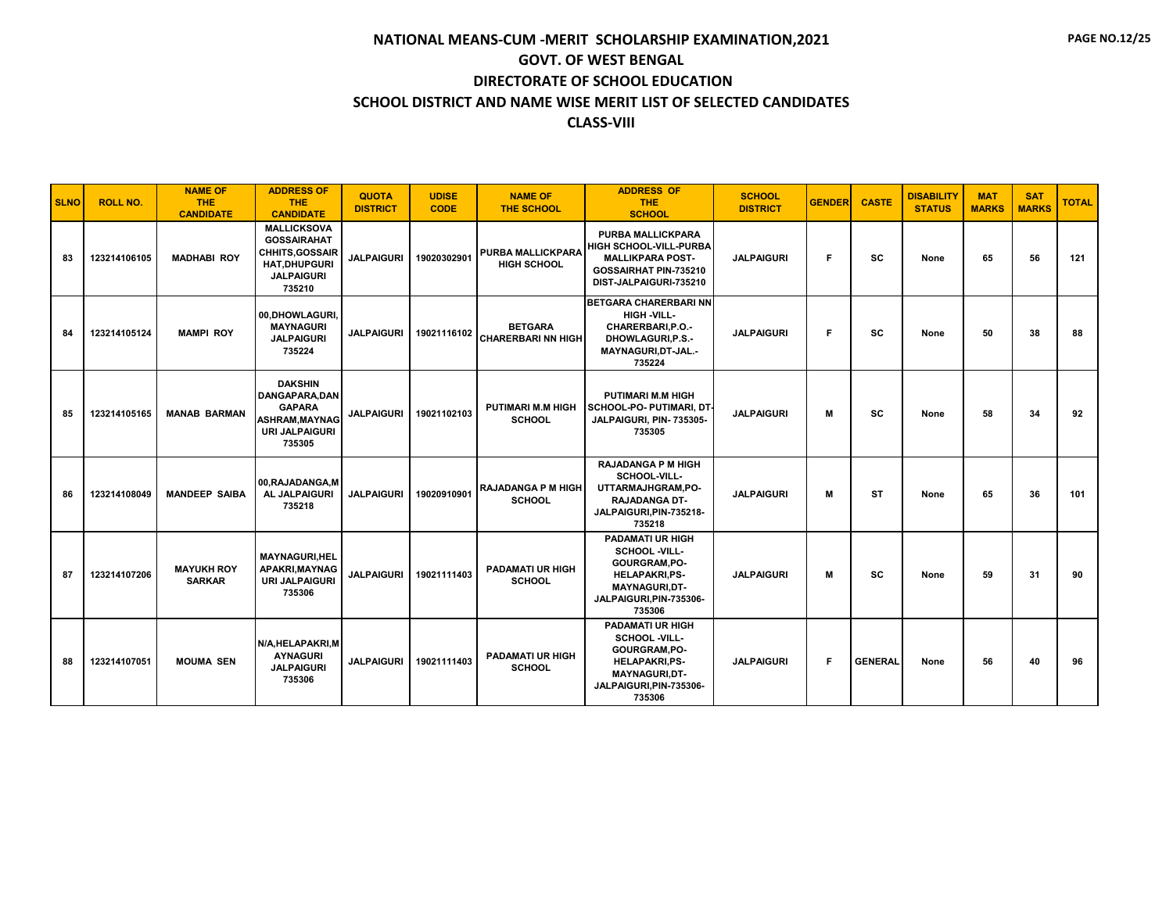| <b>SLNO</b> | <b>ROLL NO.</b> | <b>NAME OF</b><br><b>THE</b><br><b>CANDIDATE</b> | <b>ADDRESS OF</b><br><b>THE</b><br><b>CANDIDATE</b>                                                                      | <b>QUOTA</b><br><b>DISTRICT</b> | <b>UDISE</b><br><b>CODE</b> | <b>NAME OF</b><br><b>THE SCHOOL</b>            | <b>ADDRESS OF</b><br><b>THE</b><br><b>SCHOOL</b>                                                                                                      | <b>SCHOOL</b><br><b>DISTRICT</b> | <b>GENDER</b> | <b>CASTE</b>   | <b>DISABILITY</b><br><b>STATUS</b> | <b>MAT</b><br><b>MARKS</b> | <b>SAT</b><br><b>MARKS</b> | <b>TOTAL</b> |
|-------------|-----------------|--------------------------------------------------|--------------------------------------------------------------------------------------------------------------------------|---------------------------------|-----------------------------|------------------------------------------------|-------------------------------------------------------------------------------------------------------------------------------------------------------|----------------------------------|---------------|----------------|------------------------------------|----------------------------|----------------------------|--------------|
| 83          | 123214106105    | <b>MADHABI ROY</b>                               | <b>MALLICKSOVA</b><br><b>GOSSAIRAHAT</b><br><b>CHHITS, GOSSAIR</b><br><b>HAT.DHUPGURI</b><br><b>JALPAIGURI</b><br>735210 | <b>JALPAIGURI</b>               | 19020302901                 | <b>PURBA MALLICKPARA</b><br><b>HIGH SCHOOL</b> | PURBA MALLICKPARA<br><b>HIGH SCHOOL-VILL-PURBA</b><br><b>MALLIKPARA POST-</b><br>GOSSAIRHAT PIN-735210<br>DIST-JALPAIGURI-735210                      | <b>JALPAIGURI</b>                | F             | <b>SC</b>      | None                               | 65                         | 56                         | 121          |
| 84          | 123214105124    | <b>MAMPI ROY</b>                                 | 00.DHOWLAGURI.<br><b>MAYNAGURI</b><br><b>JALPAIGURI</b><br>735224                                                        | <b>JALPAIGURI</b>               | 19021116102                 | <b>BETGARA</b><br><b>CHARERBARI NN HIGH</b>    | <b>BETGARA CHARERBARI NN</b><br>HIGH -VILL-<br>CHARERBARI.P.O.-<br><b>DHOWLAGURI.P.S.-</b><br>MAYNAGURI, DT-JAL.-<br>735224                           | <b>JALPAIGURI</b>                | F             | sc             | None                               | 50                         | 38                         | 88           |
| 85          | 123214105165    | <b>MANAB BARMAN</b>                              | <b>DAKSHIN</b><br>DANGAPARA, DAN<br><b>GAPARA</b><br><b>ASHRAM, MAYNAG</b><br><b>URI JALPAIGURI</b><br>735305            | <b>JALPAIGURI</b>               | 19021102103                 | <b>PUTIMARI M.M HIGH</b><br><b>SCHOOL</b>      | <b>PUTIMARI M.M HIGH</b><br>SCHOOL-PO- PUTIMARI, DT-<br>JALPAIGURI, PIN- 735305-<br>735305                                                            | <b>JALPAIGURI</b>                | М             | <b>SC</b>      | None                               | 58                         | 34                         | 92           |
| 86          | 123214108049    | <b>MANDEEP SAIBA</b>                             | 00, RAJADANGA, M<br>AL JALPAIGURI<br>735218                                                                              | <b>JALPAIGURI</b>               | 19020910901                 | <b>RAJADANGA P M HIGH</b><br><b>SCHOOL</b>     | <b>RAJADANGA P M HIGH</b><br>SCHOOL-VILL-<br>UTTARMAJHGRAM,PO-<br><b>RAJADANGA DT-</b><br>JALPAIGURI, PIN-735218-<br>735218                           | <b>JALPAIGURI</b>                | м             | <b>ST</b>      | None                               | 65                         | 36                         | 101          |
| 87          | 123214107206    | <b>MAYUKH ROY</b><br><b>SARKAR</b>               | <b>MAYNAGURI,HEL</b><br>APAKRI, MAYNAG<br><b>URI JALPAIGURI</b><br>735306                                                | <b>JALPAIGURI</b>               | 19021111403                 | <b>PADAMATI UR HIGH</b><br><b>SCHOOL</b>       | <b>PADAMATI UR HIGH</b><br>SCHOOL -VILL-<br>GOURGRAM, PO-<br><b>HELAPAKRI.PS-</b><br><b>MAYNAGURI,DT-</b><br>JALPAIGURI, PIN-735306-<br>735306        | <b>JALPAIGURI</b>                | М             | <b>SC</b>      | None                               | 59                         | 31                         | 90           |
| 88          | 123214107051    | <b>MOUMA SEN</b>                                 | N/A, HELAPAKRI, M<br><b>AYNAGURI</b><br><b>JALPAIGURI</b><br>735306                                                      | <b>JALPAIGURI</b>               | 19021111403                 | <b>PADAMATI UR HIGH</b><br><b>SCHOOL</b>       | <b>PADAMATI UR HIGH</b><br><b>SCHOOL -VILL-</b><br>GOURGRAM, PO-<br><b>HELAPAKRI.PS-</b><br><b>MAYNAGURI.DT-</b><br>JALPAIGURI, PIN-735306-<br>735306 | <b>JALPAIGURI</b>                | F             | <b>GENERAL</b> | None                               | 56                         | 40                         | 96           |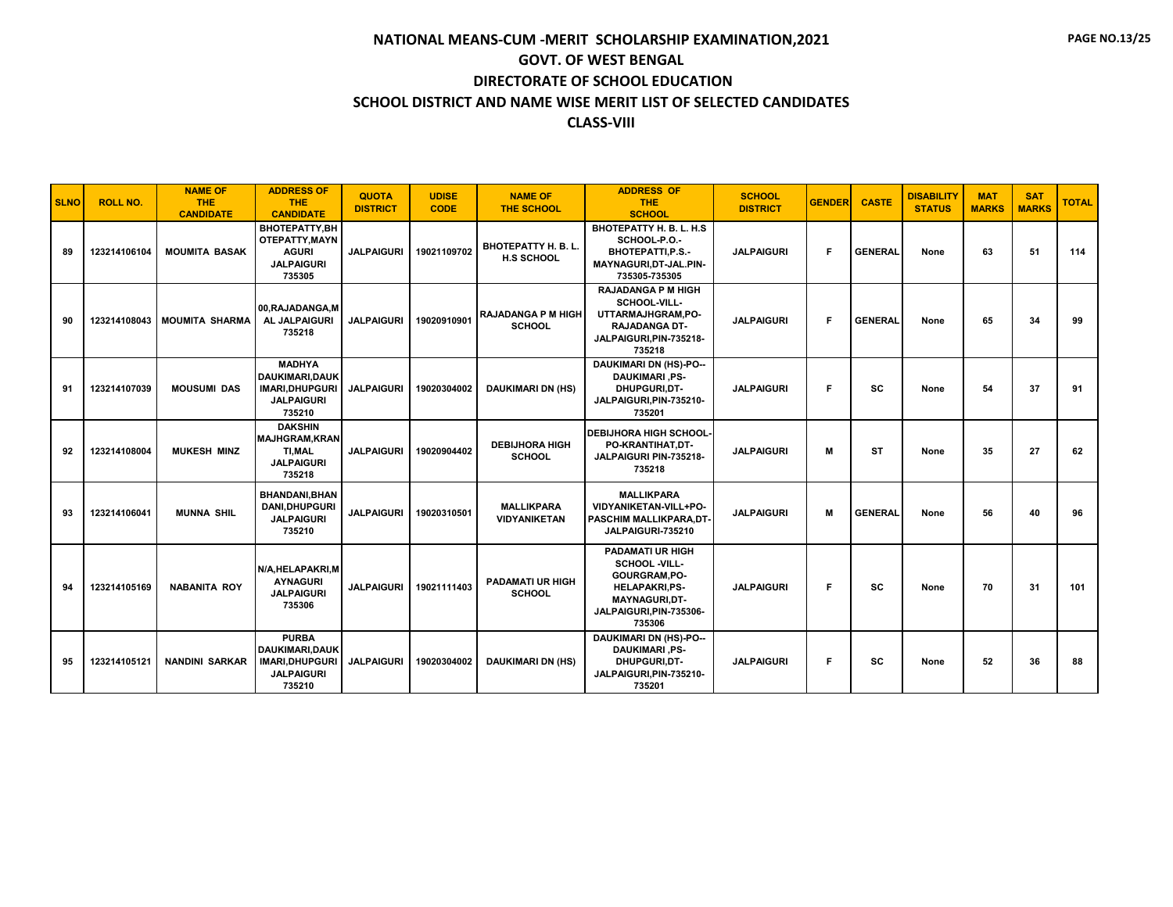| <b>SLNO</b> | <b>ROLL NO.</b> | <b>NAME OF</b><br><b>THE</b><br><b>CANDIDATE</b> | <b>ADDRESS OF</b><br><b>THE</b><br><b>CANDIDATE</b>                                      | <b>QUOTA</b><br><b>DISTRICT</b> | <b>UDISE</b><br><b>CODE</b> | <b>NAME OF</b><br><b>THE SCHOOL</b>             | <b>ADDRESS OF</b><br><b>THE</b><br><b>SCHOOL</b>                                                                                               | <b>SCHOOL</b><br><b>DISTRICT</b> | <b>GENDER</b> | <b>CASTE</b>   | <b>DISABILITY</b><br><b>STATUS</b> | <b>MAT</b><br><b>MARKS</b> | <b>SAT</b><br><b>MARKS</b> | <b>TOTAL</b> |
|-------------|-----------------|--------------------------------------------------|------------------------------------------------------------------------------------------|---------------------------------|-----------------------------|-------------------------------------------------|------------------------------------------------------------------------------------------------------------------------------------------------|----------------------------------|---------------|----------------|------------------------------------|----------------------------|----------------------------|--------------|
| 89          | 123214106104    | <b>MOUMITA BASAK</b>                             | BHOTEPATTY, BH<br>OTEPATTY, MAYN<br><b>AGURI</b><br><b>JALPAIGURI</b><br>735305          | <b>JALPAIGURI</b>               | 19021109702                 | <b>BHOTEPATTY H. B. L.</b><br><b>H.S SCHOOL</b> | BHOTEPATTY H. B. L. H.S<br>SCHOOL-P.O.-<br><b>BHOTEPATTI, P.S.-</b><br>MAYNAGURI, DT-JAL.PIN-<br>735305-735305                                 | <b>JALPAIGURI</b>                | F             | <b>GENERAL</b> | None                               | 63                         | 51                         | 114          |
| 90          | 123214108043    | <b>MOUMITA SHARMA</b>                            | 00.RAJADANGA.M<br><b>AL JALPAIGURI</b><br>735218                                         | <b>JALPAIGURI</b>               | 19020910901                 | <b>RAJADANGA P M HIGH</b><br><b>SCHOOL</b>      | <b>RAJADANGA P M HIGH</b><br>SCHOOL-VILL-<br>UTTARMAJHGRAM,PO-<br>RAJADANGA DT-<br>JALPAIGURI.PIN-735218-<br>735218                            | <b>JALPAIGURI</b>                | F             | <b>GENERAL</b> | None                               | 65                         | 34                         | 99           |
| 91          | 123214107039    | <b>MOUSUMI DAS</b>                               | <b>MADHYA</b><br>DAUKIMARI.DAUK<br><b>IMARI, DHUPGURI</b><br><b>JALPAIGURI</b><br>735210 | <b>JALPAIGURI</b>               | 19020304002                 | <b>DAUKIMARI DN (HS)</b>                        | <b>DAUKIMARI DN (HS)-PO--</b><br><b>DAUKIMARI .PS-</b><br>DHUPGURI.DT-<br>JALPAIGURI, PIN-735210-<br>735201                                    | <b>JALPAIGURI</b>                | F             | <b>SC</b>      | None                               | 54                         | 37                         | 91           |
| 92          | 123214108004    | <b>MUKESH MINZ</b>                               | <b>DAKSHIN</b><br><b>MAJHGRAM, KRAN</b><br>TI.MAL<br><b>JALPAIGURI</b><br>735218         | <b>JALPAIGURI</b>               | 19020904402                 | <b>DEBIJHORA HIGH</b><br><b>SCHOOL</b>          | <b>DEBIJHORA HIGH SCHOOL-</b><br>PO-KRANTIHAT.DT-<br>JALPAIGURI PIN-735218-<br>735218                                                          | <b>JALPAIGURI</b>                | M             | <b>ST</b>      | None                               | 35                         | 27                         | 62           |
| 93          | 123214106041    | <b>MUNNA SHIL</b>                                | <b>BHANDANI.BHAN</b><br>DANI, DHUPGURI<br><b>JALPAIGURI</b><br>735210                    | <b>JALPAIGURI</b>               | 19020310501                 | <b>MALLIKPARA</b><br><b>VIDYANIKETAN</b>        | <b>MALLIKPARA</b><br>VIDYANIKETAN-VILL+PO-<br>PASCHIM MALLIKPARA.DT-<br>JALPAIGURI-735210                                                      | <b>JALPAIGURI</b>                | M             | <b>GENERAL</b> | None                               | 56                         | 40                         | 96           |
| 94          | 123214105169    | <b>NABANITA ROY</b>                              | N/A.HELAPAKRI.M<br><b>AYNAGURI</b><br><b>JALPAIGURI</b><br>735306                        | <b>JALPAIGURI</b>               | 19021111403                 | <b>PADAMATI UR HIGH</b><br><b>SCHOOL</b>        | <b>PADAMATI UR HIGH</b><br><b>SCHOOL -VILL-</b><br>GOURGRAM.PO-<br><b>HELAPAKRI,PS-</b><br>MAYNAGURI, DT-<br>JALPAIGURI, PIN-735306-<br>735306 | <b>JALPAIGURI</b>                | F             | SC             | None                               | 70                         | 31                         | 101          |
| 95          | 123214105121    | <b>NANDINI SARKAR</b>                            | <b>PURBA</b><br>DAUKIMARI.DAUK<br><b>IMARI, DHUPGURI</b><br><b>JALPAIGURI</b><br>735210  | <b>JALPAIGURI</b>               | 19020304002                 | <b>DAUKIMARI DN (HS)</b>                        | <b>DAUKIMARI DN (HS)-PO--</b><br><b>DAUKIMARI, PS-</b><br>DHUPGURI, DT-<br>JALPAIGURI, PIN-735210-<br>735201                                   | <b>JALPAIGURI</b>                | F             | SC             | None                               | 52                         | 36                         | 88           |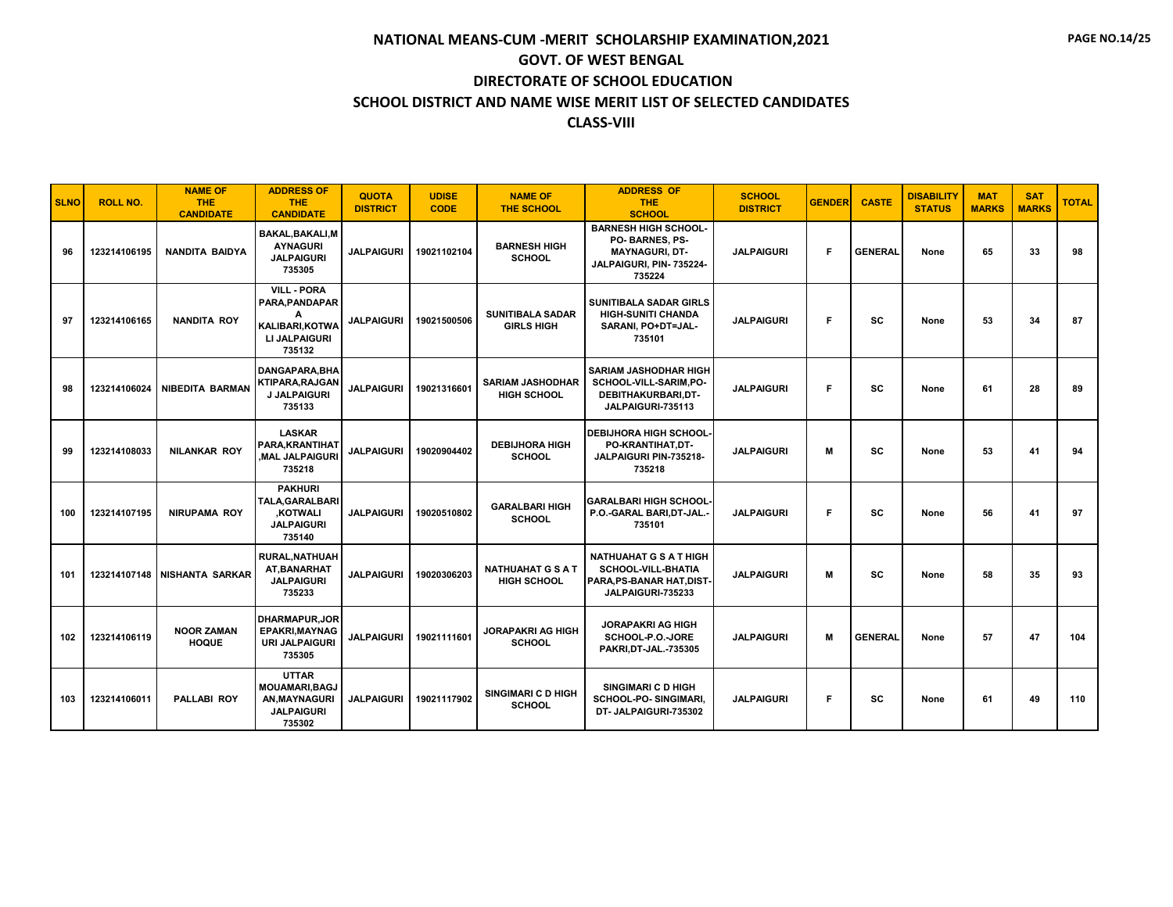| <b>SLNO</b> | <b>ROLL NO.</b> | <b>NAME OF</b><br><b>THE</b><br><b>CANDIDATE</b> | <b>ADDRESS OF</b><br><b>THE</b><br><b>CANDIDATE</b>                                           | <b>QUOTA</b><br><b>DISTRICT</b> | <b>UDISE</b><br><b>CODE</b> | <b>NAME OF</b><br><b>THE SCHOOL</b>            | <b>ADDRESS OF</b><br><b>THE</b><br><b>SCHOOL</b>                                                             | <b>SCHOOL</b><br><b>DISTRICT</b> | <b>GENDER</b> | <b>CASTE</b>   | <b>DISABILITY</b><br><b>STATUS</b> | <b>MAT</b><br><b>MARKS</b> | <b>SAT</b><br><b>MARKS</b> | <b>TOTAL</b> |
|-------------|-----------------|--------------------------------------------------|-----------------------------------------------------------------------------------------------|---------------------------------|-----------------------------|------------------------------------------------|--------------------------------------------------------------------------------------------------------------|----------------------------------|---------------|----------------|------------------------------------|----------------------------|----------------------------|--------------|
| 96          | 123214106195    | <b>NANDITA BAIDYA</b>                            | <b>BAKAL, BAKALI, M</b><br><b>AYNAGURI</b><br><b>JALPAIGURI</b><br>735305                     | <b>JALPAIGURI</b>               | 19021102104                 | <b>BARNESH HIGH</b><br><b>SCHOOL</b>           | <b>BARNESH HIGH SCHOOL-</b><br>PO-BARNES, PS-<br><b>MAYNAGURI, DT-</b><br>JALPAIGURI, PIN-735224-<br>735224  | <b>JALPAIGURI</b>                | F             | <b>GENERAL</b> | None                               | 65                         | 33                         | 98           |
| 97          | 123214106165    | <b>NANDITA ROY</b>                               | <b>VILL - PORA</b><br>PARA, PANDAPAR<br>А<br><b>KALIBARI.KOTWA</b><br>LI JALPAIGURI<br>735132 | <b>JALPAIGURI</b>               | 19021500506                 | <b>SUNITIBALA SADAR</b><br><b>GIRLS HIGH</b>   | <b>SUNITIBALA SADAR GIRLS</b><br><b>HIGH-SUNITI CHANDA</b><br>SARANI. PO+DT=JAL-<br>735101                   | <b>JALPAIGURI</b>                | F             | SC             | None                               | 53                         | 34                         | 87           |
| 98          | 123214106024    | <b>NIBEDITA BARMAN</b>                           | DANGAPARA.BHA<br><b>KTIPARA.RAJGAN</b><br>J JALPAIGURI<br>735133                              | <b>JALPAIGURI</b>               | 19021316601                 | <b>SARIAM JASHODHAR</b><br><b>HIGH SCHOOL</b>  | <b>SARIAM JASHODHAR HIGH</b><br>SCHOOL-VILL-SARIM.PO-<br>DEBITHAKURBARI,DT-<br>JALPAIGURI-735113             | <b>JALPAIGURI</b>                | F             | SC             | None                               | 61                         | 28                         | 89           |
| 99          | 123214108033    | <b>NILANKAR ROY</b>                              | <b>LASKAR</b><br>PARA.KRANTIHAT<br><b>MAL JALPAIGURI</b><br>735218                            | <b>JALPAIGURI</b>               | 19020904402                 | <b>DEBIJHORA HIGH</b><br><b>SCHOOL</b>         | <b>DEBIJHORA HIGH SCHOOL</b><br>PO-KRANTIHAT, DT-<br>JALPAIGURI PIN-735218-<br>735218                        | <b>JALPAIGURI</b>                | м             | SC             | None                               | 53                         | 41                         | 94           |
| 100         | 123214107195    | <b>NIRUPAMA ROY</b>                              | <b>PAKHURI</b><br><b>TALA.GARALBARI</b><br><b>KOTWALI</b><br><b>JALPAIGURI</b><br>735140      | <b>JALPAIGURI</b>               | 19020510802                 | <b>GARALBARI HIGH</b><br><b>SCHOOL</b>         | <b>GARALBARI HIGH SCHOOL-</b><br>P.O.-GARAL BARI.DT-JAL.-<br>735101                                          | <b>JALPAIGURI</b>                | F             | <b>SC</b>      | None                               | 56                         | 41                         | 97           |
| 101         |                 | 123214107148 NISHANTA SARKAR                     | <b>RURAL, NATHUAH</b><br>AT.BANARHAT<br><b>JALPAIGURI</b><br>735233                           | <b>JALPAIGURI</b>               | 19020306203                 | <b>NATHUAHAT G S A T</b><br><b>HIGH SCHOOL</b> | <b>NATHUAHAT G S A T HIGH</b><br><b>SCHOOL-VILL-BHATIA</b><br>PARA, PS-BANAR HAT, DIST-<br>JALPAIGURI-735233 | <b>JALPAIGURI</b>                | м             | SC             | None                               | 58                         | 35                         | 93           |
| 102         | 123214106119    | <b>NOOR ZAMAN</b><br><b>HOQUE</b>                | <b>DHARMAPUR, JOR</b><br><b>EPAKRI.MAYNAG</b><br><b>URI JALPAIGURI</b><br>735305              | <b>JALPAIGURI</b>               | 19021111601                 | <b>JORAPAKRI AG HIGH</b><br><b>SCHOOL</b>      | <b>JORAPAKRI AG HIGH</b><br>SCHOOL-P.O.-JORE<br>PAKRI, DT-JAL.-735305                                        | <b>JALPAIGURI</b>                | M             | <b>GENERAL</b> | None                               | 57                         | 47                         | 104          |
| 103         | 123214106011    | <b>PALLABI ROY</b>                               | <b>UTTAR</b><br><b>MOUAMARI.BAGJ</b><br><b>AN, MAYNAGURI</b><br><b>JALPAIGURI</b><br>735302   | <b>JALPAIGURI</b>               | 19021117902                 | SINGIMARI C D HIGH<br><b>SCHOOL</b>            | <b>SINGIMARI C D HIGH</b><br>SCHOOL-PO-SINGIMARI,<br>DT- JALPAIGURI-735302                                   | <b>JALPAIGURI</b>                | F             | sc             | None                               | 61                         | 49                         | 110          |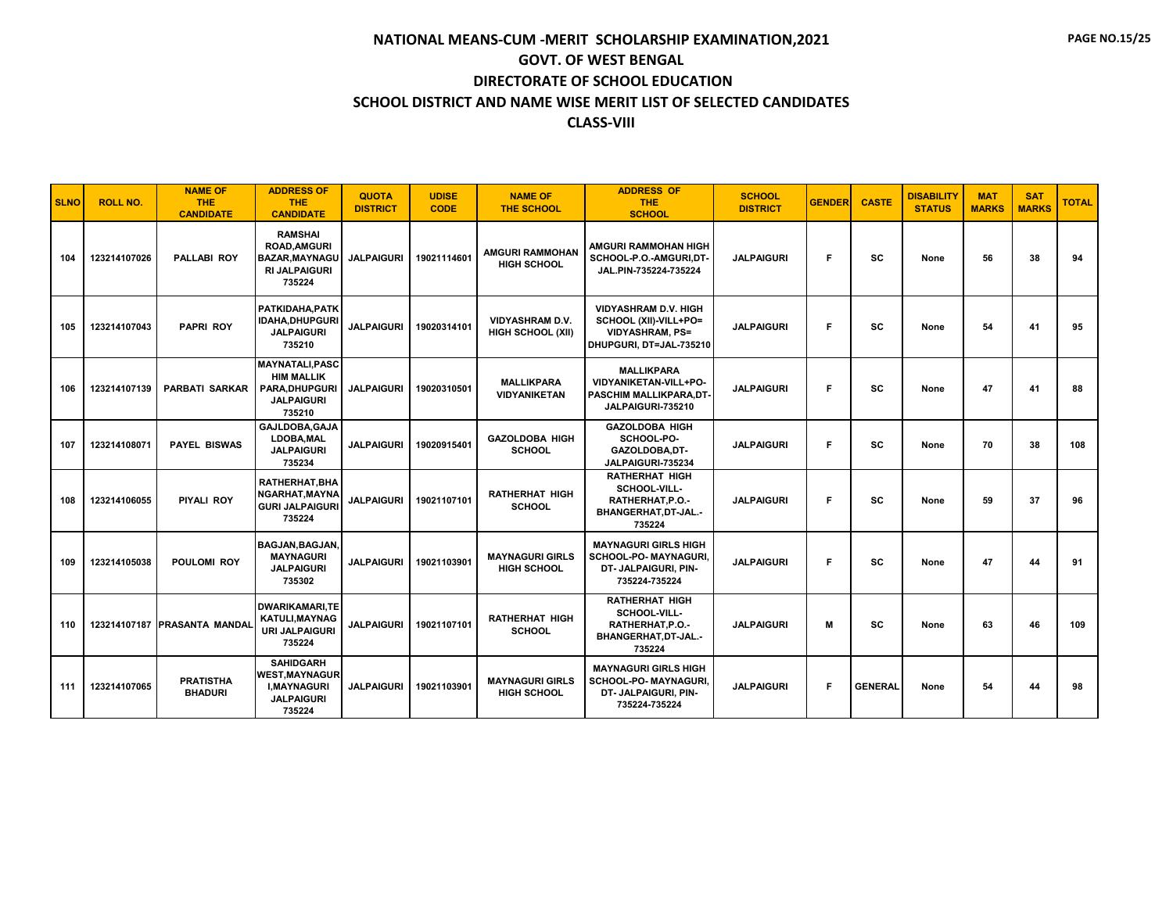| <b>SLNO</b> | <b>ROLL NO.</b> | <b>NAME OF</b><br><b>THE</b><br><b>CANDIDATE</b> | <b>ADDRESS OF</b><br><b>THE</b><br><b>CANDIDATE</b>                                               | <b>QUOTA</b><br><b>DISTRICT</b> | <b>UDISE</b><br><b>CODE</b> | <b>NAME OF</b><br><b>THE SCHOOL</b>                | <b>ADDRESS OF</b><br><b>THE</b><br><b>SCHOOL</b>                                                          | <b>SCHOOL</b><br><b>DISTRICT</b> | <b>GENDER</b> | <b>CASTE</b>   | <b>DISABILITY</b><br><b>STATUS</b> | <b>MAT</b><br><b>MARKS</b> | <b>SAT</b><br><b>MARKS</b> | <b>TOTAL</b> |
|-------------|-----------------|--------------------------------------------------|---------------------------------------------------------------------------------------------------|---------------------------------|-----------------------------|----------------------------------------------------|-----------------------------------------------------------------------------------------------------------|----------------------------------|---------------|----------------|------------------------------------|----------------------------|----------------------------|--------------|
| 104         | 123214107026    | <b>PALLABI ROY</b>                               | <b>RAMSHAI</b><br><b>ROAD.AMGURI</b><br><b>BAZAR.MAYNAGU</b><br><b>RI JALPAIGURI</b><br>735224    | <b>JALPAIGURI</b>               | 19021114601                 | <b>AMGURI RAMMOHAN</b><br><b>HIGH SCHOOL</b>       | AMGURI RAMMOHAN HIGH<br>SCHOOL-P.O.-AMGURI.DT-<br>JAL.PIN-735224-735224                                   | <b>JALPAIGURI</b>                | F             | <b>SC</b>      | None                               | 56                         | 38                         | 94           |
| 105         | 123214107043    | <b>PAPRI ROY</b>                                 | PATKIDAHA.PATK<br><b>IDAHA, DHUPGURI</b><br><b>JALPAIGURI</b><br>735210                           | <b>JALPAIGURI</b>               | 19020314101                 | <b>VIDYASHRAM D.V.</b><br><b>HIGH SCHOOL (XII)</b> | <b>VIDYASHRAM D.V. HIGH</b><br>SCHOOL (XII)-VILL+PO=<br><b>VIDYASHRAM, PS=</b><br>DHUPGURI, DT=JAL-735210 | <b>JALPAIGURI</b>                | F             | SC             | None                               | 54                         | 41                         | 95           |
| 106         | 123214107139    | <b>PARBATI SARKAR</b>                            | <b>MAYNATALI.PASC</b><br><b>HIM MALLIK</b><br><b>PARA.DHUPGURI</b><br><b>JALPAIGURI</b><br>735210 | <b>JALPAIGURI</b>               | 19020310501                 | <b>MALLIKPARA</b><br><b>VIDYANIKETAN</b>           | <b>MALLIKPARA</b><br>VIDYANIKETAN-VILL+PO-<br>PASCHIM MALLIKPARA.DT-<br>JALPAIGURI-735210                 | <b>JALPAIGURI</b>                | F             | SC             | None                               | 47                         | 41                         | 88           |
| 107         | 123214108071    | <b>PAYEL BISWAS</b>                              | GAJLDOBA.GAJA<br>LDOBA, MAL<br><b>JALPAIGURI</b><br>735234                                        | <b>JALPAIGURI</b>               | 19020915401                 | <b>GAZOLDOBA HIGH</b><br><b>SCHOOL</b>             | <b>GAZOLDOBA HIGH</b><br>SCHOOL-PO-<br>GAZOLDOBA.DT-<br>JALPAIGURI-735234                                 | <b>JALPAIGURI</b>                | F             | SC             | None                               | 70                         | 38                         | 108          |
| 108         | 123214106055    | <b>PIYALI ROY</b>                                | RATHERHAT, BHA<br>NGARHAT.MAYNA<br><b>GURI JALPAIGURI</b><br>735224                               | <b>JALPAIGURI</b>               | 19021107101                 | <b>RATHERHAT HIGH</b><br><b>SCHOOL</b>             | <b>RATHERHAT HIGH</b><br>SCHOOL-VILL-<br>RATHERHAT, P.O.-<br>BHANGERHAT, DT-JAL.-<br>735224               | <b>JALPAIGURI</b>                | F             | SC             | None                               | 59                         | 37                         | 96           |
| 109         | 123214105038    | POULOMI ROY                                      | <b>BAGJAN, BAGJAN,</b><br><b>MAYNAGURI</b><br><b>JALPAIGURI</b><br>735302                         | <b>JALPAIGURI</b>               | 19021103901                 | <b>MAYNAGURI GIRLS</b><br><b>HIGH SCHOOL</b>       | <b>MAYNAGURI GIRLS HIGH</b><br><b>SCHOOL-PO- MAYNAGURI</b><br>DT- JALPAIGURI, PIN-<br>735224-735224       | <b>JALPAIGURI</b>                | F             | <b>SC</b>      | None                               | 47                         | 44                         | 91           |
| 110         |                 | 123214107187 PRASANTA MANDAI                     | <b>DWARIKAMARI.TE</b><br><b>KATULI.MAYNAG</b><br><b>URI JALPAIGURI</b><br>735224                  | <b>JALPAIGURI</b>               | 19021107101                 | <b>RATHERHAT HIGH</b><br><b>SCHOOL</b>             | <b>RATHERHAT HIGH</b><br>SCHOOL-VILL-<br>RATHERHAT.P.O.-<br>BHANGERHAT, DT-JAL.-<br>735224                | <b>JALPAIGURI</b>                | М             | SC             | None                               | 63                         | 46                         | 109          |
| 111         | 123214107065    | <b>PRATISTHA</b><br><b>BHADURI</b>               | <b>SAHIDGARH</b><br><b>WEST, MAYNAGUR</b><br><b>I.MAYNAGURI</b><br><b>JALPAIGURI</b><br>735224    | <b>JALPAIGURI</b>               | 19021103901                 | <b>MAYNAGURI GIRLS</b><br><b>HIGH SCHOOL</b>       | <b>MAYNAGURI GIRLS HIGH</b><br><b>SCHOOL-PO- MAYNAGURI.</b><br>DT- JALPAIGURI, PIN-<br>735224-735224      | <b>JALPAIGURI</b>                | F             | <b>GENERAL</b> | None                               | 54                         | 44                         | 98           |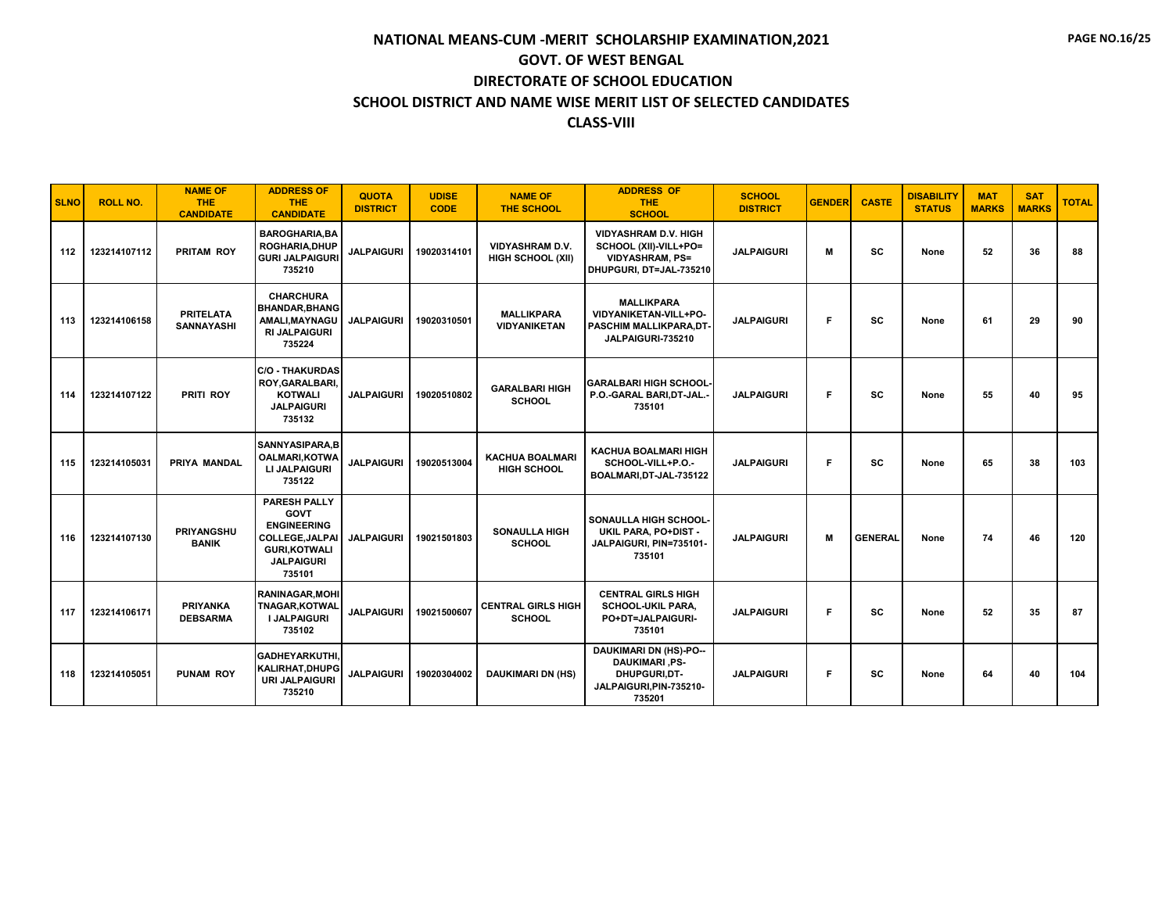| <b>SLNO</b> | <b>ROLL NO.</b> | <b>NAME OF</b><br><b>THE</b><br><b>CANDIDATE</b> | <b>ADDRESS OF</b><br><b>THE</b><br><b>CANDIDATE</b>                                                                                      | <b>QUOTA</b><br><b>DISTRICT</b> | <b>UDISE</b><br><b>CODE</b> | <b>NAME OF</b><br><b>THE SCHOOL</b>          | <b>ADDRESS OF</b><br><b>THE</b><br><b>SCHOOL</b>                                                            | <b>SCHOOL</b><br><b>DISTRICT</b> | <b>GENDER</b> | <b>CASTE</b>   | <b>DISABILITY</b><br><b>STATUS</b> | <b>MAT</b><br><b>MARKS</b> | <b>SAT</b><br><b>MARKS</b> | <b>TOTAL</b> |
|-------------|-----------------|--------------------------------------------------|------------------------------------------------------------------------------------------------------------------------------------------|---------------------------------|-----------------------------|----------------------------------------------|-------------------------------------------------------------------------------------------------------------|----------------------------------|---------------|----------------|------------------------------------|----------------------------|----------------------------|--------------|
| 112         | 123214107112    | <b>PRITAM ROY</b>                                | <b>BAROGHARIA, BA</b><br><b>ROGHARIA, DHUP</b><br><b>GURI JALPAIGURI</b><br>735210                                                       | <b>JALPAIGURI</b>               | 19020314101                 | <b>VIDYASHRAM D.V.</b><br>HIGH SCHOOL (XII)  | <b>VIDYASHRAM D.V. HIGH</b><br>SCHOOL (XII)-VILL+PO=<br><b>VIDYASHRAM, PS=</b><br>DHUPGURI, DT=JAL-735210   | <b>JALPAIGURI</b>                | м             | <b>SC</b>      | None                               | 52                         | 36                         | 88           |
| 113         | 123214106158    | <b>PRITELATA</b><br><b>SANNAYASHI</b>            | <b>CHARCHURA</b><br><b>BHANDAR, BHANG</b><br>AMALI, MAYNAGU<br><b>RI JALPAIGURI</b><br>735224                                            | <b>JALPAIGURI</b>               | 19020310501                 | <b>MALLIKPARA</b><br><b>VIDYANIKETAN</b>     | <b>MALLIKPARA</b><br>VIDYANIKETAN-VILL+PO-<br>PASCHIM MALLIKPARA, DT-<br>JALPAIGURI-735210                  | <b>JALPAIGURI</b>                | F             | <b>SC</b>      | None                               | 61                         | 29                         | 90           |
| 114         | 123214107122    | PRITI ROY                                        | <b>C/O - THAKURDAS</b><br>ROY, GARALBARI,<br><b>KOTWALI</b><br><b>JALPAIGURI</b><br>735132                                               | <b>JALPAIGURI</b>               | 19020510802                 | <b>GARALBARI HIGH</b><br><b>SCHOOL</b>       | <b>GARALBARI HIGH SCHOOL-</b><br>P.O.-GARAL BARI, DT-JAL.-<br>735101                                        | <b>JALPAIGURI</b>                | F             | SC             | None                               | 55                         | 40                         | 95           |
| 115         | 123214105031    | <b>PRIYA MANDAL</b>                              | SANNYASIPARA, B<br><b>OALMARI, KOTWA</b><br>LI JALPAIGURI<br>735122                                                                      | <b>JALPAIGURI</b>               | 19020513004                 | <b>KACHUA BOALMARI</b><br><b>HIGH SCHOOL</b> | <b>KACHUA BOALMARI HIGH</b><br>SCHOOL-VILL+P.O.-<br>BOALMARI, DT-JAL-735122                                 | <b>JALPAIGURI</b>                | F             | <b>SC</b>      | None                               | 65                         | 38                         | 103          |
| 116         | 123214107130    | <b>PRIYANGSHU</b><br><b>BANIK</b>                | <b>PARESH PALLY</b><br><b>GOVT</b><br><b>ENGINEERING</b><br><b>COLLEGE.JALPAI</b><br><b>GURI, KOTWALI</b><br><b>JALPAIGURI</b><br>735101 | <b>JALPAIGURI</b>               | 19021501803                 | <b>SONAULLA HIGH</b><br><b>SCHOOL</b>        | SONAULLA HIGH SCHOOL-<br>UKIL PARA, PO+DIST -<br>JALPAIGURI, PIN=735101-<br>735101                          | <b>JALPAIGURI</b>                | M             | <b>GENERAL</b> | None                               | 74                         | 46                         | 120          |
| 117         | 123214106171    | <b>PRIYANKA</b><br><b>DEBSARMA</b>               | <b>RANINAGAR.MOHI</b><br><b>TNAGAR, KOTWAL</b><br><b>I JALPAIGURI</b><br>735102                                                          | <b>JALPAIGURI</b>               | 19021500607                 | <b>CENTRAL GIRLS HIGH</b><br><b>SCHOOL</b>   | <b>CENTRAL GIRLS HIGH</b><br><b>SCHOOL-UKIL PARA,</b><br>PO+DT=JALPAIGURI-<br>735101                        | <b>JALPAIGURI</b>                | F             | <b>SC</b>      | None                               | 52                         | 35                         | 87           |
| 118         | 123214105051    | <b>PUNAM ROY</b>                                 | <b>GADHEYARKUTHI</b><br>KALIRHAT, DHUPG<br><b>URI JALPAIGURI</b><br>735210                                                               | <b>JALPAIGURI</b>               | 19020304002                 | <b>DAUKIMARI DN (HS)</b>                     | <b>DAUKIMARI DN (HS)-PO--</b><br><b>DAUKIMARI .PS-</b><br>DHUPGURI,DT-<br>JALPAIGURI, PIN-735210-<br>735201 | <b>JALPAIGURI</b>                | F             | SC             | None                               | 64                         | 40                         | 104          |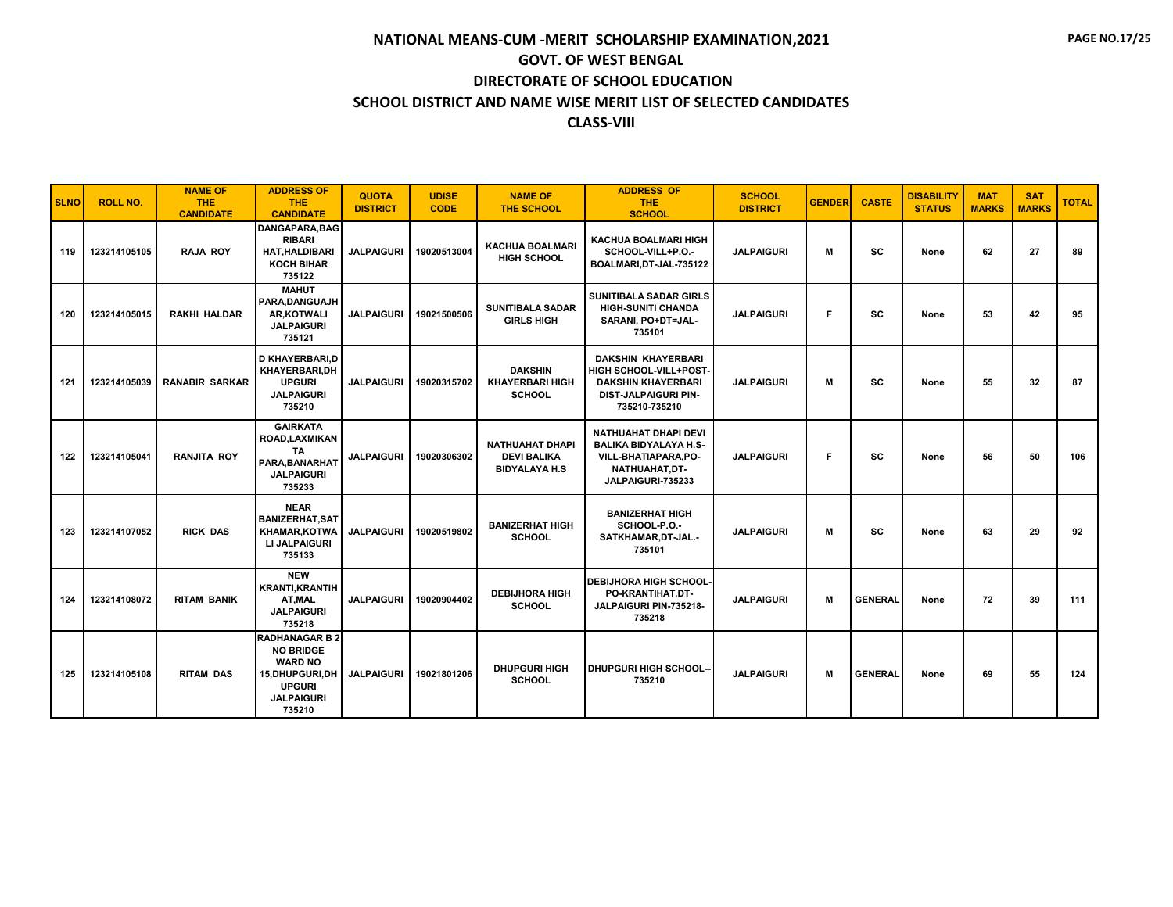| <b>SLNO</b> | <b>ROLL NO.</b> | <b>NAME OF</b><br><b>THE</b><br><b>CANDIDATE</b> | <b>ADDRESS OF</b><br><b>THE</b><br><b>CANDIDATE</b>                                                                             | <b>QUOTA</b><br><b>DISTRICT</b> | <b>UDISE</b><br><b>CODE</b> | <b>NAME OF</b><br><b>THE SCHOOL</b>                                   | <b>ADDRESS OF</b><br><b>THE</b><br><b>SCHOOL</b>                                                                                 | <b>SCHOOL</b><br><b>DISTRICT</b> | <b>GENDER</b> | <b>CASTE</b>   | <b>DISABILITY</b><br><b>STATUS</b> | <b>MAT</b><br><b>MARKS</b> | <b>SAT</b><br><b>MARKS</b> | <b>TOTAL</b> |
|-------------|-----------------|--------------------------------------------------|---------------------------------------------------------------------------------------------------------------------------------|---------------------------------|-----------------------------|-----------------------------------------------------------------------|----------------------------------------------------------------------------------------------------------------------------------|----------------------------------|---------------|----------------|------------------------------------|----------------------------|----------------------------|--------------|
| 119         | 123214105105    | <b>RAJA ROY</b>                                  | DANGAPARA.BAG<br><b>RIBARI</b><br><b>HAT, HALDIBARI</b><br><b>KOCH BIHAR</b><br>735122                                          | <b>JALPAIGURI</b>               | 19020513004                 | <b>KACHUA BOALMARI</b><br><b>HIGH SCHOOL</b>                          | <b>KACHUA BOALMARI HIGH</b><br>SCHOOL-VILL+P.O.-<br>BOALMARI, DT-JAL-735122                                                      | <b>JALPAIGURI</b>                | м             | <b>SC</b>      | None                               | 62                         | 27                         | 89           |
| 120         | 123214105015    | <b>RAKHI HALDAR</b>                              | <b>MAHUT</b><br>PARA, DANGUAJH<br><b>AR.KOTWALI</b><br><b>JALPAIGURI</b><br>735121                                              | <b>JALPAIGURI</b>               | 19021500506                 | <b>SUNITIBALA SADAR</b><br><b>GIRLS HIGH</b>                          | <b>SUNITIBALA SADAR GIRLS</b><br><b>HIGH-SUNITI CHANDA</b><br>SARANI, PO+DT=JAL-<br>735101                                       | <b>JALPAIGURI</b>                | Е             | <b>SC</b>      | None                               | 53                         | 42                         | 95           |
| 121         | 123214105039    | <b>RANABIR SARKAR</b>                            | D KHAYERBARI,D<br>KHAYERBARI,DH<br><b>UPGURI</b><br><b>JALPAIGURI</b><br>735210                                                 | <b>JALPAIGURI</b>               | 19020315702                 | <b>DAKSHIN</b><br><b>KHAYERBARI HIGH</b><br><b>SCHOOL</b>             | <b>DAKSHIN KHAYERBARI</b><br>HIGH SCHOOL-VILL+POST-<br><b>DAKSHIN KHAYERBARI</b><br><b>DIST-JALPAIGURI PIN-</b><br>735210-735210 | <b>JALPAIGURI</b>                | М             | SC             | None                               | 55                         | 32                         | 87           |
| 122         | 123214105041    | <b>RANJITA ROY</b>                               | <b>GAIRKATA</b><br>ROAD, LAXMIKAN<br>TA<br>PARA, BANARHAT<br><b>JALPAIGURI</b><br>735233                                        | <b>JALPAIGURI</b>               | 19020306302                 | <b>NATHUAHAT DHAPI</b><br><b>DEVI BALIKA</b><br><b>BIDYALAYA H.S.</b> | <b>NATHUAHAT DHAPI DEVI</b><br><b>BALIKA BIDYALAYA H.S-</b><br><b>VILL-BHATIAPARA,PO-</b><br>NATHUAHAT.DT-<br>JALPAIGURI-735233  | <b>JALPAIGURI</b>                | F             | <b>SC</b>      | None                               | 56                         | 50                         | 106          |
| 123         | 123214107052    | <b>RICK DAS</b>                                  | <b>NEAR</b><br><b>BANIZERHAT, SAT</b><br><b>KHAMAR, KOTWA</b><br>LI JALPAIGURI<br>735133                                        | <b>JALPAIGURI</b>               | 19020519802                 | <b>BANIZERHAT HIGH</b><br><b>SCHOOL</b>                               | <b>BANIZERHAT HIGH</b><br>SCHOOL-P.O.-<br>SATKHAMAR, DT-JAL.-<br>735101                                                          | <b>JALPAIGURI</b>                | М             | <b>SC</b>      | None                               | 63                         | 29                         | 92           |
| 124         | 123214108072    | <b>RITAM BANIK</b>                               | <b>NEW</b><br><b>KRANTI, KRANTIH</b><br>AT, MAL<br><b>JALPAIGURI</b><br>735218                                                  | <b>JALPAIGURI</b>               | 19020904402                 | <b>DEBIJHORA HIGH</b><br><b>SCHOOL</b>                                | <b>DEBIJHORA HIGH SCHOOL-</b><br>PO-KRANTIHAT,DT-<br>JALPAIGURI PIN-735218-<br>735218                                            | <b>JALPAIGURI</b>                | М             | <b>GENERAL</b> | None                               | 72                         | 39                         | 111          |
| 125         | 123214105108    | <b>RITAM DAS</b>                                 | <b>RADHANAGAR B 2</b><br><b>NO BRIDGE</b><br><b>WARD NO</b><br>15, DHUPGURI, DH<br><b>UPGURI</b><br><b>JALPAIGURI</b><br>735210 | <b>JALPAIGURI</b>               | 19021801206                 | <b>DHUPGURI HIGH</b><br><b>SCHOOL</b>                                 | <b>DHUPGURI HIGH SCHOOL-</b><br>735210                                                                                           | <b>JALPAIGURI</b>                | м             | <b>GENERAL</b> | None                               | 69                         | 55                         | 124          |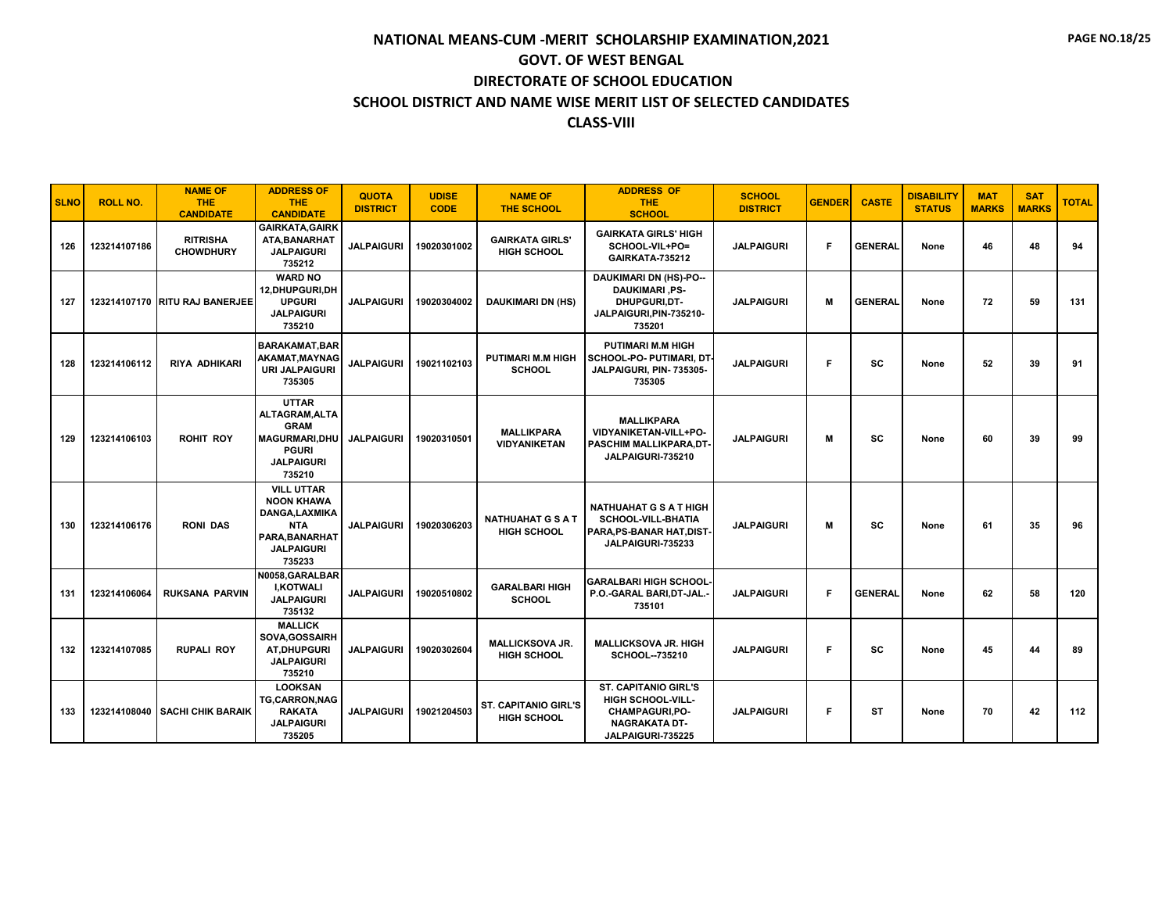| <b>SLNO</b> | <b>ROLL NO.</b> | <b>NAME OF</b><br><b>THE</b><br><b>CANDIDATE</b> | <b>ADDRESS OF</b><br><b>THE</b><br><b>CANDIDATE</b>                                                                    | <b>QUOTA</b><br><b>DISTRICT</b> | <b>UDISE</b><br><b>CODE</b> | <b>NAME OF</b><br><b>THE SCHOOL</b>               | <b>ADDRESS OF</b><br><b>THE</b><br><b>SCHOOL</b>                                                                              | <b>SCHOOL</b><br><b>DISTRICT</b> | <b>GENDER</b> | <b>CASTE</b>   | <b>DISABILITY</b><br><b>STATUS</b> | <b>MAT</b><br><b>MARKS</b> | <b>SAT</b><br><b>MARKS</b> | <b>TOTAL</b> |
|-------------|-----------------|--------------------------------------------------|------------------------------------------------------------------------------------------------------------------------|---------------------------------|-----------------------------|---------------------------------------------------|-------------------------------------------------------------------------------------------------------------------------------|----------------------------------|---------------|----------------|------------------------------------|----------------------------|----------------------------|--------------|
| 126         | 123214107186    | <b>RITRISHA</b><br><b>CHOWDHURY</b>              | <b>GAIRKATA, GAIRK</b><br>ATA, BANARHAT<br><b>JALPAIGURI</b><br>735212                                                 | <b>JALPAIGURI</b>               | 19020301002                 | <b>GAIRKATA GIRLS'</b><br><b>HIGH SCHOOL</b>      | <b>GAIRKATA GIRLS' HIGH</b><br>SCHOOL-VIL+PO=<br>GAIRKATA-735212                                                              | <b>JALPAIGURI</b>                | F             | <b>GENERAL</b> | None                               | 46                         | 48                         | 94           |
| 127         |                 | 123214107170 RITU RAJ BANERJEE                   | <b>WARD NO</b><br>12, DHUPGURI, DH<br><b>UPGURI</b><br><b>JALPAIGURI</b><br>735210                                     | <b>JALPAIGURI</b>               | 19020304002                 | <b>DAUKIMARI DN (HS)</b>                          | <b>DAUKIMARI DN (HS)-PO--</b><br><b>DAUKIMARI, PS-</b><br>DHUPGURI.DT-<br>JALPAIGURI, PIN-735210-<br>735201                   | <b>JALPAIGURI</b>                | м             | <b>GENERAL</b> | None                               | 72                         | 59                         | 131          |
| 128         | 123214106112    | <b>RIYA ADHIKARI</b>                             | <b>BARAKAMAT, BAR</b><br>AKAMAT, MAYNAG<br><b>URI JALPAIGURI</b><br>735305                                             | <b>JALPAIGURI</b>               | 19021102103                 | <b>PUTIMARI M.M HIGH</b><br><b>SCHOOL</b>         | <b>PUTIMARI M.M HIGH</b><br>SCHOOL-PO- PUTIMARI, DT<br>JALPAIGURI, PIN- 735305-<br>735305                                     | <b>JALPAIGURI</b>                | F             | SC             | None                               | 52                         | 39                         | 91           |
| 129         | 123214106103    | <b>ROHIT ROY</b>                                 | <b>UTTAR</b><br>ALTAGRAM, ALTA<br><b>GRAM</b><br><b>MAGURMARI.DHU</b><br>PGURI<br><b>JALPAIGURI</b><br>735210          | <b>JALPAIGURI</b>               | 19020310501                 | <b>MALLIKPARA</b><br>VIDYANIKETAN                 | <b>MALLIKPARA</b><br>VIDYANIKETAN-VILL+PO-<br>PASCHIM MALLIKPARA,DT-<br>JALPAIGURI-735210                                     | <b>JALPAIGURI</b>                | м             | SC             | None                               | 60                         | 39                         | 99           |
| 130         | 123214106176    | <b>RONI DAS</b>                                  | <b>VILL UTTAR</b><br><b>NOON KHAWA</b><br>DANGA, LAXMIKA<br><b>NTA</b><br>PARA.BANARHAT<br><b>JALPAIGURI</b><br>735233 | <b>JALPAIGURI</b>               | 19020306203                 | <b>NATHUAHAT G S A T</b><br><b>HIGH SCHOOL</b>    | <b>NATHUAHAT G S A T HIGH</b><br>SCHOOL-VILL-BHATIA<br>PARA, PS-BANAR HAT, DIST-<br>JALPAIGURI-735233                         | <b>JALPAIGURI</b>                | м             | SC             | None                               | 61                         | 35                         | 96           |
| 131         | 123214106064    | <b>RUKSANA PARVIN</b>                            | N0058, GARALBAR<br><b>I,KOTWALI</b><br><b>JALPAIGURI</b><br>735132                                                     | <b>JALPAIGURI</b>               | 19020510802                 | <b>GARALBARI HIGH</b><br><b>SCHOOL</b>            | <b>GARALBARI HIGH SCHOOL</b><br>P.O.-GARAL BARI, DT-JAL.-<br>735101                                                           | <b>JALPAIGURI</b>                | F             | <b>GENERAL</b> | None                               | 62                         | 58                         | 120          |
| 132         | 123214107085    | <b>RUPALI ROY</b>                                | <b>MALLICK</b><br>SOVA, GOSSAIRH<br><b>AT,DHUPGURI</b><br><b>JALPAIGURI</b><br>735210                                  | <b>JALPAIGURI</b>               | 19020302604                 | <b>MALLICKSOVA JR.</b><br><b>HIGH SCHOOL</b>      | <b>MALLICKSOVA JR. HIGH</b><br>SCHOOL-735210                                                                                  | <b>JALPAIGURI</b>                | F             | <b>SC</b>      | None                               | 45                         | 44                         | 89           |
| 133         | 123214108040    | <b>SACHI CHIK BARAIK</b>                         | <b>LOOKSAN</b><br><b>TG,CARRON,NAG</b><br><b>RAKATA</b><br><b>JALPAIGURI</b><br>735205                                 | <b>JALPAIGURI</b>               | 19021204503                 | <b>ST. CAPITANIO GIRL'S</b><br><b>HIGH SCHOOL</b> | <b>ST. CAPITANIO GIRL'S</b><br><b>HIGH SCHOOL-VILL-</b><br><b>CHAMPAGURI,PO-</b><br><b>NAGRAKATA DT-</b><br>JALPAIGURI-735225 | <b>JALPAIGURI</b>                | F             | <b>ST</b>      | None                               | 70                         | 42                         | 112          |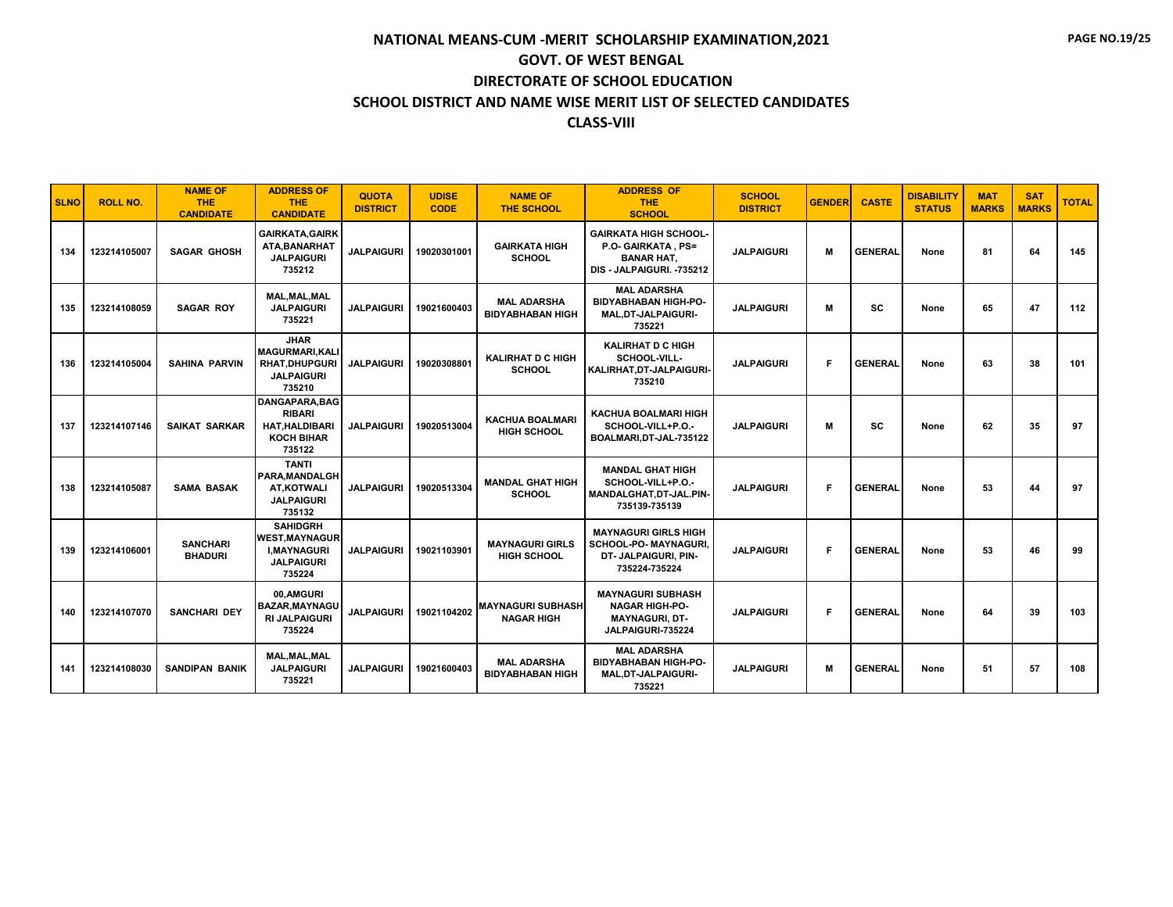| <b>SLNO</b> | <b>ROLL NO.</b> | <b>NAME OF</b><br><b>THE</b><br><b>CANDIDATE</b> | <b>ADDRESS OF</b><br><b>THE</b><br><b>CANDIDATE</b>                                           | <b>QUOTA</b><br><b>DISTRICT</b> | <b>UDISE</b><br><b>CODE</b> | <b>NAME OF</b><br><b>THE SCHOOL</b>           | <b>ADDRESS OF</b><br><b>THE</b><br><b>SCHOOL</b>                                                      | <b>SCHOOL</b><br><b>DISTRICT</b> | <b>GENDER</b> | <b>CASTE</b>   | <b>DISABILITY</b><br><b>STATUS</b> | <b>MAT</b><br><b>MARKS</b> | <b>SAT</b><br><b>MARKS</b> | <b>TOTAL</b> |
|-------------|-----------------|--------------------------------------------------|-----------------------------------------------------------------------------------------------|---------------------------------|-----------------------------|-----------------------------------------------|-------------------------------------------------------------------------------------------------------|----------------------------------|---------------|----------------|------------------------------------|----------------------------|----------------------------|--------------|
| 134         | 123214105007    | <b>SAGAR GHOSH</b>                               | <b>GAIRKATA.GAIRK</b><br>ATA, BANARHAT<br><b>JALPAIGURI</b><br>735212                         | <b>JALPAIGURI</b>               | 19020301001                 | <b>GAIRKATA HIGH</b><br><b>SCHOOL</b>         | <b>GAIRKATA HIGH SCHOOL-</b><br>P.O. GAIRKATA, PS=<br><b>BANAR HAT.</b><br>DIS - JALPAIGURI. - 735212 | <b>JALPAIGURI</b>                | М             | <b>GENERAL</b> | None                               | 81                         | 64                         | 145          |
| 135         | 123214108059    | <b>SAGAR ROY</b>                                 | MAL, MAL, MAL<br><b>JALPAIGURI</b><br>735221                                                  | <b>JALPAIGURI</b>               | 19021600403                 | <b>MAL ADARSHA</b><br><b>BIDYABHABAN HIGH</b> | <b>MAL ADARSHA</b><br><b>BIDYABHABAN HIGH-PO-</b><br><b>MAL.DT-JALPAIGURI-</b><br>735221              | <b>JALPAIGURI</b>                | М             | sc             | None                               | 65                         | 47                         | 112          |
| 136         | 123214105004    | <b>SAHINA PARVIN</b>                             | <b>JHAR</b><br><b>MAGURMARI, KALI</b><br><b>RHAT.DHUPGURI</b><br><b>JALPAIGURI</b><br>735210  | <b>JALPAIGURI</b>               | 19020308801                 | <b>KALIRHAT D C HIGH</b><br><b>SCHOOL</b>     | <b>KALIRHAT D C HIGH</b><br>SCHOOL-VILL-<br>KALIRHAT, DT-JALPAIGURI-<br>735210                        | <b>JALPAIGURI</b>                | F             | <b>GENERAL</b> | None                               | 63                         | 38                         | 101          |
| 137         | 123214107146    | SAIKAT SARKAR                                    | DANGAPARA, BAG<br><b>RIBARI</b><br><b>HAT, HALDIBARI</b><br><b>KOCH BIHAR</b><br>735122       | <b>JALPAIGURI</b>               | 19020513004                 | <b>KACHUA BOALMARI</b><br><b>HIGH SCHOOL</b>  | <b>KACHUA BOALMARI HIGH</b><br>SCHOOL-VILL+P.O.-<br>BOALMARI, DT-JAL-735122                           | <b>JALPAIGURI</b>                | м             | <b>SC</b>      | None                               | 62                         | 35                         | 97           |
| 138         | 123214105087    | <b>SAMA BASAK</b>                                | <b>TANTI</b><br>PARA.MANDALGH<br><b>AT.KOTWALI</b><br><b>JALPAIGURI</b><br>735132             | <b>JALPAIGURI</b>               | 19020513304                 | <b>MANDAL GHAT HIGH</b><br><b>SCHOOL</b>      | <b>MANDAL GHAT HIGH</b><br>SCHOOL-VILL+P.O.-<br>MANDALGHAT, DT-JAL.PIN-<br>735139-735139              | <b>JALPAIGURI</b>                | F             | <b>GENERAL</b> | None                               | 53                         | 44                         | 97           |
| 139         | 123214106001    | <b>SANCHARI</b><br><b>BHADURI</b>                | <b>SAHIDGRH</b><br><b>WEST.MAYNAGUR</b><br><b>I, MAYNAGURI</b><br><b>JALPAIGURI</b><br>735224 | <b>JALPAIGURI</b>               | 19021103901                 | <b>MAYNAGURI GIRLS</b><br><b>HIGH SCHOOL</b>  | <b>MAYNAGURI GIRLS HIGH</b><br>SCHOOL-PO- MAYNAGURI,<br>DT- JALPAIGURI. PIN-<br>735224-735224         | <b>JALPAIGURI</b>                | F             | <b>GENERAL</b> | None                               | 53                         | 46                         | 99           |
| 140         | 123214107070    | <b>SANCHARI DEY</b>                              | 00,AMGURI<br><b>BAZAR, MAYNAGU</b><br><b>RI JALPAIGURI</b><br>735224                          | <b>JALPAIGURI</b>               | 19021104202                 | <b>MAYNAGURI SUBHASH</b><br><b>NAGAR HIGH</b> | <b>MAYNAGURI SUBHASH</b><br><b>NAGAR HIGH-PO-</b><br><b>MAYNAGURI, DT-</b><br>JALPAIGURI-735224       | <b>JALPAIGURI</b>                | F             | <b>GENERAL</b> | None                               | 64                         | 39                         | 103          |
| 141         | 123214108030    | <b>SANDIPAN BANIK</b>                            | <b>MAL, MAL, MAL</b><br><b>JALPAIGURI</b><br>735221                                           | <b>JALPAIGURI</b>               | 19021600403                 | <b>MAL ADARSHA</b><br><b>BIDYABHABAN HIGH</b> | <b>MAL ADARSHA</b><br><b>BIDYABHABAN HIGH-PO-</b><br>MAL, DT-JALPAIGURI-<br>735221                    | <b>JALPAIGURI</b>                | м             | <b>GENERAL</b> | None                               | 51                         | 57                         | 108          |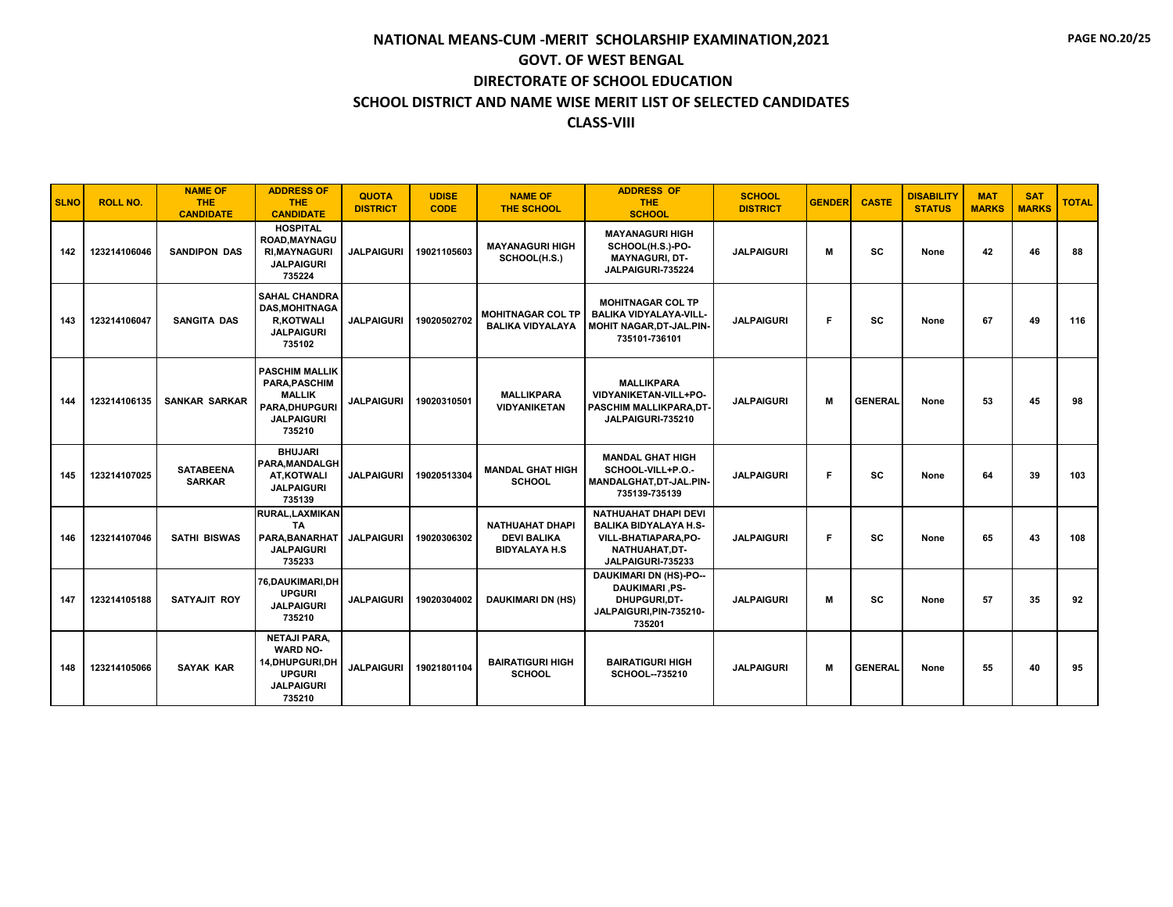| <b>SLNO</b> | <b>ROLL NO.</b> | <b>NAME OF</b><br>THE.<br><b>CANDIDATE</b> | <b>ADDRESS OF</b><br><b>THE</b><br><b>CANDIDATE</b>                                                        | <b>QUOTA</b><br><b>DISTRICT</b> | <b>UDISE</b><br><b>CODE</b> | <b>NAME OF</b><br><b>THE SCHOOL</b>                                   | <b>ADDRESS OF</b><br><b>THE</b><br><b>SCHOOL</b>                                                                          | <b>SCHOOL</b><br><b>DISTRICT</b> | <b>GENDER</b> | <b>CASTE</b>   | <b>DISABILITY</b><br><b>STATUS</b> | <b>MAT</b><br><b>MARKS</b> | <b>SAT</b><br><b>MARKS</b> | <b>TOTAL</b> |
|-------------|-----------------|--------------------------------------------|------------------------------------------------------------------------------------------------------------|---------------------------------|-----------------------------|-----------------------------------------------------------------------|---------------------------------------------------------------------------------------------------------------------------|----------------------------------|---------------|----------------|------------------------------------|----------------------------|----------------------------|--------------|
| 142         | 123214106046    | <b>SANDIPON DAS</b>                        | <b>HOSPITAL</b><br>ROAD, MAYNAGU<br><b>RI.MAYNAGURI</b><br><b>JALPAIGURI</b><br>735224                     | <b>JALPAIGURI</b>               | 19021105603                 | <b>MAYANAGURI HIGH</b><br>SCHOOL(H.S.)                                | <b>MAYANAGURI HIGH</b><br>SCHOOL(H.S.)-PO-<br><b>MAYNAGURI, DT-</b><br>JALPAIGURI-735224                                  | <b>JALPAIGURI</b>                | М             | <b>SC</b>      | None                               | 42                         | 46                         | 88           |
| 143         | 123214106047    | <b>SANGITA DAS</b>                         | <b>SAHAL CHANDRA</b><br><b>DAS.MOHITNAGA</b><br><b>R,KOTWALI</b><br><b>JALPAIGURI</b><br>735102            | <b>JALPAIGURI</b>               | 19020502702                 | <b>MOHITNAGAR COL TP</b><br><b>BALIKA VIDYALAYA</b>                   | <b>MOHITNAGAR COL TP</b><br>BALIKA VIDYALAYA-VILL-<br>MOHIT NAGAR, DT-JAL.PIN-<br>735101-736101                           | <b>JALPAIGURI</b>                | F             | SC.            | None                               | 67                         | 49                         | 116          |
| 144         | 123214106135    | <b>SANKAR SARKAR</b>                       | <b>PASCHIM MALLIK</b><br>PARA, PASCHIM<br><b>MALLIK</b><br>PARA, DHUPGURI<br><b>JALPAIGURI</b><br>735210   | <b>JALPAIGURI</b>               | 19020310501                 | <b>MALLIKPARA</b><br><b>VIDYANIKETAN</b>                              | <b>MALLIKPARA</b><br>VIDYANIKETAN-VILL+PO-<br>PASCHIM MALLIKPARA, DT-<br>JALPAIGURI-735210                                | <b>JALPAIGURI</b>                | м             | <b>GENERAL</b> | None                               | 53                         | 45                         | 98           |
| 145         | 123214107025    | <b>SATABEENA</b><br><b>SARKAR</b>          | <b>BHUJARI</b><br>PARA.MANDALGH<br>AT.KOTWALI<br><b>JALPAIGURI</b><br>735139                               | <b>JALPAIGURI</b>               | 19020513304                 | <b>MANDAL GHAT HIGH</b><br><b>SCHOOL</b>                              | <b>MANDAL GHAT HIGH</b><br>SCHOOL-VILL+P.O.-<br>MANDALGHAT, DT-JAL.PIN-<br>735139-735139                                  | <b>JALPAIGURI</b>                | F.            | <b>SC</b>      | None                               | 64                         | 39                         | 103          |
| 146         | 123214107046    | <b>SATHI BISWAS</b>                        | RURAL, LAXMIKAN<br>TA<br>PARA.BANARHAT<br><b>JALPAIGURI</b><br>735233                                      | <b>JALPAIGURI</b>               | 19020306302                 | <b>NATHUAHAT DHAPI</b><br><b>DEVI BALIKA</b><br><b>BIDYALAYA H.S.</b> | <b>NATHUAHAT DHAPI DEVI</b><br><b>BALIKA BIDYALAYA H.S-</b><br>VILL-BHATIAPARA, PO-<br>NATHUAHAT.DT-<br>JALPAIGURI-735233 | <b>JALPAIGURI</b>                | F.            | SC             | None                               | 65                         | 43                         | 108          |
| 147         | 123214105188    | SATYAJIT ROY                               | 76, DAUKIMARI, DH<br><b>UPGURI</b><br><b>JALPAIGURI</b><br>735210                                          | <b>JALPAIGURI</b>               | 19020304002                 | <b>DAUKIMARI DN (HS)</b>                                              | <b>DAUKIMARI DN (HS)-PO--</b><br><b>DAUKIMARI .PS-</b><br>DHUPGURI,DT-<br>JALPAIGURI, PIN-735210-<br>735201               | <b>JALPAIGURI</b>                | M             | <b>SC</b>      | None                               | 57                         | 35                         | 92           |
| 148         | 123214105066    | <b>SAYAK KAR</b>                           | <b>NETAJI PARA,</b><br><b>WARD NO-</b><br>14, DHUPGURI, DH<br><b>UPGURI</b><br><b>JALPAIGURI</b><br>735210 | <b>JALPAIGURI</b>               | 19021801104                 | <b>BAIRATIGURI HIGH</b><br><b>SCHOOL</b>                              | <b>BAIRATIGURI HIGH</b><br>SCHOOL--735210                                                                                 | <b>JALPAIGURI</b>                | м             | <b>GENERAL</b> | None                               | 55                         | 40                         | 95           |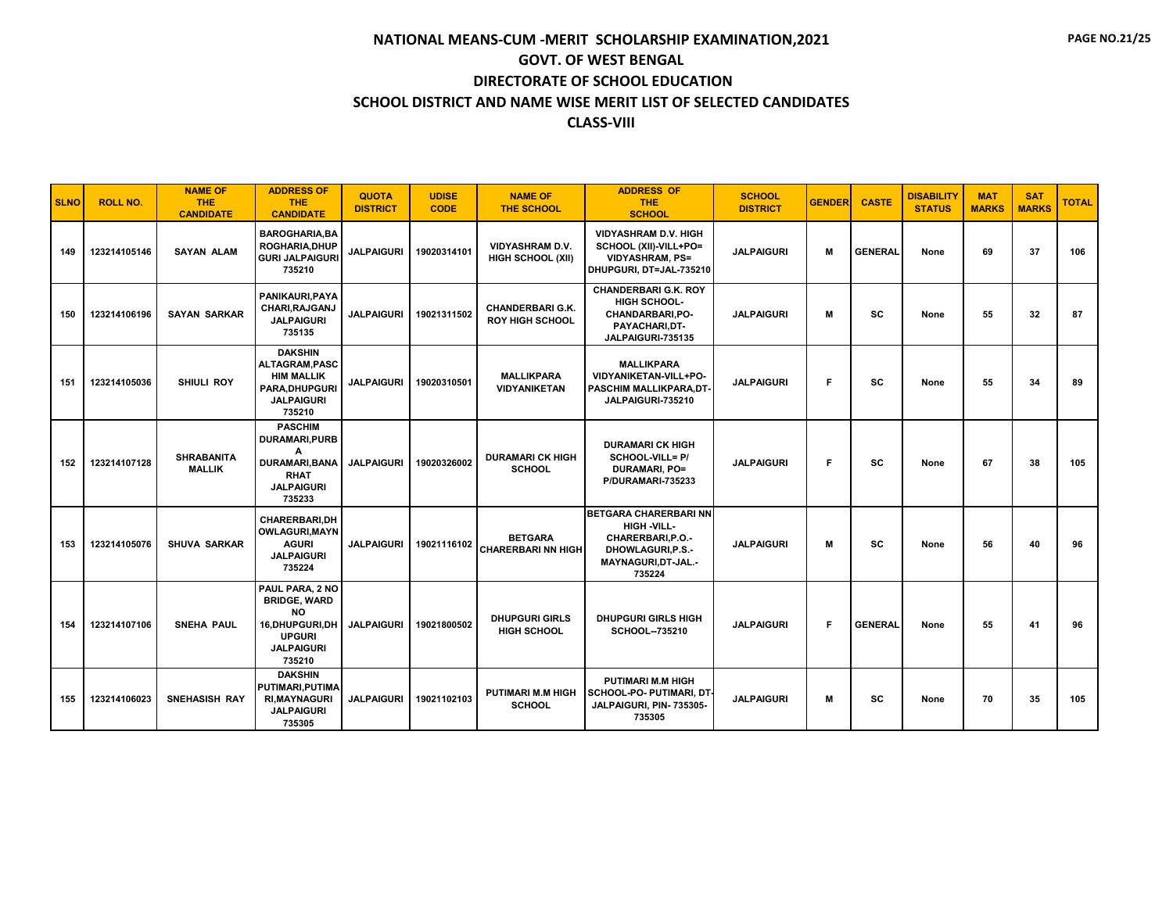| <b>SLNO</b> | <b>ROLL NO.</b> | <b>NAME OF</b><br><b>THE</b><br><b>CANDIDATE</b> | <b>ADDRESS OF</b><br><b>THE</b><br><b>CANDIDATE</b>                                                                   | <b>QUOTA</b><br><b>DISTRICT</b> | <b>UDISE</b><br><b>CODE</b> | <b>NAME OF</b><br><b>THE SCHOOL</b>                | <b>ADDRESS OF</b><br><b>THE</b><br><b>SCHOOL</b>                                                                           | <b>SCHOOL</b><br><b>DISTRICT</b> | <b>GENDER</b> | <b>CASTE</b>   | <b>DISABILITY</b><br><b>STATUS</b> | <b>MAT</b><br><b>MARKS</b> | <b>SAT</b><br><b>MARKS</b> | <b>TOTAL</b> |
|-------------|-----------------|--------------------------------------------------|-----------------------------------------------------------------------------------------------------------------------|---------------------------------|-----------------------------|----------------------------------------------------|----------------------------------------------------------------------------------------------------------------------------|----------------------------------|---------------|----------------|------------------------------------|----------------------------|----------------------------|--------------|
| 149         | 123214105146    | <b>SAYAN ALAM</b>                                | <b>BAROGHARIA.BA</b><br><b>ROGHARIA, DHUP</b><br><b>GURI JALPAIGURI</b><br>735210                                     | <b>JALPAIGURI</b>               | 19020314101                 | <b>VIDYASHRAM D.V.</b><br><b>HIGH SCHOOL (XII)</b> | <b>VIDYASHRAM D.V. HIGH</b><br>SCHOOL (XII)-VILL+PO=<br><b>VIDYASHRAM, PS=</b><br>DHUPGURI, DT=JAL-735210                  | <b>JALPAIGURI</b>                | M             | <b>GENERAL</b> | None                               | 69                         | 37                         | 106          |
| 150         | 123214106196    | <b>SAYAN SARKAR</b>                              | PANIKAURI, PAYA<br>CHARI, RAJGANJ<br><b>JALPAIGURI</b><br>735135                                                      | <b>JALPAIGURI</b>               | 19021311502                 | <b>CHANDERBARI G.K.</b><br><b>ROY HIGH SCHOOL</b>  | <b>CHANDERBARI G.K. ROY</b><br>HIGH SCHOOL-<br>CHANDARBARI, PO-<br>PAYACHARI,DT-<br>JALPAIGURI-735135                      | <b>JALPAIGURI</b>                | м             | sc             | None                               | 55                         | 32                         | 87           |
| 151         | 123214105036    | <b>SHIULI ROY</b>                                | <b>DAKSHIN</b><br>ALTAGRAM, PASC<br><b>HIM MALLIK</b><br><b>PARA.DHUPGURI</b><br><b>JALPAIGURI</b><br>735210          | <b>JALPAIGURI</b>               | 19020310501                 | <b>MALLIKPARA</b><br><b>VIDYANIKETAN</b>           | <b>MALLIKPARA</b><br>VIDYANIKETAN-VILL+PO-<br>PASCHIM MALLIKPARA.DT-<br>JALPAIGURI-735210                                  | <b>JALPAIGURI</b>                | F             | <b>SC</b>      | None                               | 55                         | 34                         | 89           |
| 152         | 123214107128    | <b>SHRABANITA</b><br><b>MALLIK</b>               | <b>PASCHIM</b><br>DURAMARI, PURB<br>Α<br><b>DURAMARI, BANA</b><br><b>RHAT</b><br><b>JALPAIGURI</b><br>735233          | <b>JALPAIGURI</b>               | 19020326002                 | <b>DURAMARI CK HIGH</b><br><b>SCHOOL</b>           | <b>DURAMARI CK HIGH</b><br>SCHOOL-VILL= P/<br><b>DURAMARI, PO=</b><br>P/DURAMARI-735233                                    | <b>JALPAIGURI</b>                | F             | <b>SC</b>      | None                               | 67                         | 38                         | 105          |
| 153         | 123214105076    | <b>SHUVA SARKAR</b>                              | <b>CHARERBARI.DH</b><br><b>OWLAGURI, MAYN</b><br><b>AGURI</b><br><b>JALPAIGURI</b><br>735224                          | <b>JALPAIGURI</b>               | 19021116102                 | <b>BETGARA</b><br><b>CHARERBARI NN HIGH</b>        | <b>BETGARA CHARERBARI NN</b><br>HIGH-VILL-<br>CHARERBARI.P.O.-<br><b>DHOWLAGURI.P.S.-</b><br>MAYNAGURI, DT-JAL.-<br>735224 | <b>JALPAIGURI</b>                | M             | SC             | None                               | 56                         | 40                         | 96           |
| 154         | 123214107106    | <b>SNEHA PAUL</b>                                | PAUL PARA, 2 NO<br><b>BRIDGE, WARD</b><br><b>NO</b><br>16.DHUPGURI.DH<br><b>UPGURI</b><br><b>JALPAIGURI</b><br>735210 | <b>JALPAIGURI</b>               | 19021800502                 | <b>DHUPGURI GIRLS</b><br><b>HIGH SCHOOL</b>        | <b>DHUPGURI GIRLS HIGH</b><br>SCHOOL--735210                                                                               | <b>JALPAIGURI</b>                | F             | <b>GENERAL</b> | None                               | 55                         | 41                         | 96           |
| 155         | 123214106023    | <b>SNEHASISH RAY</b>                             | <b>DAKSHIN</b><br>PUTIMARI, PUTIMA<br><b>RI, MAYNAGURI</b><br><b>JALPAIGURI</b><br>735305                             | <b>JALPAIGURI</b>               | 19021102103                 | <b>PUTIMARI M.M HIGH</b><br><b>SCHOOL</b>          | <b>PUTIMARI M.M HIGH</b><br>  SCHOOL-PO- PUTIMARI, DT-<br>JALPAIGURI, PIN- 735305-<br>735305                               | <b>JALPAIGURI</b>                | м             | sc             | None                               | 70                         | 35                         | 105          |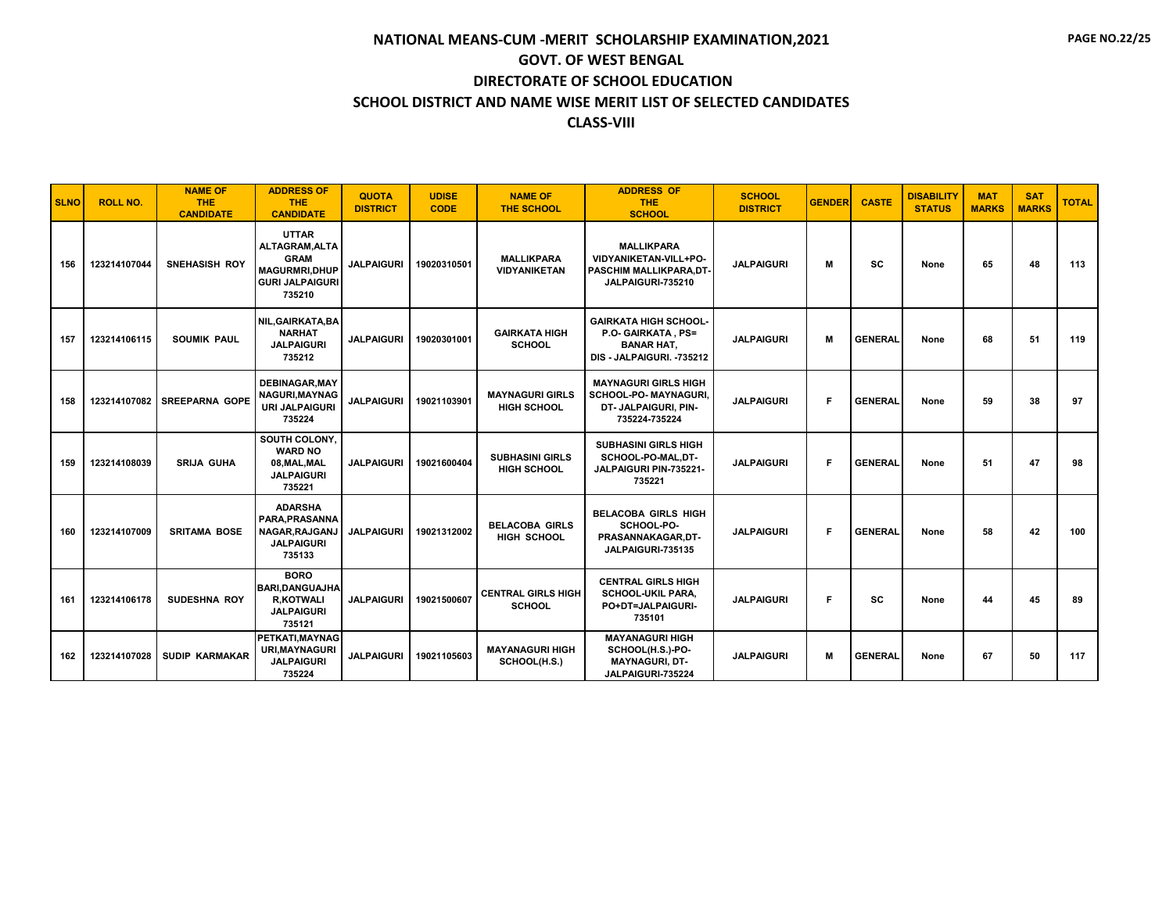| <b>SLNO</b> | <b>ROLL NO.</b> | <b>NAME OF</b><br><b>THE</b><br><b>CANDIDATE</b> | <b>ADDRESS OF</b><br><b>THE</b><br><b>CANDIDATE</b>                                                 | <b>QUOTA</b><br><b>DISTRICT</b> | <b>UDISE</b><br><b>CODE</b> | <b>NAME OF</b><br><b>THE SCHOOL</b>          | <b>ADDRESS OF</b><br><b>THE</b><br><b>SCHOOL</b>                                                     | <b>SCHOOL</b><br><b>DISTRICT</b> | <b>GENDER</b> | <b>CASTE</b>   | <b>DISABILITY</b><br><b>STATUS</b> | <b>MAT</b><br><b>MARKS</b> | <b>SAT</b><br><b>MARKS</b> | <b>TOTAL</b> |
|-------------|-----------------|--------------------------------------------------|-----------------------------------------------------------------------------------------------------|---------------------------------|-----------------------------|----------------------------------------------|------------------------------------------------------------------------------------------------------|----------------------------------|---------------|----------------|------------------------------------|----------------------------|----------------------------|--------------|
| 156         | 123214107044    | <b>SNEHASISH ROY</b>                             | <b>UTTAR</b><br>ALTAGRAM, ALTA<br><b>GRAM</b><br>MAGURMRI, DHUP<br><b>GURI JALPAIGURI</b><br>735210 | <b>JALPAIGURI</b>               | 19020310501                 | <b>MALLIKPARA</b><br><b>VIDYANIKETAN</b>     | <b>MALLIKPARA</b><br>VIDYANIKETAN-VILL+PO-<br>PASCHIM MALLIKPARA,DT-<br>JALPAIGURI-735210            | <b>JALPAIGURI</b>                | м             | sc             | None                               | 65                         | 48                         | 113          |
| 157         | 123214106115    | <b>SOUMIK PAUL</b>                               | NIL.GAIRKATA.BA<br><b>NARHAT</b><br><b>JALPAIGURI</b><br>735212                                     | <b>JALPAIGURI</b>               | 19020301001                 | <b>GAIRKATA HIGH</b><br><b>SCHOOL</b>        | <b>GAIRKATA HIGH SCHOOL-</b><br>P.O. GAIRKATA, PS=<br><b>BANAR HAT.</b><br>DIS - JALPAIGURI. -735212 | <b>JALPAIGURI</b>                | M             | <b>GENERAL</b> | None                               | 68                         | 51                         | 119          |
| 158         | 123214107082    | <b>SREEPARNA GOPE</b>                            | <b>DEBINAGAR.MAY</b><br>NAGURI, MAYNAG<br><b>URI JALPAIGURI</b><br>735224                           | <b>JALPAIGURI</b>               | 19021103901                 | <b>MAYNAGURI GIRLS</b><br><b>HIGH SCHOOL</b> | <b>MAYNAGURI GIRLS HIGH</b><br><b>SCHOOL-PO- MAYNAGURI.</b><br>DT- JALPAIGURI, PIN-<br>735224-735224 | <b>JALPAIGURI</b>                | F             | <b>GENERAL</b> | None                               | 59                         | 38                         | 97           |
| 159         | 123214108039    | <b>SRIJA GUHA</b>                                | SOUTH COLONY.<br><b>WARD NO</b><br>08.MAL.MAL<br><b>JALPAIGURI</b><br>735221                        | <b>JALPAIGURI</b>               | 19021600404                 | <b>SUBHASINI GIRLS</b><br><b>HIGH SCHOOL</b> | <b>SUBHASINI GIRLS HIGH</b><br>SCHOOL-PO-MAL,DT-<br>JALPAIGURI PIN-735221-<br>735221                 | <b>JALPAIGURI</b>                | Е             | <b>GENERAL</b> | None                               | 51                         | 47                         | 98           |
| 160         | 123214107009    | <b>SRITAMA BOSE</b>                              | <b>ADARSHA</b><br>PARA.PRASANNA<br>NAGAR, RAJGANJ<br><b>JALPAIGURI</b><br>735133                    | <b>JALPAIGURI</b>               | 19021312002                 | <b>BELACOBA GIRLS</b><br>HIGH SCHOOL         | <b>BELACOBA GIRLS HIGH</b><br>SCHOOL-PO-<br>PRASANNAKAGAR, DT-<br>JALPAIGURI-735135                  | <b>JALPAIGURI</b>                | Е             | <b>GENERAL</b> | None                               | 58                         | 42                         | 100          |
| 161         | 123214106178    | <b>SUDESHNA ROY</b>                              | <b>BORO</b><br><b>BARI.DANGUAJHA</b><br><b>R,KOTWALI</b><br><b>JALPAIGURI</b><br>735121             | <b>JALPAIGURI</b>               | 19021500607                 | <b>CENTRAL GIRLS HIGH</b><br><b>SCHOOL</b>   | <b>CENTRAL GIRLS HIGH</b><br><b>SCHOOL-UKIL PARA.</b><br>PO+DT=JALPAIGURI-<br>735101                 | <b>JALPAIGURI</b>                | F             | SC             | None                               | 44                         | 45                         | 89           |
| 162         | 123214107028    | <b>SUDIP KARMAKAR</b>                            | PETKATI.MAYNAG<br><b>URI.MAYNAGURI</b><br><b>JALPAIGURI</b><br>735224                               | <b>JALPAIGURI</b>               | 19021105603                 | <b>MAYANAGURI HIGH</b><br>SCHOOL(H.S.)       | <b>MAYANAGURI HIGH</b><br>SCHOOL(H.S.)-PO-<br><b>MAYNAGURI, DT-</b><br>JALPAIGURI-735224             | <b>JALPAIGURI</b>                | M             | <b>GENERAL</b> | None                               | 67                         | 50                         | 117          |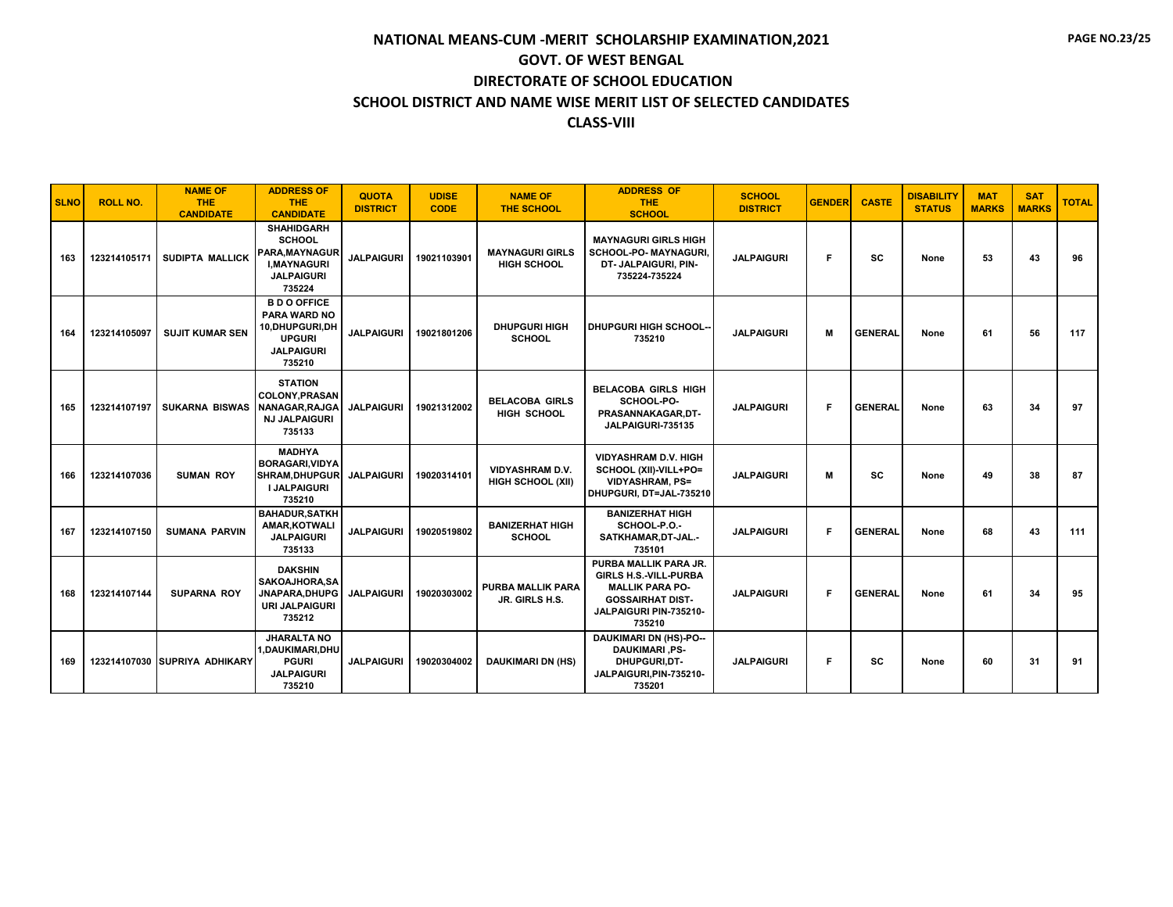| <b>SLNO</b> | <b>ROLL NO.</b> | <b>NAME OF</b><br><b>THE</b><br><b>CANDIDATE</b> | <b>ADDRESS OF</b><br><b>THE</b><br><b>CANDIDATE</b>                                                                 | <b>QUOTA</b><br><b>DISTRICT</b> | <b>UDISE</b><br><b>CODE</b> | <b>NAME OF</b><br><b>THE SCHOOL</b>                | <b>ADDRESS OF</b><br><b>THE</b><br><b>SCHOOL</b>                                                                                               | <b>SCHOOL</b><br><b>DISTRICT</b> | <b>GENDER</b> | <b>CASTE</b>   | <b>DISABILITY</b><br><b>STATUS</b> | <b>MAT</b><br><b>MARKS</b> | <b>SAT</b><br><b>MARKS</b> | <b>TOTAL</b> |
|-------------|-----------------|--------------------------------------------------|---------------------------------------------------------------------------------------------------------------------|---------------------------------|-----------------------------|----------------------------------------------------|------------------------------------------------------------------------------------------------------------------------------------------------|----------------------------------|---------------|----------------|------------------------------------|----------------------------|----------------------------|--------------|
| 163         | 123214105171    | SUDIPTA MALLICK                                  | <b>SHAHIDGARH</b><br><b>SCHOOL</b><br><b>PARA.MAYNAGUR</b><br><b>I.MAYNAGURI</b><br><b>JALPAIGURI</b><br>735224     | <b>JALPAIGURI</b>               | 19021103901                 | <b>MAYNAGURI GIRLS</b><br><b>HIGH SCHOOL</b>       | <b>MAYNAGURI GIRLS HIGH</b><br><b>SCHOOL-PO- MAYNAGURI.</b><br>DT- JALPAIGURI, PIN-<br>735224-735224                                           | <b>JALPAIGURI</b>                | F             | SC             | None                               | 53                         | 43                         | 96           |
| 164         | 123214105097    | <b>SUJIT KUMAR SEN</b>                           | <b>B D O OFFICE</b><br><b>PARA WARD NO</b><br><b>10.DHUPGURI.DH</b><br><b>UPGURI</b><br><b>JALPAIGURI</b><br>735210 | <b>JALPAIGURI</b>               | 19021801206                 | <b>DHUPGURI HIGH</b><br><b>SCHOOL</b>              | <b>DHUPGURI HIGH SCHOOL-</b><br>735210                                                                                                         | <b>JALPAIGURI</b>                | M             | <b>GENERAL</b> | None                               | 61                         | 56                         | 117          |
| 165         | 123214107197    | <b>SUKARNA BISWAS</b>                            | <b>STATION</b><br><b>COLONY, PRASAN</b><br>NANAGAR, RAJGA<br><b>NJ JALPAIGURI</b><br>735133                         | <b>JALPAIGURI</b>               | 19021312002                 | <b>BELACOBA GIRLS</b><br><b>HIGH SCHOOL</b>        | <b>BELACOBA GIRLS HIGH</b><br>SCHOOL-PO-<br>PRASANNAKAGAR, DT-<br>JALPAIGURI-735135                                                            | <b>JALPAIGURI</b>                | F             | <b>GENERAL</b> | None                               | 63                         | 34                         | 97           |
| 166         | 123214107036    | <b>SUMAN ROY</b>                                 | <b>MADHYA</b><br><b>BORAGARI, VIDYA</b><br><b>SHRAM.DHUPGUR</b><br><b>I JALPAIGURI</b><br>735210                    | <b>JALPAIGURI</b>               | 19020314101                 | <b>VIDYASHRAM D.V.</b><br><b>HIGH SCHOOL (XII)</b> | <b>VIDYASHRAM D.V. HIGH</b><br>SCHOOL (XII)-VILL+PO=<br><b>VIDYASHRAM, PS=</b><br>DHUPGURI, DT=JAL-735210                                      | <b>JALPAIGURI</b>                | M             | <b>SC</b>      | None                               | 49                         | 38                         | 87           |
| 167         | 123214107150    | <b>SUMANA PARVIN</b>                             | <b>BAHADUR, SATKH</b><br>AMAR, KOTWALI<br><b>JALPAIGURI</b><br>735133                                               | <b>JALPAIGURI</b>               | 19020519802                 | <b>BANIZERHAT HIGH</b><br><b>SCHOOL</b>            | <b>BANIZERHAT HIGH</b><br>SCHOOL-P.O.-<br>SATKHAMAR, DT-JAL.-<br>735101                                                                        | <b>JALPAIGURI</b>                | -F            | <b>GENERAL</b> | None                               | 68                         | 43                         | 111          |
| 168         | 123214107144    | <b>SUPARNA ROY</b>                               | <b>DAKSHIN</b><br>SAKOAJHORA, SA<br>JNAPARA.DHUPG<br><b>URI JALPAIGURI</b><br>735212                                | <b>JALPAIGURI</b>               | 19020303002                 | PURBA MALLIK PARA<br>JR. GIRLS H.S.                | PURBA MALLIK PARA JR.<br><b>GIRLS H.S.-VILL-PURBA</b><br><b>MALLIK PARA PO-</b><br><b>GOSSAIRHAT DIST-</b><br>JALPAIGURI PIN-735210-<br>735210 | <b>JALPAIGURI</b>                | F             | <b>GENERAL</b> | None                               | 61                         | 34                         | 95           |
| 169         |                 | 123214107030 SUPRIYA ADHIKARY                    | <b>JHARALTA NO</b><br>1.DAUKIMARI.DHU<br><b>PGURI</b><br><b>JALPAIGURI</b><br>735210                                | <b>JALPAIGURI</b>               | 19020304002                 | <b>DAUKIMARI DN (HS)</b>                           | <b>DAUKIMARI DN (HS)-PO--</b><br><b>DAUKIMARI, PS-</b><br><b>DHUPGURI.DT-</b><br>JALPAIGURI, PIN-735210-<br>735201                             | <b>JALPAIGURI</b>                | F             | SC             | None                               | 60                         | 31                         | 91           |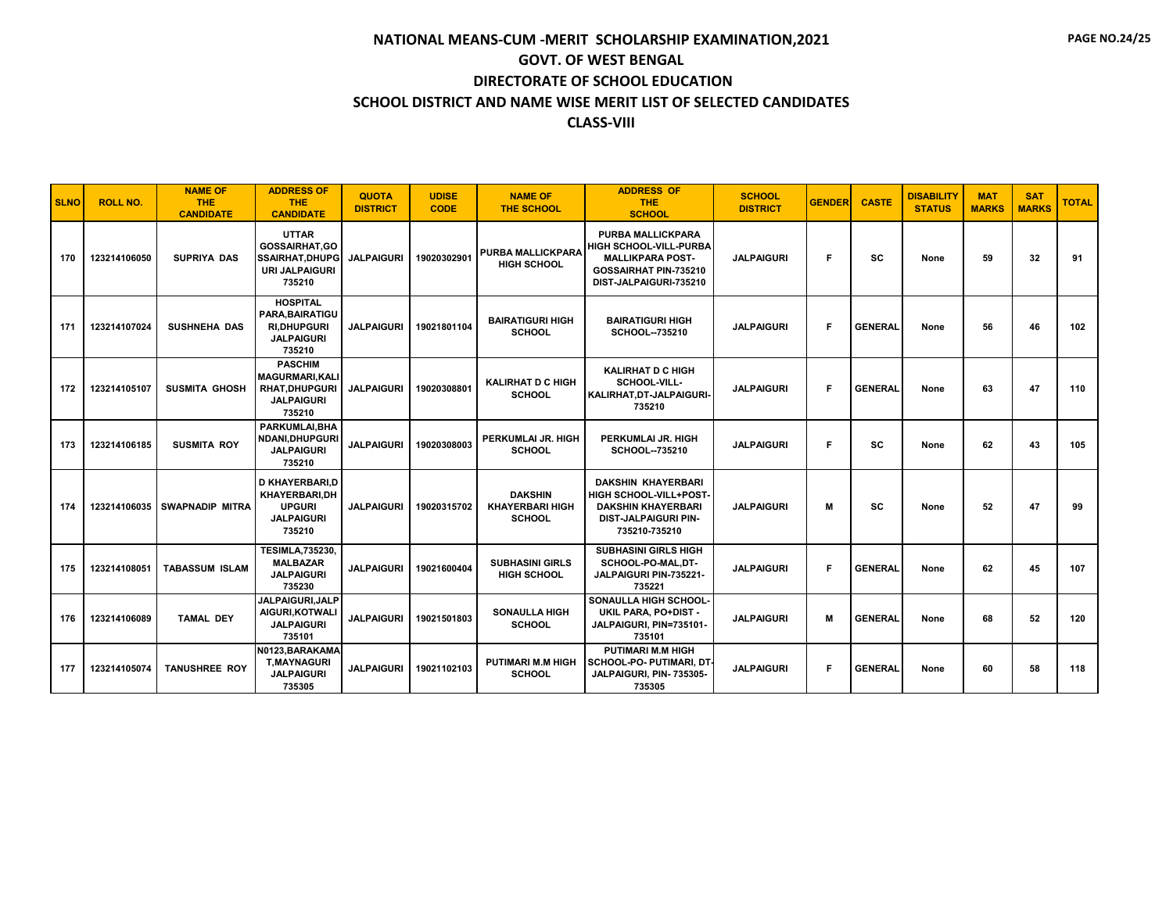| <b>SLNO</b> | <b>ROLL NO.</b> | <b>NAME OF</b><br><b>THE</b><br><b>CANDIDATE</b> | <b>ADDRESS OF</b><br><b>THE</b><br><b>CANDIDATE</b>                                               | <b>QUOTA</b><br><b>DISTRICT</b> | <b>UDISE</b><br><b>CODE</b> | <b>NAME OF</b><br><b>THE SCHOOL</b>                       | <b>ADDRESS OF</b><br><b>THE</b><br><b>SCHOOL</b>                                                                                        | <b>SCHOOL</b><br><b>DISTRICT</b> | <b>GENDER</b> | <b>CASTE</b>   | <b>DISABILITY</b><br><b>STATUS</b> | <b>MAT</b><br><b>MARKS</b> | <b>SAT</b><br><b>MARKS</b> | <b>TOTAL</b> |
|-------------|-----------------|--------------------------------------------------|---------------------------------------------------------------------------------------------------|---------------------------------|-----------------------------|-----------------------------------------------------------|-----------------------------------------------------------------------------------------------------------------------------------------|----------------------------------|---------------|----------------|------------------------------------|----------------------------|----------------------------|--------------|
| 170         | 123214106050    | <b>SUPRIYA DAS</b>                               | <b>UTTAR</b><br><b>GOSSAIRHAT.GO</b><br><b>SSAIRHAT, DHUPG</b><br><b>URI JALPAIGURI</b><br>735210 | <b>JALPAIGURI</b>               | 19020302901                 | <b>PURBA MALLICKPARA</b><br><b>HIGH SCHOOL</b>            | <b>PURBA MALLICKPARA</b><br><b>HIGH SCHOOL-VILL-PURBA</b><br><b>MALLIKPARA POST-</b><br>GOSSAIRHAT PIN-735210<br>DIST-JALPAIGURI-735210 | <b>JALPAIGURI</b>                | F             | SC             | None                               | 59                         | 32                         | 91           |
| 171         | 123214107024    | <b>SUSHNEHA DAS</b>                              | <b>HOSPITAL</b><br>PARA, BAIRATIGU<br><b>RI.DHUPGURI</b><br><b>JALPAIGURI</b><br>735210           | <b>JALPAIGURI</b>               | 19021801104                 | <b>BAIRATIGURI HIGH</b><br><b>SCHOOL</b>                  | <b>BAIRATIGURI HIGH</b><br><b>SCHOOL--735210</b>                                                                                        | <b>JALPAIGURI</b>                | F             | <b>GENERAL</b> | None                               | 56                         | 46                         | 102          |
| 172         | 123214105107    | <b>SUSMITA GHOSH</b>                             | <b>PASCHIM</b><br><b>MAGURMARI, KALI</b><br><b>RHAT, DHUPGURI</b><br><b>JALPAIGURI</b><br>735210  | <b>JALPAIGURI</b>               | 19020308801                 | <b>KALIRHAT D C HIGH</b><br><b>SCHOOL</b>                 | <b>KALIRHAT D C HIGH</b><br><b>SCHOOL-VILL-</b><br>KALIRHAT, DT-JALPAIGURI-<br>735210                                                   | <b>JALPAIGURI</b>                | F             | <b>GENERAL</b> | None                               | 63                         | 47                         | 110          |
| 173         | 123214106185    | <b>SUSMITA ROY</b>                               | PARKUMLAI.BHA<br><b>NDANI.DHUPGURI</b><br><b>JALPAIGURI</b><br>735210                             | <b>JALPAIGURI</b>               | 19020308003                 | PERKUMLAI JR. HIGH<br><b>SCHOOL</b>                       | PERKUMLAI JR. HIGH<br>SCHOOL--735210                                                                                                    | <b>JALPAIGURI</b>                | F             | SC             | None                               | 62                         | 43                         | 105          |
| 174         | 123214106035    | I SWAPNADIP MITRA                                | <b>D KHAYERBARI.D</b><br>KHAYERBARI,DH<br><b>UPGURI</b><br><b>JALPAIGURI</b><br>735210            | <b>JALPAIGURI</b>               | 19020315702                 | <b>DAKSHIN</b><br><b>KHAYERBARI HIGH</b><br><b>SCHOOL</b> | <b>DAKSHIN KHAYERBARI</b><br>HIGH SCHOOL-VILL+POST-<br><b>DAKSHIN KHAYERBARI</b><br><b>DIST-JALPAIGURI PIN-</b><br>735210-735210        | <b>JALPAIGURI</b>                | М             | sc             | None                               | 52                         | 47                         | 99           |
| 175         | 123214108051    | <b>TABASSUM ISLAM</b>                            | <b>TESIMLA,735230,</b><br><b>MALBAZAR</b><br><b>JALPAIGURI</b><br>735230                          | <b>JALPAIGURI</b>               | 19021600404                 | <b>SUBHASINI GIRLS</b><br><b>HIGH SCHOOL</b>              | <b>SUBHASINI GIRLS HIGH</b><br>SCHOOL-PO-MAL.DT-<br>JALPAIGURI PIN-735221-<br>735221                                                    | <b>JALPAIGURI</b>                | F             | <b>GENERAL</b> | None                               | 62                         | 45                         | 107          |
| 176         | 123214106089    | <b>TAMAL DEY</b>                                 | <b>JALPAIGURI.JALP</b><br>AIGURI, KOTWALI<br><b>JALPAIGURI</b><br>735101                          | <b>JALPAIGURI</b>               | 19021501803                 | <b>SONAULLA HIGH</b><br><b>SCHOOL</b>                     | SONAULLA HIGH SCHOOL-<br>UKIL PARA, PO+DIST -<br>JALPAIGURI, PIN=735101-<br>735101                                                      | <b>JALPAIGURI</b>                | М             | <b>GENERAL</b> | None                               | 68                         | 52                         | 120          |
| 177         | 123214105074    | <b>TANUSHREE ROY</b>                             | N0123, BARAKAMA<br><b>T.MAYNAGURI</b><br><b>JALPAIGURI</b><br>735305                              | <b>JALPAIGURI</b>               | 19021102103                 | <b>PUTIMARI M.M HIGH</b><br><b>SCHOOL</b>                 | <b>PUTIMARI M.M HIGH</b><br><b>SCHOOL-PO- PUTIMARI, DT</b><br>JALPAIGURI, PIN- 735305-<br>735305                                        | <b>JALPAIGURI</b>                | F             | <b>GENERAL</b> | None                               | 60                         | 58                         | 118          |